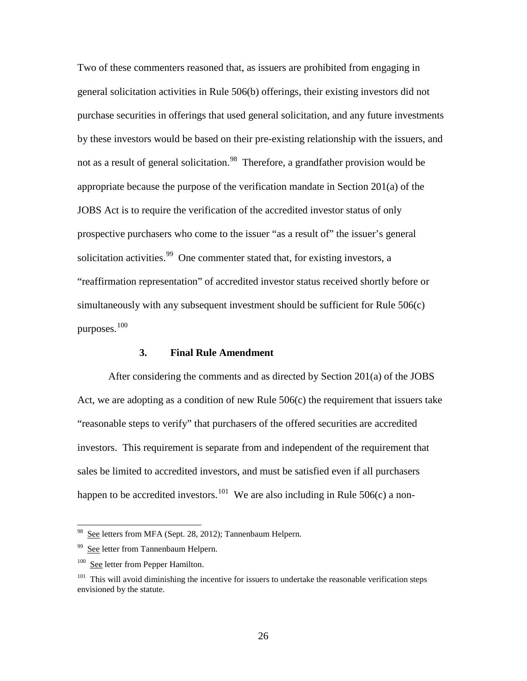Two of these commenters reasoned that, as issuers are prohibited from engaging in general solicitation activities in Rule 506(b) offerings, their existing investors did not purchase securities in offerings that used general solicitation, and any future investments by these investors would be based on their pre-existing relationship with the issuers, and not as a result of general solicitation.<sup>98</sup> Therefore, a grandfather provision would be appropriate because the purpose of the verification mandate in Section 201(a) of the JOBS Act is to require the verification of the accredited investor status of only prospective purchasers who come to the issuer "as a result of" the issuer's general solicitation activities.<sup>[99](#page-25-1)</sup> One commenter stated that, for existing investors, a "reaffirmation representation" of accredited investor status received shortly before or simultaneously with any subsequent investment should be sufficient for Rule 506(c) purposes.[100](#page-25-2)

## **3. Final Rule Amendment**

After considering the comments and as directed by Section 201(a) of the JOBS Act, we are adopting as a condition of new Rule  $506(c)$  the requirement that issuers take "reasonable steps to verify" that purchasers of the offered securities are accredited investors. This requirement is separate from and independent of the requirement that sales be limited to accredited investors, and must be satisfied even if all purchasers happen to be accredited investors.<sup>101</sup> We are also including in Rule 506(c) a non-

<span id="page-25-0"></span>See letters from MFA (Sept. 28, 2012); Tannenbaum Helpern.

<span id="page-25-1"></span><sup>&</sup>lt;sup>99</sup> See letter from Tannenbaum Helpern.

<span id="page-25-2"></span><sup>&</sup>lt;sup>100</sup> See letter from Pepper Hamilton.

<span id="page-25-3"></span><sup>&</sup>lt;sup>101</sup> This will avoid diminishing the incentive for issuers to undertake the reasonable verification steps envisioned by the statute.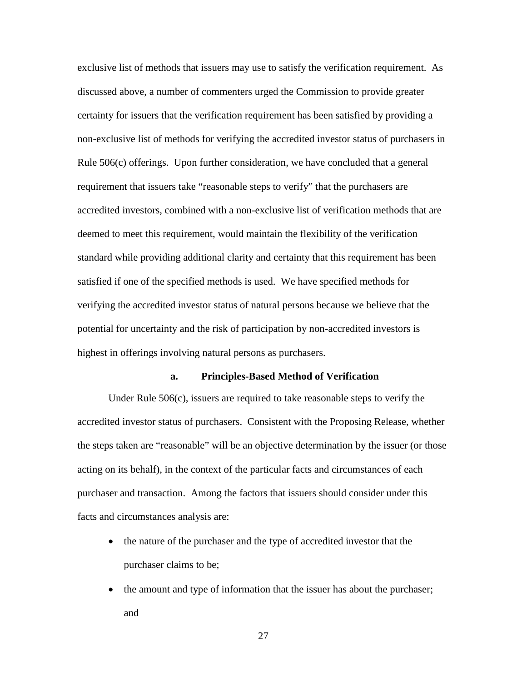exclusive list of methods that issuers may use to satisfy the verification requirement. As discussed above, a number of commenters urged the Commission to provide greater certainty for issuers that the verification requirement has been satisfied by providing a non-exclusive list of methods for verifying the accredited investor status of purchasers in Rule 506(c) offerings. Upon further consideration, we have concluded that a general requirement that issuers take "reasonable steps to verify" that the purchasers are accredited investors, combined with a non-exclusive list of verification methods that are deemed to meet this requirement, would maintain the flexibility of the verification standard while providing additional clarity and certainty that this requirement has been satisfied if one of the specified methods is used. We have specified methods for verifying the accredited investor status of natural persons because we believe that the potential for uncertainty and the risk of participation by non-accredited investors is highest in offerings involving natural persons as purchasers.

## **a. Principles-Based Method of Verification**

Under Rule 506(c), issuers are required to take reasonable steps to verify the accredited investor status of purchasers. Consistent with the Proposing Release, whether the steps taken are "reasonable" will be an objective determination by the issuer (or those acting on its behalf), in the context of the particular facts and circumstances of each purchaser and transaction. Among the factors that issuers should consider under this facts and circumstances analysis are:

- the nature of the purchaser and the type of accredited investor that the purchaser claims to be;
- the amount and type of information that the issuer has about the purchaser; and

27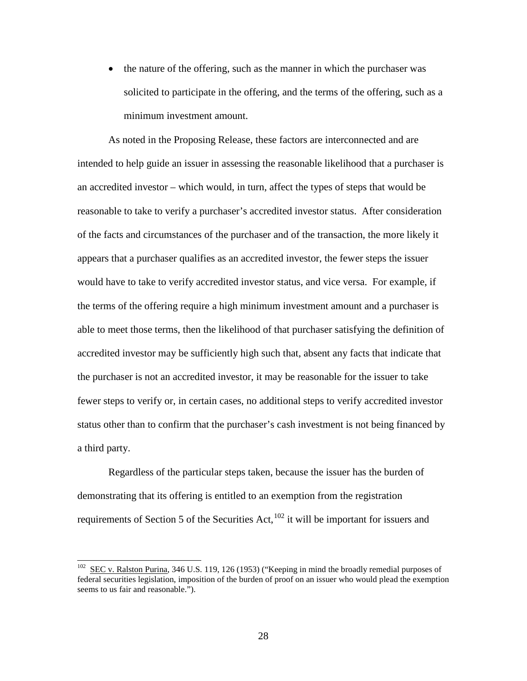• the nature of the offering, such as the manner in which the purchaser was solicited to participate in the offering, and the terms of the offering, such as a minimum investment amount.

As noted in the Proposing Release, these factors are interconnected and are intended to help guide an issuer in assessing the reasonable likelihood that a purchaser is an accredited investor – which would, in turn, affect the types of steps that would be reasonable to take to verify a purchaser's accredited investor status. After consideration of the facts and circumstances of the purchaser and of the transaction, the more likely it appears that a purchaser qualifies as an accredited investor, the fewer steps the issuer would have to take to verify accredited investor status, and vice versa. For example, if the terms of the offering require a high minimum investment amount and a purchaser is able to meet those terms, then the likelihood of that purchaser satisfying the definition of accredited investor may be sufficiently high such that, absent any facts that indicate that the purchaser is not an accredited investor, it may be reasonable for the issuer to take fewer steps to verify or, in certain cases, no additional steps to verify accredited investor status other than to confirm that the purchaser's cash investment is not being financed by a third party.

Regardless of the particular steps taken, because the issuer has the burden of demonstrating that its offering is entitled to an exemption from the registration requirements of Section 5 of the Securities Act, $102$  it will be important for issuers and

<span id="page-27-0"></span> $102$  SEC v. Ralston Purina, 346 U.S. 119, 126 (1953) ("Keeping in mind the broadly remedial purposes of federal securities legislation, imposition of the burden of proof on an issuer who would plead the exemption seems to us fair and reasonable.").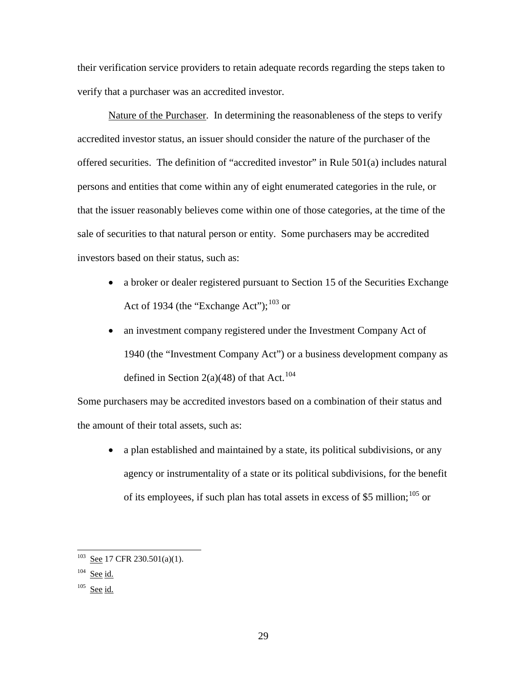their verification service providers to retain adequate records regarding the steps taken to verify that a purchaser was an accredited investor.

Nature of the Purchaser. In determining the reasonableness of the steps to verify accredited investor status, an issuer should consider the nature of the purchaser of the offered securities. The definition of "accredited investor" in Rule 501(a) includes natural persons and entities that come within any of eight enumerated categories in the rule, or that the issuer reasonably believes come within one of those categories, at the time of the sale of securities to that natural person or entity. Some purchasers may be accredited investors based on their status, such as:

- a broker or dealer registered pursuant to Section 15 of the Securities Exchange Act of 1934 (the "Exchange Act"); $^{103}$  $^{103}$  $^{103}$  or
- an investment company registered under the Investment Company Act of 1940 (the "Investment Company Act") or a business development company as defined in Section 2(a)(48) of that Act.<sup>[104](#page-28-1)</sup>

Some purchasers may be accredited investors based on a combination of their status and the amount of their total assets, such as:

• a plan established and maintained by a state, its political subdivisions, or any agency or instrumentality of a state or its political subdivisions, for the benefit of its employees, if such plan has total assets in excess of \$5 million;<sup>[105](#page-28-2)</sup> or

 $103$  See 17 CFR 230.501(a)(1).

<span id="page-28-1"></span><span id="page-28-0"></span> $104$  See id.

<span id="page-28-2"></span> $105$  See id.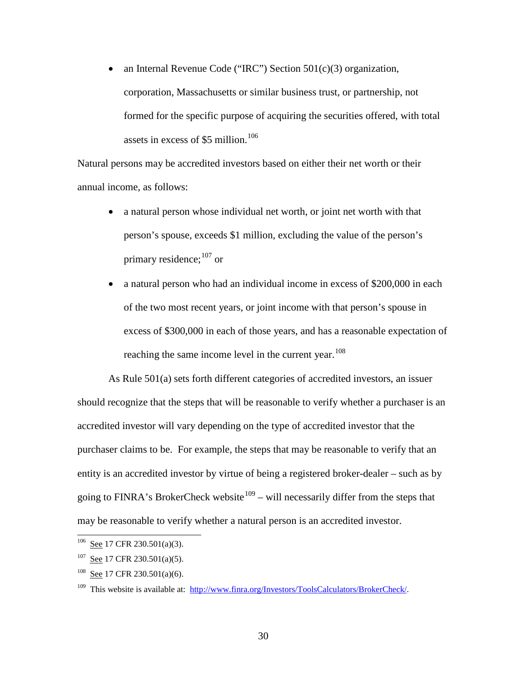• an Internal Revenue Code ("IRC") Section 501(c)(3) organization, corporation, Massachusetts or similar business trust, or partnership, not formed for the specific purpose of acquiring the securities offered, with total assets in excess of \$5 million.<sup>[106](#page-29-0)</sup>

Natural persons may be accredited investors based on either their net worth or their annual income, as follows:

- a natural person whose individual net worth, or joint net worth with that person's spouse, exceeds \$1 million, excluding the value of the person's primary residence; <sup>[107](#page-29-1)</sup> or
- a natural person who had an individual income in excess of \$200,000 in each of the two most recent years, or joint income with that person's spouse in excess of \$300,000 in each of those years, and has a reasonable expectation of reaching the same income level in the current year.<sup>[108](#page-29-2)</sup>

As Rule 501(a) sets forth different categories of accredited investors, an issuer should recognize that the steps that will be reasonable to verify whether a purchaser is an accredited investor will vary depending on the type of accredited investor that the purchaser claims to be. For example, the steps that may be reasonable to verify that an entity is an accredited investor by virtue of being a registered broker-dealer – such as by going to FINRA's BrokerCheck website<sup>109</sup> – will necessarily differ from the steps that may be reasonable to verify whether a natural person is an accredited investor.

 $106$  See 17 CFR 230.501(a)(3).

<span id="page-29-1"></span><span id="page-29-0"></span> $107$  See 17 CFR 230.501(a)(5).

<span id="page-29-2"></span><sup>&</sup>lt;sup>108</sup> See 17 CFR 230.501(a)(6).

<span id="page-29-3"></span><sup>109</sup> This website is available at: [http://www.finra.org/Investors/ToolsCalculators/BrokerCheck/.](http://www.finra.org/Investors/ToolsCalculators/BrokerCheck/)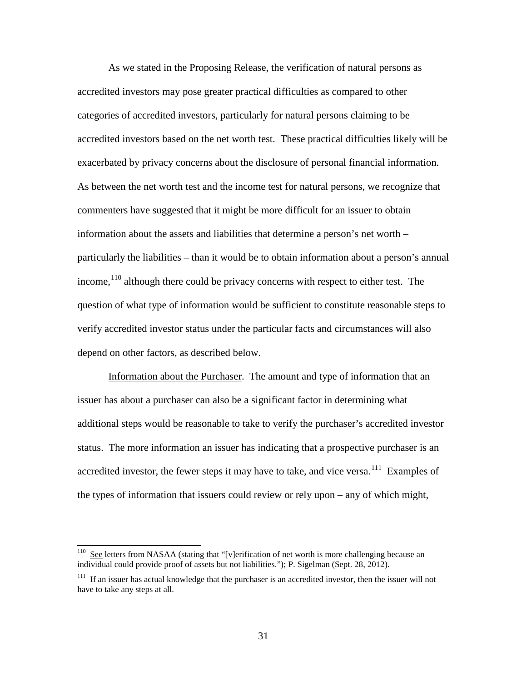As we stated in the Proposing Release, the verification of natural persons as accredited investors may pose greater practical difficulties as compared to other categories of accredited investors, particularly for natural persons claiming to be accredited investors based on the net worth test. These practical difficulties likely will be exacerbated by privacy concerns about the disclosure of personal financial information. As between the net worth test and the income test for natural persons, we recognize that commenters have suggested that it might be more difficult for an issuer to obtain information about the assets and liabilities that determine a person's net worth – particularly the liabilities – than it would be to obtain information about a person's annual income,  $110$  although there could be privacy concerns with respect to either test. The question of what type of information would be sufficient to constitute reasonable steps to verify accredited investor status under the particular facts and circumstances will also depend on other factors, as described below.

Information about the Purchaser. The amount and type of information that an issuer has about a purchaser can also be a significant factor in determining what additional steps would be reasonable to take to verify the purchaser's accredited investor status. The more information an issuer has indicating that a prospective purchaser is an accredited investor, the fewer steps it may have to take, and vice versa.<sup>111</sup> Examples of the types of information that issuers could review or rely upon – any of which might,

<span id="page-30-0"></span><sup>&</sup>lt;sup>110</sup> See letters from NASAA (stating that "[v]erification of net worth is more challenging because an individual could provide proof of assets but not liabilities."); P. Sigelman (Sept. 28, 2012).

<span id="page-30-1"></span><sup>&</sup>lt;sup>111</sup> If an issuer has actual knowledge that the purchaser is an accredited investor, then the issuer will not have to take any steps at all.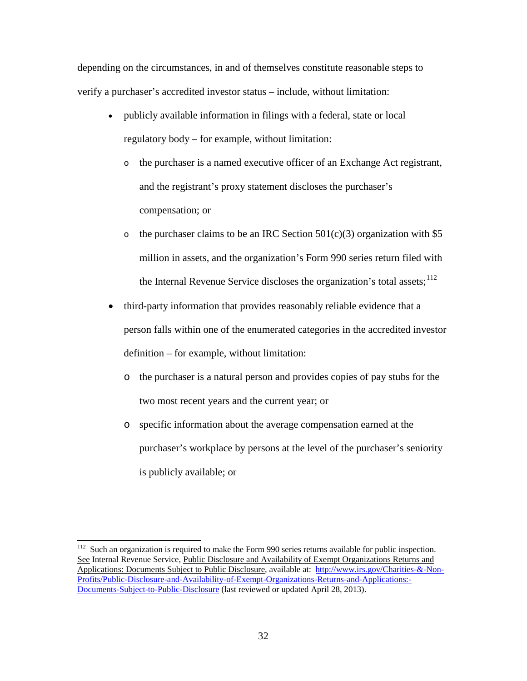depending on the circumstances, in and of themselves constitute reasonable steps to verify a purchaser's accredited investor status – include, without limitation:

- publicly available information in filings with a federal, state or local regulatory body – for example, without limitation:
	- o the purchaser is a named executive officer of an Exchange Act registrant, and the registrant's proxy statement discloses the purchaser's compensation; or
	- o the purchaser claims to be an IRC Section  $501(c)(3)$  organization with \$5 million in assets, and the organization's Form 990 series return filed with the Internal Revenue Service discloses the organization's total assets;  $^{112}$  $^{112}$  $^{112}$
- third-party information that provides reasonably reliable evidence that a person falls within one of the enumerated categories in the accredited investor definition – for example, without limitation:
	- o the purchaser is a natural person and provides copies of pay stubs for the two most recent years and the current year; or
	- o specific information about the average compensation earned at the purchaser's workplace by persons at the level of the purchaser's seniority is publicly available; or

<span id="page-31-0"></span> $112$  Such an organization is required to make the Form 990 series returns available for public inspection. See Internal Revenue Service, Public Disclosure and Availability of Exempt Organizations Returns and Applications: Documents Subject to Public Disclosure, available at: [http://www.irs.gov/Charities-&-Non-](http://www.irs.gov/Charities-&-Non-Profits/Public-Disclosure-and-Availability-of-Exempt-Organizations-Returns-and-Applications:-Documents-Subject-to-Public-Disclosure)[Profits/Public-Disclosure-and-Availability-of-Exempt-Organizations-Returns-and-Applications:-](http://www.irs.gov/Charities-&-Non-Profits/Public-Disclosure-and-Availability-of-Exempt-Organizations-Returns-and-Applications:-Documents-Subject-to-Public-Disclosure) [Documents-Subject-to-Public-Disclosure](http://www.irs.gov/Charities-&-Non-Profits/Public-Disclosure-and-Availability-of-Exempt-Organizations-Returns-and-Applications:-Documents-Subject-to-Public-Disclosure) (last reviewed or updated April 28, 2013).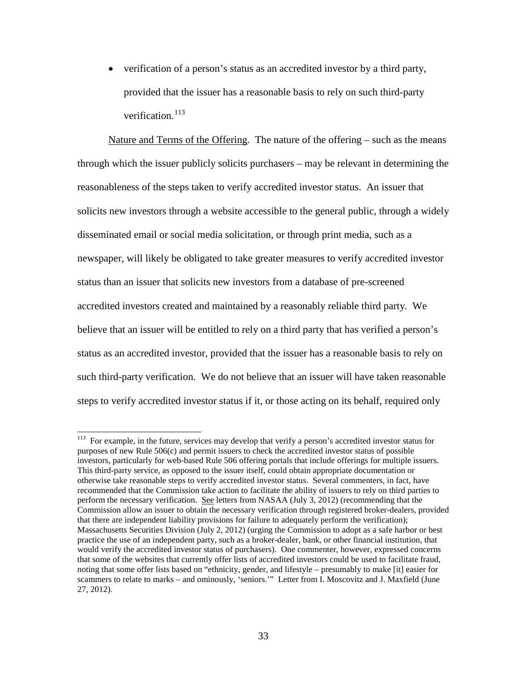• verification of a person's status as an accredited investor by a third party, provided that the issuer has a reasonable basis to rely on such third-party verification. [113](#page-32-0)

Nature and Terms of the Offering. The nature of the offering – such as the means through which the issuer publicly solicits purchasers – may be relevant in determining the reasonableness of the steps taken to verify accredited investor status. An issuer that solicits new investors through a website accessible to the general public, through a widely disseminated email or social media solicitation, or through print media, such as a newspaper, will likely be obligated to take greater measures to verify accredited investor status than an issuer that solicits new investors from a database of pre-screened accredited investors created and maintained by a reasonably reliable third party. We believe that an issuer will be entitled to rely on a third party that has verified a person's status as an accredited investor, provided that the issuer has a reasonable basis to rely on such third-party verification. We do not believe that an issuer will have taken reasonable steps to verify accredited investor status if it, or those acting on its behalf, required only

<span id="page-32-0"></span><sup>&</sup>lt;sup>113</sup> For example, in the future, services may develop that verify a person's accredited investor status for purposes of new Rule 506(c) and permit issuers to check the accredited investor status of possible investors, particularly for web-based Rule 506 offering portals that include offerings for multiple issuers. This third-party service, as opposed to the issuer itself, could obtain appropriate documentation or otherwise take reasonable steps to verify accredited investor status. Several commenters, in fact, have recommended that the Commission take action to facilitate the ability of issuers to rely on third parties to perform the necessary verification. See letters from NASAA (July 3, 2012) (recommending that the Commission allow an issuer to obtain the necessary verification through registered broker-dealers, provided that there are independent liability provisions for failure to adequately perform the verification); Massachusetts Securities Division (July 2, 2012) (urging the Commission to adopt as a safe harbor or best practice the use of an independent party, such as a broker-dealer, bank, or other financial institution, that would verify the accredited investor status of purchasers). One commenter, however, expressed concerns that some of the websites that currently offer lists of accredited investors could be used to facilitate fraud, noting that some offer lists based on "ethnicity, gender, and lifestyle – presumably to make [it] easier for scammers to relate to marks – and ominously, 'seniors.'" Letter from I. Moscovitz and J. Maxfield (June 27, 2012).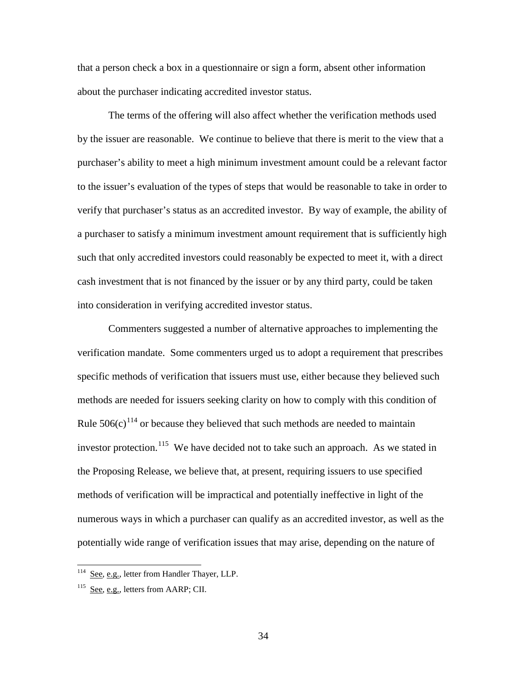that a person check a box in a questionnaire or sign a form, absent other information about the purchaser indicating accredited investor status.

The terms of the offering will also affect whether the verification methods used by the issuer are reasonable. We continue to believe that there is merit to the view that a purchaser's ability to meet a high minimum investment amount could be a relevant factor to the issuer's evaluation of the types of steps that would be reasonable to take in order to verify that purchaser's status as an accredited investor. By way of example, the ability of a purchaser to satisfy a minimum investment amount requirement that is sufficiently high such that only accredited investors could reasonably be expected to meet it, with a direct cash investment that is not financed by the issuer or by any third party, could be taken into consideration in verifying accredited investor status.

Commenters suggested a number of alternative approaches to implementing the verification mandate. Some commenters urged us to adopt a requirement that prescribes specific methods of verification that issuers must use, either because they believed such methods are needed for issuers seeking clarity on how to comply with this condition of Rule  $506(c)^{114}$  $506(c)^{114}$  $506(c)^{114}$  or because they believed that such methods are needed to maintain investor protection.<sup>[115](#page-33-1)</sup> We have decided not to take such an approach. As we stated in the Proposing Release, we believe that, at present, requiring issuers to use specified methods of verification will be impractical and potentially ineffective in light of the numerous ways in which a purchaser can qualify as an accredited investor, as well as the potentially wide range of verification issues that may arise, depending on the nature of

 $114$  See, e.g., letter from Handler Thayer, LLP.

<span id="page-33-1"></span><span id="page-33-0"></span><sup>&</sup>lt;sup>115</sup> See, e.g., letters from AARP; CII.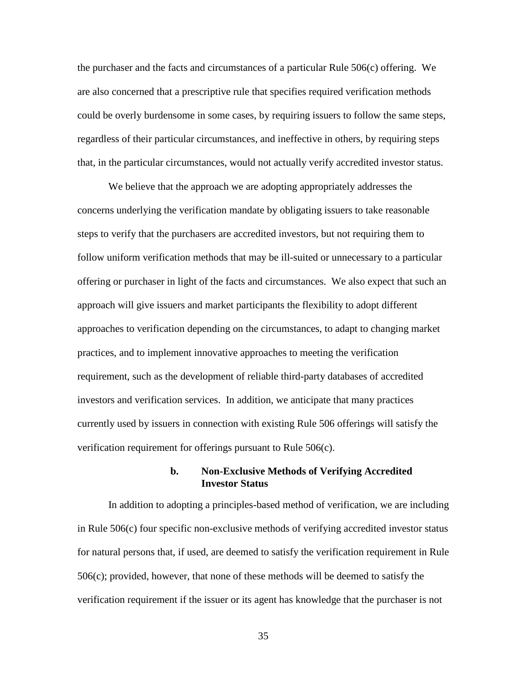the purchaser and the facts and circumstances of a particular Rule 506(c) offering. We are also concerned that a prescriptive rule that specifies required verification methods could be overly burdensome in some cases, by requiring issuers to follow the same steps, regardless of their particular circumstances, and ineffective in others, by requiring steps that, in the particular circumstances, would not actually verify accredited investor status.

We believe that the approach we are adopting appropriately addresses the concerns underlying the verification mandate by obligating issuers to take reasonable steps to verify that the purchasers are accredited investors, but not requiring them to follow uniform verification methods that may be ill-suited or unnecessary to a particular offering or purchaser in light of the facts and circumstances. We also expect that such an approach will give issuers and market participants the flexibility to adopt different approaches to verification depending on the circumstances, to adapt to changing market practices, and to implement innovative approaches to meeting the verification requirement, such as the development of reliable third-party databases of accredited investors and verification services. In addition, we anticipate that many practices currently used by issuers in connection with existing Rule 506 offerings will satisfy the verification requirement for offerings pursuant to Rule 506(c).

## **b. Non-Exclusive Methods of Verifying Accredited Investor Status**

In addition to adopting a principles-based method of verification, we are including in Rule 506(c) four specific non-exclusive methods of verifying accredited investor status for natural persons that, if used, are deemed to satisfy the verification requirement in Rule 506(c); provided, however, that none of these methods will be deemed to satisfy the verification requirement if the issuer or its agent has knowledge that the purchaser is not

35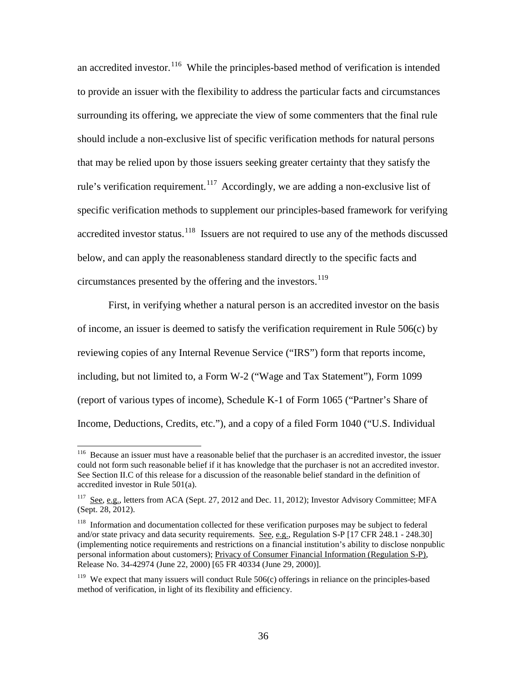an accredited investor.<sup>[116](#page-35-0)</sup> While the principles-based method of verification is intended to provide an issuer with the flexibility to address the particular facts and circumstances surrounding its offering, we appreciate the view of some commenters that the final rule should include a non-exclusive list of specific verification methods for natural persons that may be relied upon by those issuers seeking greater certainty that they satisfy the rule's verification requirement.<sup>[117](#page-35-1)</sup> Accordingly, we are adding a non-exclusive list of specific verification methods to supplement our principles-based framework for verifying accredited investor status.<sup>[118](#page-35-2)</sup> Issuers are not required to use any of the methods discussed below, and can apply the reasonableness standard directly to the specific facts and circumstances presented by the offering and the investors.<sup>[119](#page-35-3)</sup>

First, in verifying whether a natural person is an accredited investor on the basis of income, an issuer is deemed to satisfy the verification requirement in Rule 506(c) by reviewing copies of any Internal Revenue Service ("IRS") form that reports income, including, but not limited to, a Form W-2 ("Wage and Tax Statement"), Form 1099 (report of various types of income), Schedule K-1 of Form 1065 ("Partner's Share of Income, Deductions, Credits, etc."), and a copy of a filed Form 1040 ("U.S. Individual

<span id="page-35-0"></span><sup>&</sup>lt;sup>116</sup> Because an issuer must have a reasonable belief that the purchaser is an accredited investor, the issuer could not form such reasonable belief if it has knowledge that the purchaser is not an accredited investor. See Section II.C of this release for a discussion of the reasonable belief standard in the definition of accredited investor in Rule 501(a).

<span id="page-35-1"></span><sup>&</sup>lt;sup>117</sup> See, e.g., letters from ACA (Sept. 27, 2012 and Dec. 11, 2012); Investor Advisory Committee; MFA (Sept. 28, 2012).

<span id="page-35-2"></span><sup>&</sup>lt;sup>118</sup> Information and documentation collected for these verification purposes may be subject to federal and/or state privacy and data security requirements. See, e.g., Regulation S-P [17 CFR 248.1 - 248.30] (implementing notice requirements and restrictions on a financial institution's ability to disclose nonpublic personal information about customers); Privacy of Consumer Financial Information (Regulation S-P), Release No. 34-42974 (June 22, 2000) [65 FR 40334 (June 29, 2000)].

<span id="page-35-3"></span> $119$  We expect that many issuers will conduct Rule 506(c) offerings in reliance on the principles-based method of verification, in light of its flexibility and efficiency.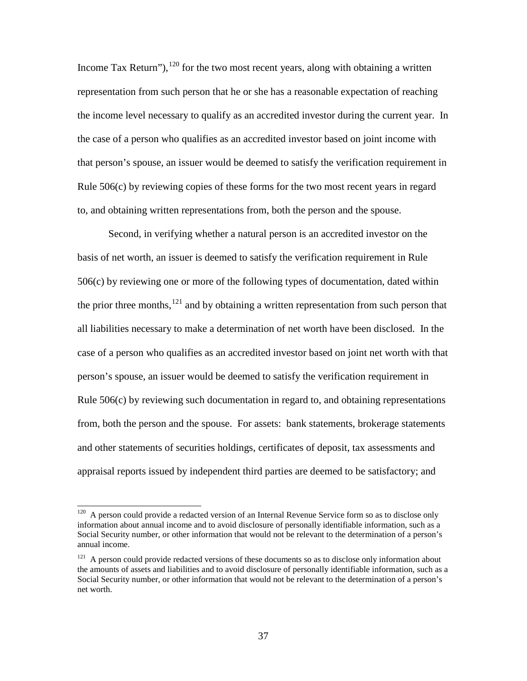Income Tax Return"), $120$  for the two most recent years, along with obtaining a written representation from such person that he or she has a reasonable expectation of reaching the income level necessary to qualify as an accredited investor during the current year. In the case of a person who qualifies as an accredited investor based on joint income with that person's spouse, an issuer would be deemed to satisfy the verification requirement in Rule 506(c) by reviewing copies of these forms for the two most recent years in regard to, and obtaining written representations from, both the person and the spouse.

 Second, in verifying whether a natural person is an accredited investor on the basis of net worth, an issuer is deemed to satisfy the verification requirement in Rule 506(c) by reviewing one or more of the following types of documentation, dated within the prior three months, $121$  and by obtaining a written representation from such person that all liabilities necessary to make a determination of net worth have been disclosed. In the case of a person who qualifies as an accredited investor based on joint net worth with that person's spouse, an issuer would be deemed to satisfy the verification requirement in Rule 506(c) by reviewing such documentation in regard to, and obtaining representations from, both the person and the spouse. For assets: bank statements, brokerage statements and other statements of securities holdings, certificates of deposit, tax assessments and appraisal reports issued by independent third parties are deemed to be satisfactory; and

<span id="page-36-0"></span> $120$  A person could provide a redacted version of an Internal Revenue Service form so as to disclose only information about annual income and to avoid disclosure of personally identifiable information, such as a Social Security number, or other information that would not be relevant to the determination of a person's annual income.

<span id="page-36-1"></span><sup>&</sup>lt;sup>121</sup> A person could provide redacted versions of these documents so as to disclose only information about the amounts of assets and liabilities and to avoid disclosure of personally identifiable information, such as a Social Security number, or other information that would not be relevant to the determination of a person's net worth.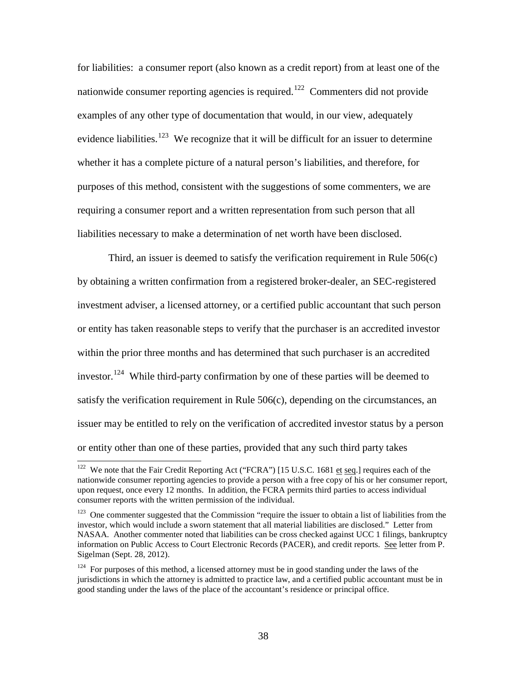for liabilities: a consumer report (also known as a credit report) from at least one of the nationwide consumer reporting agencies is required.<sup>[122](#page-37-0)</sup> Commenters did not provide examples of any other type of documentation that would, in our view, adequately evidence liabilities.<sup>[123](#page-37-1)</sup> We recognize that it will be difficult for an issuer to determine whether it has a complete picture of a natural person's liabilities, and therefore, for purposes of this method, consistent with the suggestions of some commenters, we are requiring a consumer report and a written representation from such person that all liabilities necessary to make a determination of net worth have been disclosed.

Third, an issuer is deemed to satisfy the verification requirement in Rule 506(c) by obtaining a written confirmation from a registered broker-dealer, an SEC-registered investment adviser, a licensed attorney, or a certified public accountant that such person or entity has taken reasonable steps to verify that the purchaser is an accredited investor within the prior three months and has determined that such purchaser is an accredited investor.<sup>[124](#page-37-2)</sup> While third-party confirmation by one of these parties will be deemed to satisfy the verification requirement in Rule 506(c), depending on the circumstances, an issuer may be entitled to rely on the verification of accredited investor status by a person or entity other than one of these parties, provided that any such third party takes

<span id="page-37-0"></span><sup>&</sup>lt;sup>122</sup> We note that the Fair Credit Reporting Act ("FCRA") [15 U.S.C. 1681 et seq.] requires each of the nationwide consumer reporting agencies to provide a person with a free copy of his or her consumer report, upon request, once every 12 months. In addition, the FCRA permits third parties to access individual consumer reports with the written permission of the individual.

<span id="page-37-1"></span><sup>&</sup>lt;sup>123</sup> One commenter suggested that the Commission "require the issuer to obtain a list of liabilities from the investor, which would include a sworn statement that all material liabilities are disclosed." Letter from NASAA. Another commenter noted that liabilities can be cross checked against UCC 1 filings, bankruptcy information on Public Access to Court Electronic Records (PACER), and credit reports. See letter from P. Sigelman (Sept. 28, 2012).

<span id="page-37-2"></span> $124$  For purposes of this method, a licensed attorney must be in good standing under the laws of the jurisdictions in which the attorney is admitted to practice law, and a certified public accountant must be in good standing under the laws of the place of the accountant's residence or principal office.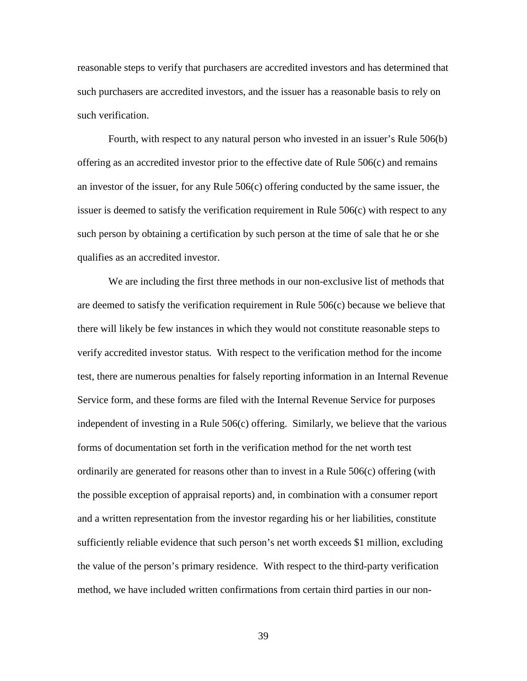reasonable steps to verify that purchasers are accredited investors and has determined that such purchasers are accredited investors, and the issuer has a reasonable basis to rely on such verification.

Fourth, with respect to any natural person who invested in an issuer's Rule 506(b) offering as an accredited investor prior to the effective date of Rule 506(c) and remains an investor of the issuer, for any Rule 506(c) offering conducted by the same issuer, the issuer is deemed to satisfy the verification requirement in Rule 506(c) with respect to any such person by obtaining a certification by such person at the time of sale that he or she qualifies as an accredited investor.

We are including the first three methods in our non-exclusive list of methods that are deemed to satisfy the verification requirement in Rule 506(c) because we believe that there will likely be few instances in which they would not constitute reasonable steps to verify accredited investor status. With respect to the verification method for the income test, there are numerous penalties for falsely reporting information in an Internal Revenue Service form, and these forms are filed with the Internal Revenue Service for purposes independent of investing in a Rule 506(c) offering. Similarly, we believe that the various forms of documentation set forth in the verification method for the net worth test ordinarily are generated for reasons other than to invest in a Rule 506(c) offering (with the possible exception of appraisal reports) and, in combination with a consumer report and a written representation from the investor regarding his or her liabilities, constitute sufficiently reliable evidence that such person's net worth exceeds \$1 million, excluding the value of the person's primary residence. With respect to the third-party verification method, we have included written confirmations from certain third parties in our non-

39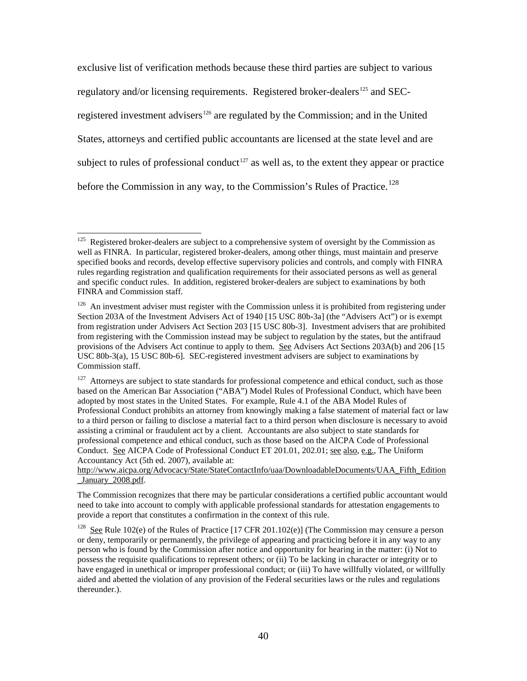exclusive list of verification methods because these third parties are subject to various regulatory and/or licensing requirements. Registered broker-dealers<sup>125</sup> and SEC-registered investment advisers<sup>[126](#page-39-1)</sup> are regulated by the Commission; and in the United States, attorneys and certified public accountants are licensed at the state level and are subject to rules of professional conduct<sup>[127](#page-39-2)</sup> as well as, to the extent they appear or practice before the Commission in any way, to the Commission's Rules of Practice.<sup>128</sup>

<span id="page-39-0"></span><sup>125</sup> Registered broker-dealers are subject to a comprehensive system of oversight by the Commission as well as FINRA. In particular, registered broker-dealers, among other things, must maintain and preserve specified books and records, develop effective supervisory policies and controls, and comply with FINRA rules regarding registration and qualification requirements for their associated persons as well as general and specific conduct rules. In addition, registered broker-dealers are subject to examinations by both FINRA and Commission staff.

<span id="page-39-1"></span><sup>&</sup>lt;sup>126</sup> An investment adviser must register with the Commission unless it is prohibited from registering under Section 203A of the Investment Advisers Act of 1940 [15 USC 80b-3a] (the "Advisers Act") or is exempt from registration under Advisers Act Section 203 [15 USC 80b-3]. Investment advisers that are prohibited from registering with the Commission instead may be subject to regulation by the states, but the antifraud provisions of the Advisers Act continue to apply to them. See Advisers Act Sections 203A(b) and 206 [15 USC 80b-3(a), 15 USC 80b-6]. SEC-registered investment advisers are subject to examinations by Commission staff.

<span id="page-39-2"></span><sup>&</sup>lt;sup>127</sup> Attorneys are subject to state standards for professional competence and ethical conduct, such as those based on the American Bar Association ("ABA") Model Rules of Professional Conduct, which have been adopted by most states in the United States. For example, Rule 4.1 of the ABA Model Rules of Professional Conduct prohibits an attorney from knowingly making a false statement of material fact or law to a third person or failing to disclose a material fact to a third person when disclosure is necessary to avoid assisting a criminal or fraudulent act by a client. Accountants are also subject to state standards for professional competence and ethical conduct, such as those based on the AICPA Code of Professional Conduct. See AICPA Code of Professional Conduct ET 201.01, 202.01; see also, e.g., The Uniform Accountancy Act (5th ed. 2007), available at:

[http://www.aicpa.org/Advocacy/State/StateContactInfo/uaa/DownloadableDocuments/UAA\\_Fifth\\_Edition](http://www.aicpa.org/Advocacy/State/StateContactInfo/uaa/DownloadableDocuments/UAA_Fifth_Edition_January_2008.pdf) January 2008.pdf.

The Commission recognizes that there may be particular considerations a certified public accountant would need to take into account to comply with applicable professional standards for attestation engagements to provide a report that constitutes a confirmation in the context of this rule.

<span id="page-39-3"></span><sup>&</sup>lt;sup>128</sup> See Rule 102(e) of the Rules of Practice [17 CFR 201.102(e)] (The Commission may censure a person or deny, temporarily or permanently, the privilege of appearing and practicing before it in any way to any person who is found by the Commission after notice and opportunity for hearing in the matter: (i) Not to possess the requisite qualifications to represent others; or (ii) To be lacking in character or integrity or to have engaged in unethical or improper professional conduct; or (iii) To have willfully violated, or willfully aided and abetted the violation of any provision of the Federal securities laws or the rules and regulations thereunder.).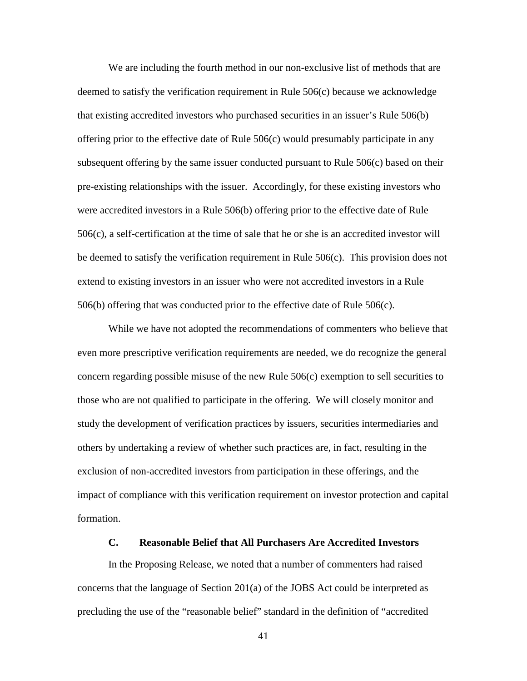We are including the fourth method in our non-exclusive list of methods that are deemed to satisfy the verification requirement in Rule 506(c) because we acknowledge that existing accredited investors who purchased securities in an issuer's Rule 506(b) offering prior to the effective date of Rule 506(c) would presumably participate in any subsequent offering by the same issuer conducted pursuant to Rule 506(c) based on their pre-existing relationships with the issuer. Accordingly, for these existing investors who were accredited investors in a Rule 506(b) offering prior to the effective date of Rule 506(c), a self-certification at the time of sale that he or she is an accredited investor will be deemed to satisfy the verification requirement in Rule 506(c). This provision does not extend to existing investors in an issuer who were not accredited investors in a Rule 506(b) offering that was conducted prior to the effective date of Rule 506(c).

While we have not adopted the recommendations of commenters who believe that even more prescriptive verification requirements are needed, we do recognize the general concern regarding possible misuse of the new Rule 506(c) exemption to sell securities to those who are not qualified to participate in the offering. We will closely monitor and study the development of verification practices by issuers, securities intermediaries and others by undertaking a review of whether such practices are, in fact, resulting in the exclusion of non-accredited investors from participation in these offerings, and the impact of compliance with this verification requirement on investor protection and capital formation.

# **C. Reasonable Belief that All Purchasers Are Accredited Investors**

In the Proposing Release, we noted that a number of commenters had raised concerns that the language of Section 201(a) of the JOBS Act could be interpreted as precluding the use of the "reasonable belief" standard in the definition of "accredited

41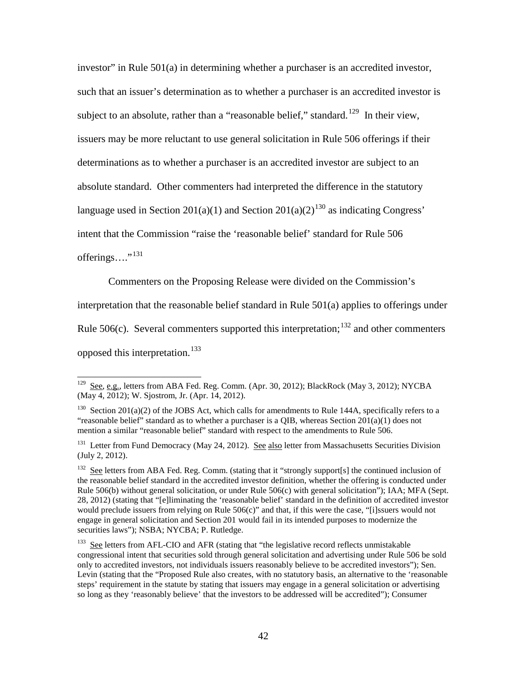investor" in Rule 501(a) in determining whether a purchaser is an accredited investor, such that an issuer's determination as to whether a purchaser is an accredited investor is subject to an absolute, rather than a "reasonable belief," standard.<sup>[129](#page-41-0)</sup> In their view, issuers may be more reluctant to use general solicitation in Rule 506 offerings if their determinations as to whether a purchaser is an accredited investor are subject to an absolute standard. Other commenters had interpreted the difference in the statutory language used in Section 201(a)(1) and Section 201(a)(2)<sup>[130](#page-41-1)</sup> as indicating Congress' intent that the Commission "raise the 'reasonable belief' standard for Rule 506 offerings...."<sup>[131](#page-41-2)</sup>

Commenters on the Proposing Release were divided on the Commission's

interpretation that the reasonable belief standard in Rule 501(a) applies to offerings under

Rule 506(c). Several commenters supported this interpretation;  $^{132}$  $^{132}$  $^{132}$  and other commenters

opposed this interpretation.<sup>[133](#page-41-4)</sup>

<span id="page-41-0"></span> $129$  See, e.g., letters from ABA Fed. Reg. Comm. (Apr. 30, 2012); BlackRock (May 3, 2012); NYCBA (May 4, 2012); W. Sjostrom, Jr. (Apr. 14, 2012).

<span id="page-41-1"></span><sup>&</sup>lt;sup>130</sup> Section 201(a)(2) of the JOBS Act, which calls for amendments to Rule 144A, specifically refers to a "reasonable belief" standard as to whether a purchaser is a QIB, whereas Section  $201(a)(1)$  does not mention a similar "reasonable belief" standard with respect to the amendments to Rule 506.

<span id="page-41-2"></span><sup>&</sup>lt;sup>131</sup> Letter from Fund Democracy (May 24, 2012). See also letter from Massachusetts Securities Division (July 2, 2012).

<span id="page-41-3"></span><sup>&</sup>lt;sup>132</sup> See letters from ABA Fed. Reg. Comm. (stating that it "strongly support[s] the continued inclusion of the reasonable belief standard in the accredited investor definition, whether the offering is conducted under Rule 506(b) without general solicitation, or under Rule 506(c) with general solicitation"); IAA; MFA (Sept. 28, 2012) (stating that "[e]liminating the 'reasonable belief' standard in the definition of accredited investor would preclude issuers from relying on Rule 506(c)" and that, if this were the case, "[i]ssuers would not engage in general solicitation and Section 201 would fail in its intended purposes to modernize the securities laws"); NSBA; NYCBA; P. Rutledge.

<span id="page-41-4"></span><sup>133</sup> See letters from AFL-CIO and AFR (stating that "the legislative record reflects unmistakable congressional intent that securities sold through general solicitation and advertising under Rule 506 be sold only to accredited investors, not individuals issuers reasonably believe to be accredited investors"); Sen. Levin (stating that the "Proposed Rule also creates, with no statutory basis, an alternative to the 'reasonable steps' requirement in the statute by stating that issuers may engage in a general solicitation or advertising so long as they 'reasonably believe' that the investors to be addressed will be accredited"); Consumer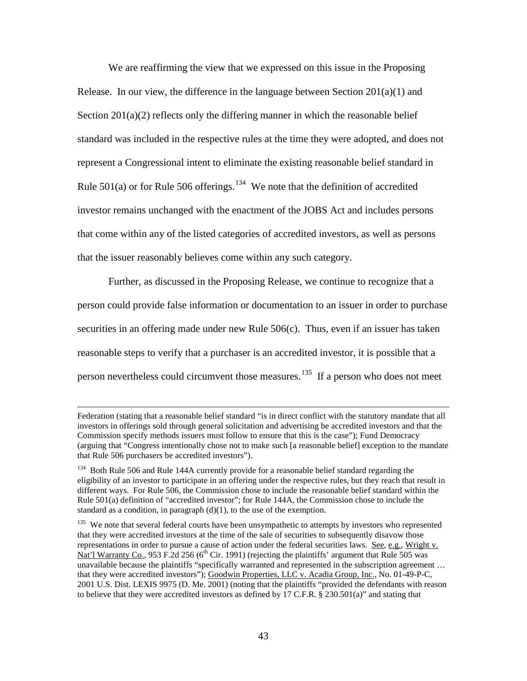We are reaffirming the view that we expressed on this issue in the Proposing Release. In our view, the difference in the language between Section  $201(a)(1)$  and Section  $201(a)(2)$  reflects only the differing manner in which the reasonable belief standard was included in the respective rules at the time they were adopted, and does not represent a Congressional intent to eliminate the existing reasonable belief standard in Rule 501(a) or for Rule 506 offerings.<sup>134</sup> We note that the definition of accredited investor remains unchanged with the enactment of the JOBS Act and includes persons that come within any of the listed categories of accredited investors, as well as persons that the issuer reasonably believes come within any such category.

Further, as discussed in the Proposing Release, we continue to recognize that a person could provide false information or documentation to an issuer in order to purchase securities in an offering made under new Rule 506(c). Thus, even if an issuer has taken reasonable steps to verify that a purchaser is an accredited investor, it is possible that a person nevertheless could circumvent those measures.<sup>135</sup> If a person who does not meet

Federation (stating that a reasonable belief standard "is in direct conflict with the statutory mandate that all investors in offerings sold through general solicitation and advertising be accredited investors and that the Commission specify methods issuers must follow to ensure that this is the case"); Fund Democracy (arguing that "Congress intentionally chose not to make such [a reasonable belief] exception to the mandate that Rule 506 purchasers be accredited investors").

<span id="page-42-0"></span><sup>&</sup>lt;sup>134</sup> Both Rule 506 and Rule 144A currently provide for a reasonable belief standard regarding the eligibility of an investor to participate in an offering under the respective rules, but they reach that result in different ways. For Rule 506, the Commission chose to include the reasonable belief standard within the Rule 501(a) definition of "accredited investor"; for Rule 144A, the Commission chose to include the standard as a condition, in paragraph  $(d)(1)$ , to the use of the exemption.

<span id="page-42-1"></span><sup>&</sup>lt;sup>135</sup> We note that several federal courts have been unsympathetic to attempts by investors who represented that they were accredited investors at the time of the sale of securities to subsequently disavow those representations in order to pursue a cause of action under the federal securities laws. See, e.g., Wright v. Nat'l Warranty Co., 953 F.2d 256 ( $6<sup>th</sup>$  Cir. 1991) (rejecting the plaintiffs' argument that Rule 505 was unavailable because the plaintiffs "specifically warranted and represented in the subscription agreement … that they were accredited investors"); Goodwin Properties, LLC v. Acadia Group, Inc., No. 01-49-P-C, 2001 U.S. Dist. LEXIS 9975 (D. Me. 2001) (noting that the plaintiffs "provided the defendants with reason to believe that they were accredited investors as defined by 17 C.F.R.  $\S$  230.501(a)" and stating that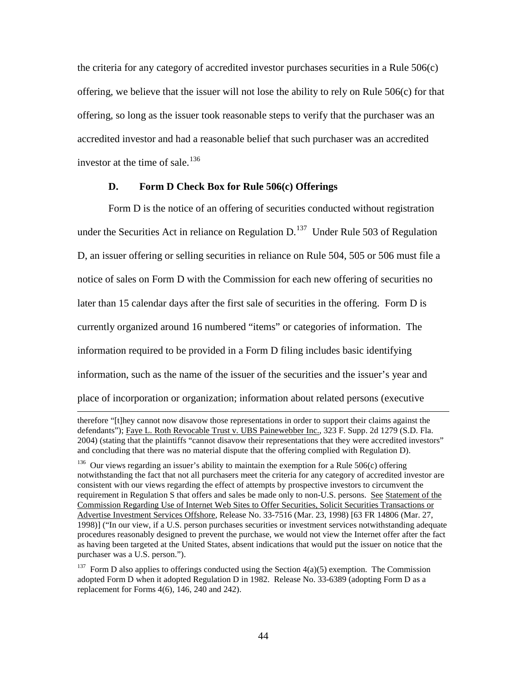the criteria for any category of accredited investor purchases securities in a Rule 506(c) offering, we believe that the issuer will not lose the ability to rely on Rule 506(c) for that offering, so long as the issuer took reasonable steps to verify that the purchaser was an accredited investor and had a reasonable belief that such purchaser was an accredited investor at the time of sale. [136](#page-43-0) 

### **D. Form D Check Box for Rule 506(c) Offerings**

Form D is the notice of an offering of securities conducted without registration under the Securities Act in reliance on Regulation  $D<sup>137</sup>$  Under Rule 503 of Regulation D, an issuer offering or selling securities in reliance on Rule 504, 505 or 506 must file a notice of sales on Form D with the Commission for each new offering of securities no later than 15 calendar days after the first sale of securities in the offering. Form D is currently organized around 16 numbered "items" or categories of information. The information required to be provided in a Form D filing includes basic identifying information, such as the name of the issuer of the securities and the issuer's year and place of incorporation or organization; information about related persons (executive

therefore "[t]hey cannot now disavow those representations in order to support their claims against the defendants"); Faye L. Roth Revocable Trust v. UBS Painewebber Inc., 323 F. Supp. 2d 1279 (S.D. Fla. 2004) (stating that the plaintiffs "cannot disavow their representations that they were accredited investors" and concluding that there was no material dispute that the offering complied with Regulation D).

<span id="page-43-0"></span><sup>&</sup>lt;sup>136</sup> Our views regarding an issuer's ability to maintain the exemption for a Rule 506(c) offering notwithstanding the fact that not all purchasers meet the criteria for any category of accredited investor are consistent with our views regarding the effect of attempts by prospective investors to circumvent the requirement in Regulation S that offers and sales be made only to non-U.S. persons. See Statement of the Commission Regarding Use of Internet Web Sites to Offer Securities, Solicit Securities Transactions or Advertise Investment Services Offshore, Release No. 33-7516 (Mar. 23, 1998) [63 FR 14806 (Mar. 27, 1998)] ("In our view, if a U.S. person purchases securities or investment services notwithstanding adequate procedures reasonably designed to prevent the purchase, we would not view the Internet offer after the fact as having been targeted at the United States, absent indications that would put the issuer on notice that the purchaser was a U.S. person.").

<span id="page-43-1"></span><sup>&</sup>lt;sup>137</sup> Form D also applies to offerings conducted using the Section  $4(a)(5)$  exemption. The Commission adopted Form D when it adopted Regulation D in 1982. Release No. 33-6389 (adopting Form D as a replacement for Forms 4(6), 146, 240 and 242).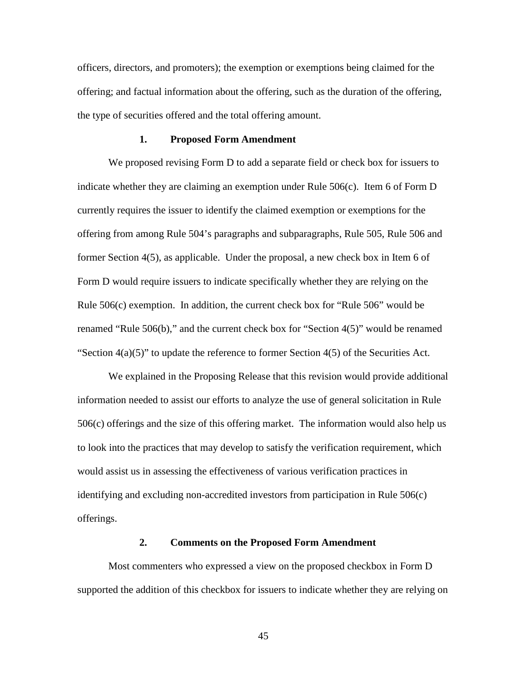officers, directors, and promoters); the exemption or exemptions being claimed for the offering; and factual information about the offering, such as the duration of the offering, the type of securities offered and the total offering amount.

### **1. Proposed Form Amendment**

We proposed revising Form D to add a separate field or check box for issuers to indicate whether they are claiming an exemption under Rule 506(c). Item 6 of Form D currently requires the issuer to identify the claimed exemption or exemptions for the offering from among Rule 504's paragraphs and subparagraphs, Rule 505, Rule 506 and former Section 4(5), as applicable. Under the proposal, a new check box in Item 6 of Form D would require issuers to indicate specifically whether they are relying on the Rule 506(c) exemption. In addition, the current check box for "Rule 506" would be renamed "Rule 506(b)," and the current check box for "Section 4(5)" would be renamed "Section  $4(a)(5)$ " to update the reference to former Section  $4(5)$  of the Securities Act.

 We explained in the Proposing Release that this revision would provide additional information needed to assist our efforts to analyze the use of general solicitation in Rule 506(c) offerings and the size of this offering market. The information would also help us to look into the practices that may develop to satisfy the verification requirement, which would assist us in assessing the effectiveness of various verification practices in identifying and excluding non-accredited investors from participation in Rule 506(c) offerings.

## **2. Comments on the Proposed Form Amendment**

Most commenters who expressed a view on the proposed checkbox in Form D supported the addition of this checkbox for issuers to indicate whether they are relying on

45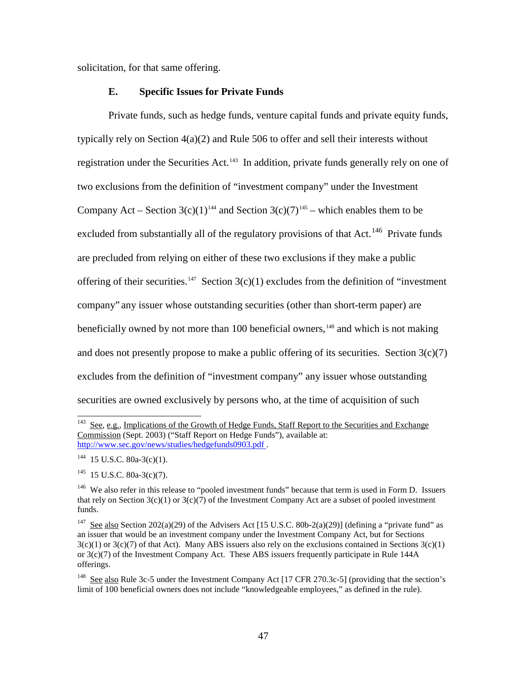solicitation, for that same offering.

## **E. Specific Issues for Private Funds**

Private funds, such as hedge funds, venture capital funds and private equity funds, typically rely on Section 4(a)(2) and Rule 506 to offer and sell their interests without registration under the Securities Act.<sup>[143](#page-46-0)</sup> In addition, private funds generally rely on one of two exclusions from the definition of "investment company" under the Investment Company Act – Section 3(c)(1)<sup>144</sup> and Section 3(c)(7)<sup>[145](#page-46-2)</sup> – which enables them to be excluded from substantially all of the regulatory provisions of that Act.<sup>[146](#page-46-3)</sup> Private funds are precluded from relying on either of these two exclusions if they make a public offering of their securities.<sup>[147](#page-46-4)</sup> Section  $3(c)(1)$  excludes from the definition of "investment" company" any issuer whose outstanding securities (other than short-term paper) are beneficially owned by not more than 100 beneficial owners,  $148$  and which is not making and does not presently propose to make a public offering of its securities. Section  $3(c)(7)$ excludes from the definition of "investment company" any issuer whose outstanding securities are owned exclusively by persons who, at the time of acquisition of such

<span id="page-46-0"></span> $\overline{a}$ <sup>143</sup> See, e.g., Implications of the Growth of Hedge Funds, Staff Report to the Securities and Exchange Commission (Sept. 2003) ("Staff Report on Hedge Funds"), available at: <http://www.sec.gov/news/studies/hedgefunds0903.pdf> .

<span id="page-46-1"></span> $144$  15 U.S.C. 80a-3(c)(1).

<span id="page-46-2"></span> $145$  15 U.S.C. 80a-3(c)(7).

<span id="page-46-3"></span><sup>&</sup>lt;sup>146</sup> We also refer in this release to "pooled investment funds" because that term is used in Form D. Issuers that rely on Section  $3(c)(1)$  or  $3(c)(7)$  of the Investment Company Act are a subset of pooled investment funds.

<span id="page-46-4"></span><sup>&</sup>lt;sup>147</sup> See also Section 202(a)(29) of the Advisers Act [15 U.S.C. 80b-2(a)(29)] (defining a "private fund" as an issuer that would be an investment company under the Investment Company Act, but for Sections  $3(c)(1)$  or  $3(c)(7)$  of that Act). Many ABS issuers also rely on the exclusions contained in Sections  $3(c)(1)$ or 3(c)(7) of the Investment Company Act. These ABS issuers frequently participate in Rule 144A offerings.

<span id="page-46-5"></span><sup>&</sup>lt;sup>148</sup> See also Rule 3c-5 under the Investment Company Act [17 CFR 270.3c-5] (providing that the section's limit of 100 beneficial owners does not include "knowledgeable employees," as defined in the rule).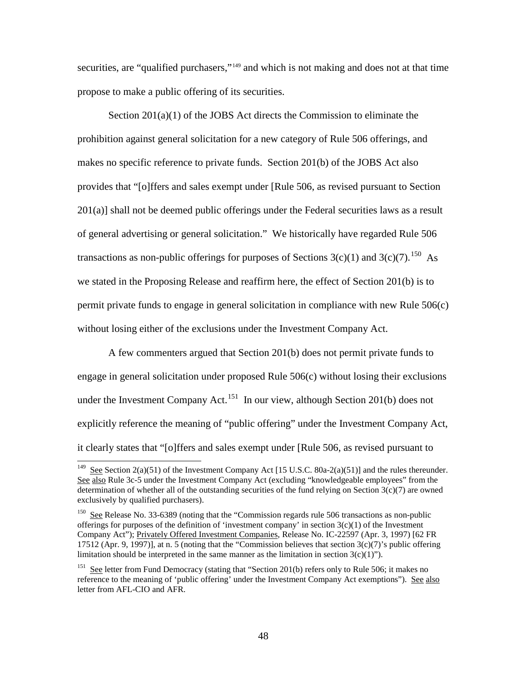securities, are "qualified purchasers,"<sup>149</sup> and which is not making and does not at that time propose to make a public offering of its securities.

Section 201(a)(1) of the JOBS Act directs the Commission to eliminate the prohibition against general solicitation for a new category of Rule 506 offerings, and makes no specific reference to private funds. Section 201(b) of the JOBS Act also provides that "[o]ffers and sales exempt under [Rule 506, as revised pursuant to Section 201(a)] shall not be deemed public offerings under the Federal securities laws as a result of general advertising or general solicitation." We historically have regarded Rule 506 transactions as non-public offerings for purposes of Sections  $3(c)(1)$  and  $3(c)(7)$ .<sup>150</sup> As we stated in the Proposing Release and reaffirm here, the effect of Section 201(b) is to permit private funds to engage in general solicitation in compliance with new Rule 506(c) without losing either of the exclusions under the Investment Company Act.

A few commenters argued that Section 201(b) does not permit private funds to engage in general solicitation under proposed Rule 506(c) without losing their exclusions under the Investment Company Act.<sup>[151](#page-47-2)</sup> In our view, although Section 201(b) does not explicitly reference the meaning of "public offering" under the Investment Company Act, it clearly states that "[o]ffers and sales exempt under [Rule 506, as revised pursuant to

<span id="page-47-0"></span><sup>&</sup>lt;sup>149</sup> See Section 2(a)(51) of the Investment Company Act [15 U.S.C. 80a-2(a)(51)] and the rules thereunder. See also Rule 3c-5 under the Investment Company Act (excluding "knowledgeable employees" from the determination of whether all of the outstanding securities of the fund relying on Section  $3(c)(7)$  are owned exclusively by qualified purchasers).

<span id="page-47-1"></span><sup>&</sup>lt;sup>150</sup> See Release No. 33-6389 (noting that the "Commission regards rule 506 transactions as non-public offerings for purposes of the definition of 'investment company' in section  $3(c)(1)$  of the Investment Company Act"); Privately Offered Investment Companies, Release No. IC-22597 (Apr. 3, 1997) [62 FR 17512 (Apr. 9, 1997)], at n. 5 (noting that the "Commission believes that section  $3(c)(7)$ 's public offering limitation should be interpreted in the same manner as the limitation in section  $3(c)(1)$ ").

<span id="page-47-2"></span><sup>&</sup>lt;sup>151</sup> See letter from Fund Democracy (stating that "Section 201(b) refers only to Rule 506; it makes no reference to the meaning of 'public offering' under the Investment Company Act exemptions"). See also letter from AFL-CIO and AFR.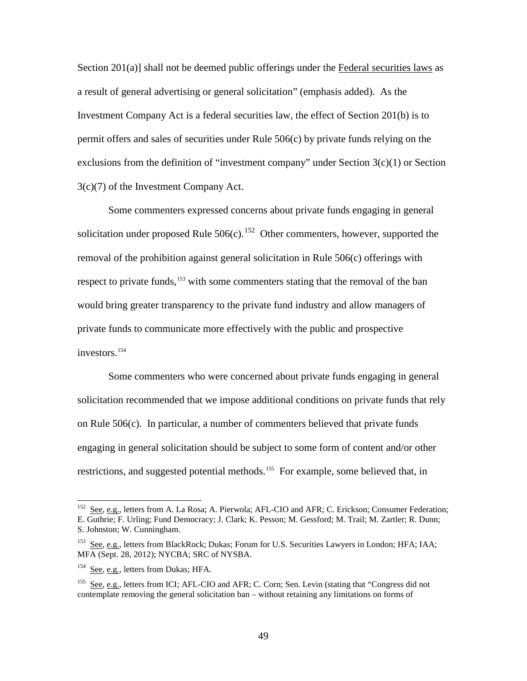Section 201(a)] shall not be deemed public offerings under the Federal securities laws as a result of general advertising or general solicitation" (emphasis added). As the Investment Company Act is a federal securities law, the effect of Section 201(b) is to permit offers and sales of securities under Rule 506(c) by private funds relying on the exclusions from the definition of "investment company" under Section 3(c)(1) or Section 3(c)(7) of the Investment Company Act.

Some commenters expressed concerns about private funds engaging in general solicitation under proposed Rule  $506(c)$ .<sup>[152](#page-48-0)</sup> Other commenters, however, supported the removal of the prohibition against general solicitation in Rule 506(c) offerings with respect to private funds,<sup>[153](#page-48-1)</sup> with some commenters stating that the removal of the ban would bring greater transparency to the private fund industry and allow managers of private funds to communicate more effectively with the public and prospective investors.<sup>154</sup>

Some commenters who were concerned about private funds engaging in general solicitation recommended that we impose additional conditions on private funds that rely on Rule 506(c). In particular, a number of commenters believed that private funds engaging in general solicitation should be subject to some form of content and/or other restrictions, and suggested potential methods.<sup>155</sup> For example, some believed that, in

<span id="page-48-0"></span>See, e.g., letters from A. La Rosa; A. Pierwola; AFL-CIO and AFR; C. Erickson; Consumer Federation; E. Guthrie; F. Urling; Fund Democracy; J. Clark; K. Pesson; M. Gessford; M. Trail; M. Zartler; R. Dunn; S. Johnston; W. Cunningham.

<span id="page-48-1"></span><sup>&</sup>lt;sup>153</sup> See, e.g., letters from BlackRock; Dukas; Forum for U.S. Securities Lawyers in London; HFA; IAA; MFA (Sept. 28, 2012); NYCBA; SRC of NYSBA.

<span id="page-48-2"></span><sup>&</sup>lt;sup>154</sup> See, e.g., letters from Dukas; HFA.

<span id="page-48-3"></span><sup>&</sup>lt;sup>155</sup> See, e.g., letters from ICI; AFL-CIO and AFR; C. Corn; Sen. Levin (stating that "Congress did not contemplate removing the general solicitation ban – without retaining any limitations on forms of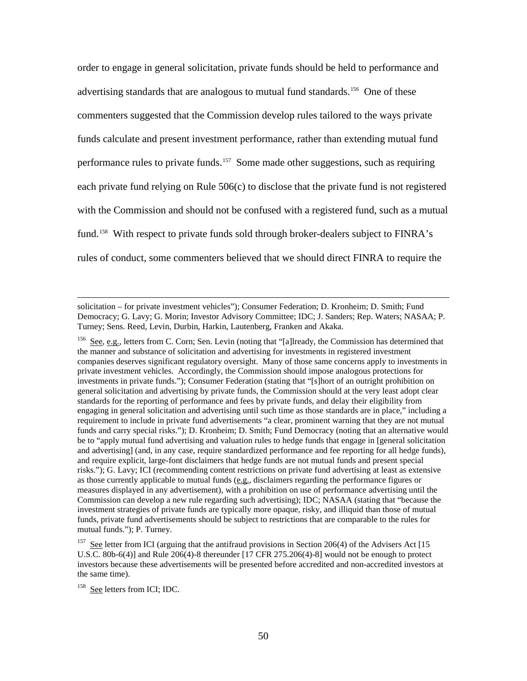order to engage in general solicitation, private funds should be held to performance and advertising standards that are analogous to mutual fund standards.<sup>[156](#page-49-0)</sup> One of these commenters suggested that the Commission develop rules tailored to the ways private funds calculate and present investment performance, rather than extending mutual fund performance rules to private funds.<sup>157</sup> Some made other suggestions, such as requiring each private fund relying on Rule 506(c) to disclose that the private fund is not registered with the Commission and should not be confused with a registered fund, such as a mutual fund.<sup>[158](#page-49-2)</sup> With respect to private funds sold through broker-dealers subject to FINRA's rules of conduct, some commenters believed that we should direct FINRA to require the

<span id="page-49-0"></span>156 See, e.g., letters from C. Corn; Sen. Levin (noting that "[a]lready, the Commission has determined that the manner and substance of solicitation and advertising for investments in registered investment companies deserves significant regulatory oversight. Many of those same concerns apply to investments in private investment vehicles. Accordingly, the Commission should impose analogous protections for investments in private funds."); Consumer Federation (stating that "[s]hort of an outright prohibition on general solicitation and advertising by private funds, the Commission should at the very least adopt clear standards for the reporting of performance and fees by private funds, and delay their eligibility from engaging in general solicitation and advertising until such time as those standards are in place," including a requirement to include in private fund advertisements "a clear, prominent warning that they are not mutual funds and carry special risks."); D. Kronheim; D. Smith; Fund Democracy (noting that an alternative would be to "apply mutual fund advertising and valuation rules to hedge funds that engage in [general solicitation and advertising] (and, in any case, require standardized performance and fee reporting for all hedge funds), and require explicit, large-font disclaimers that hedge funds are not mutual funds and present special risks."); G. Lavy; ICI (recommending content restrictions on private fund advertising at least as extensive as those currently applicable to mutual funds (e.g., disclaimers regarding the performance figures or measures displayed in any advertisement), with a prohibition on use of performance advertising until the Commission can develop a new rule regarding such advertising); IDC; NASAA (stating that "because the investment strategies of private funds are typically more opaque, risky, and illiquid than those of mutual funds, private fund advertisements should be subject to restrictions that are comparable to the rules for mutual funds."); P. Turney.

solicitation – for private investment vehicles"); Consumer Federation; D. Kronheim; D. Smith; Fund Democracy; G. Lavy; G. Morin; Investor Advisory Committee; IDC; J. Sanders; Rep. Waters; NASAA; P. Turney; Sens. Reed, Levin, Durbin, Harkin, Lautenberg, Franken and Akaka.

<span id="page-49-1"></span><sup>&</sup>lt;sup>157</sup> See letter from ICI (arguing that the antifraud provisions in Section 206(4) of the Advisers Act [15 U.S.C. 80b-6(4)] and Rule 206(4)-8 thereunder [17 CFR 275.206(4)-8] would not be enough to protect investors because these advertisements will be presented before accredited and non-accredited investors at the same time).

<span id="page-49-2"></span><sup>&</sup>lt;sup>158</sup> See letters from ICI; IDC.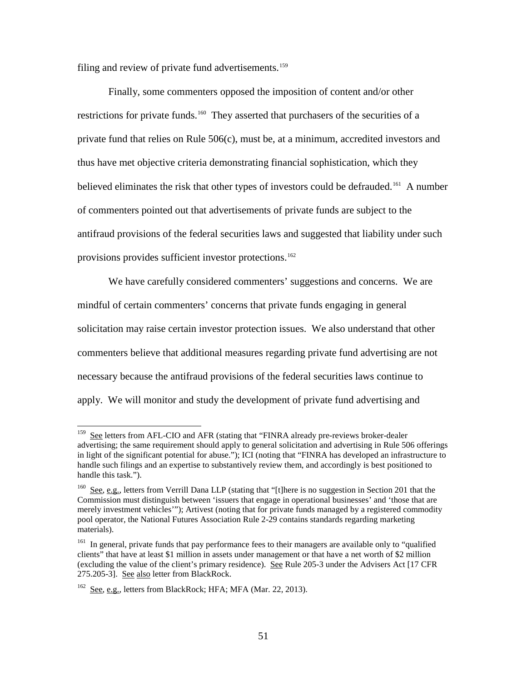filing and review of private fund advertisements.<sup>[159](#page-50-0)</sup>

Finally, some commenters opposed the imposition of content and/or other restrictions for private funds.<sup>160</sup> They asserted that purchasers of the securities of a private fund that relies on Rule 506(c), must be, at a minimum, accredited investors and thus have met objective criteria demonstrating financial sophistication, which they believed eliminates the risk that other types of investors could be defrauded.<sup>161</sup> A number of commenters pointed out that advertisements of private funds are subject to the antifraud provisions of the federal securities laws and suggested that liability under such provisions provides sufficient investor protections.<sup>162</sup>

We have carefully considered commenters' suggestions and concerns. We are mindful of certain commenters' concerns that private funds engaging in general solicitation may raise certain investor protection issues. We also understand that other commenters believe that additional measures regarding private fund advertising are not necessary because the antifraud provisions of the federal securities laws continue to apply. We will monitor and study the development of private fund advertising and

<span id="page-50-0"></span><sup>&</sup>lt;sup>159</sup> See letters from AFL-CIO and AFR (stating that "FINRA already pre-reviews broker-dealer advertising; the same requirement should apply to general solicitation and advertising in Rule 506 offerings in light of the significant potential for abuse."); ICI (noting that "FINRA has developed an infrastructure to handle such filings and an expertise to substantively review them, and accordingly is best positioned to handle this task.").

<span id="page-50-1"></span><sup>160</sup> See, e.g., letters from Verrill Dana LLP (stating that "[t]here is no suggestion in Section 201 that the Commission must distinguish between 'issuers that engage in operational businesses' and 'those that are merely investment vehicles'"); Artivest (noting that for private funds managed by a registered commodity pool operator, the National Futures Association Rule 2-29 contains standards regarding marketing materials).

<span id="page-50-2"></span><sup>&</sup>lt;sup>161</sup> In general, private funds that pay performance fees to their managers are available only to "qualified" clients" that have at least \$1 million in assets under management or that have a net worth of \$2 million (excluding the value of the client's primary residence). See Rule 205-3 under the Advisers Act [17 CFR 275.205-3]. See also letter from BlackRock.

<span id="page-50-3"></span><sup>&</sup>lt;sup>162</sup> See, e.g., letters from BlackRock; HFA; MFA (Mar. 22, 2013).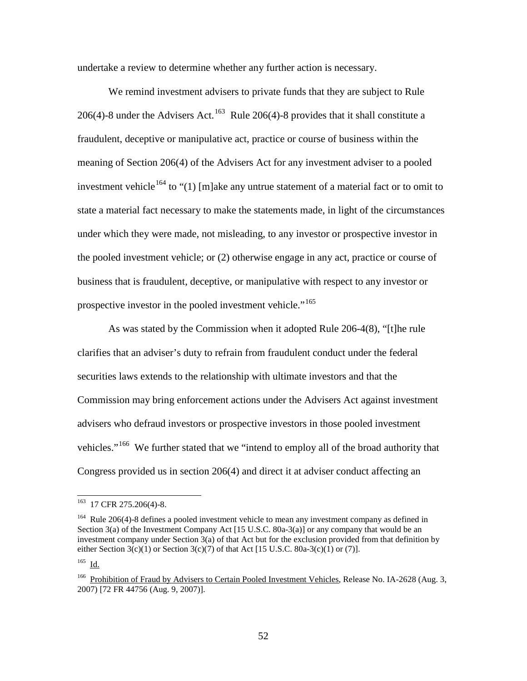undertake a review to determine whether any further action is necessary.

We remind investment advisers to private funds that they are subject to Rule 206(4)-8 under the Advisers Act.<sup>163</sup> Rule 206(4)-8 provides that it shall constitute a fraudulent, deceptive or manipulative act, practice or course of business within the meaning of Section 206(4) of the Advisers Act for any investment adviser to a pooled investment vehicle<sup>[164](#page-51-1)</sup> to "(1) [m]ake any untrue statement of a material fact or to omit to state a material fact necessary to make the statements made, in light of the circumstances under which they were made, not misleading, to any investor or prospective investor in the pooled investment vehicle; or (2) otherwise engage in any act, practice or course of business that is fraudulent, deceptive, or manipulative with respect to any investor or prospective investor in the pooled investment vehicle."<sup>[165](#page-51-2)</sup>

As was stated by the Commission when it adopted Rule 206-4(8), "[t]he rule clarifies that an adviser's duty to refrain from fraudulent conduct under the federal securities laws extends to the relationship with ultimate investors and that the Commission may bring enforcement actions under the Advisers Act against investment advisers who defraud investors or prospective investors in those pooled investment vehicles."<sup>[166](#page-51-3)</sup> We further stated that we "intend to employ all of the broad authority that Congress provided us in section 206(4) and direct it at adviser conduct affecting an

<span id="page-51-2"></span> $165$  Id.

<span id="page-51-0"></span><sup>&</sup>lt;sup>163</sup> 17 CFR 275.206(4)-8.

<span id="page-51-1"></span><sup>&</sup>lt;sup>164</sup> Rule 206(4)-8 defines a pooled investment vehicle to mean any investment company as defined in Section 3(a) of the Investment Company Act [15 U.S.C. 80a-3(a)] or any company that would be an investment company under Section  $3(a)$  of that Act but for the exclusion provided from that definition by either Section 3(c)(1) or Section 3(c)(7) of that Act [15 U.S.C. 80a-3(c)(1) or (7)].

<span id="page-51-3"></span><sup>&</sup>lt;sup>166</sup> Prohibition of Fraud by Advisers to Certain Pooled Investment Vehicles, Release No. IA-2628 (Aug. 3, 2007) [72 FR 44756 (Aug. 9, 2007)].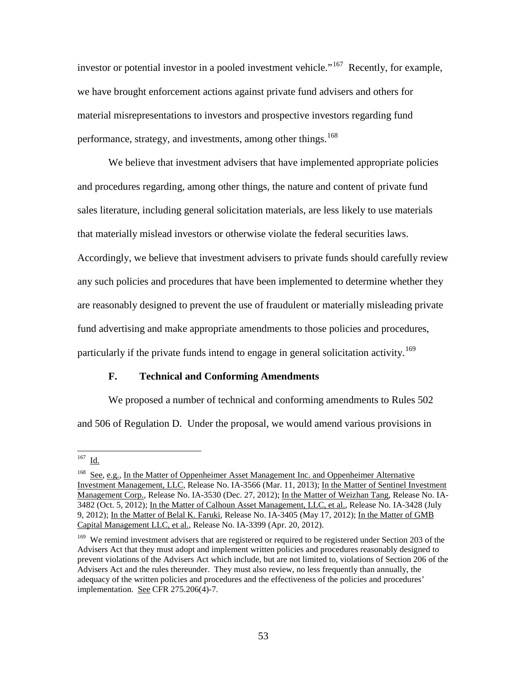investor or potential investor in a pooled investment vehicle."<sup>[167](#page-52-0)</sup> Recently, for example, we have brought enforcement actions against private fund advisers and others for material misrepresentations to investors and prospective investors regarding fund performance, strategy, and investments, among other things,  $^{168}$ 

We believe that investment advisers that have implemented appropriate policies and procedures regarding, among other things, the nature and content of private fund sales literature, including general solicitation materials, are less likely to use materials that materially mislead investors or otherwise violate the federal securities laws. Accordingly, we believe that investment advisers to private funds should carefully review any such policies and procedures that have been implemented to determine whether they are reasonably designed to prevent the use of fraudulent or materially misleading private fund advertising and make appropriate amendments to those policies and procedures, particularly if the private funds intend to engage in general solicitation activity.<sup>[169](#page-52-2)</sup>

# **F. Technical and Conforming Amendments**

We proposed a number of technical and conforming amendments to Rules 502 and 506 of Regulation D. Under the proposal, we would amend various provisions in

<span id="page-52-0"></span> $^{167}$  Id.

<span id="page-52-1"></span><sup>&</sup>lt;sup>168</sup> See, e.g., In the Matter of Oppenheimer Asset Management Inc. and Oppenheimer Alternative Investment Management, LLC, Release No. IA-3566 (Mar. 11, 2013); In the Matter of Sentinel Investment Management Corp., Release No. IA-3530 (Dec. 27, 2012); In the Matter of Weizhan Tang, Release No. IA-3482 (Oct. 5, 2012); In the Matter of Calhoun Asset Management, LLC, et al., Release No. IA-3428 (July 9, 2012); In the Matter of Belal K. Faruki, Release No. IA-3405 (May 17, 2012); In the Matter of GMB Capital Management LLC, et al., Release No. IA-3399 (Apr. 20, 2012).

<span id="page-52-2"></span><sup>&</sup>lt;sup>169</sup> We remind investment advisers that are registered or required to be registered under Section 203 of the Advisers Act that they must adopt and implement written policies and procedures reasonably designed to prevent violations of the Advisers Act which include, but are not limited to, violations of Section 206 of the Advisers Act and the rules thereunder. They must also review, no less frequently than annually, the adequacy of the written policies and procedures and the effectiveness of the policies and procedures' implementation. See CFR 275.206(4)-7.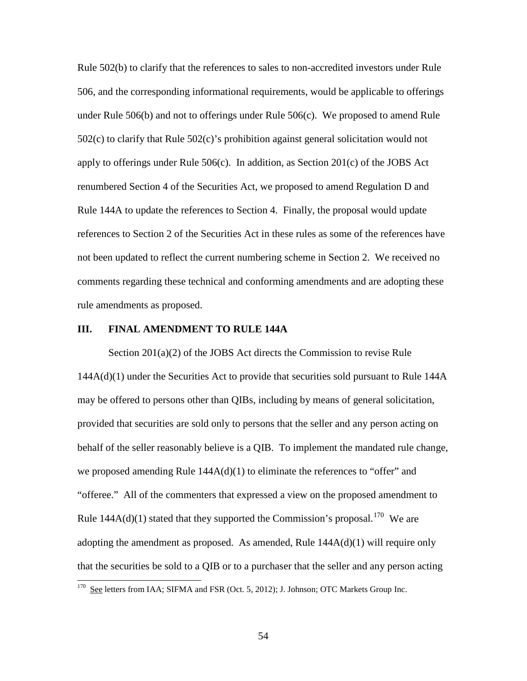Rule 502(b) to clarify that the references to sales to non-accredited investors under Rule 506, and the corresponding informational requirements, would be applicable to offerings under Rule 506(b) and not to offerings under Rule 506(c). We proposed to amend Rule 502(c) to clarify that Rule 502(c)'s prohibition against general solicitation would not apply to offerings under Rule  $506(c)$ . In addition, as Section 201(c) of the JOBS Act renumbered Section 4 of the Securities Act, we proposed to amend Regulation D and Rule 144A to update the references to Section 4. Finally, the proposal would update references to Section 2 of the Securities Act in these rules as some of the references have not been updated to reflect the current numbering scheme in Section 2. We received no comments regarding these technical and conforming amendments and are adopting these rule amendments as proposed.

### **III. FINAL AMENDMENT TO RULE 144A**

Section 201(a)(2) of the JOBS Act directs the Commission to revise Rule 144A(d)(1) under the Securities Act to provide that securities sold pursuant to Rule 144A may be offered to persons other than QIBs, including by means of general solicitation, provided that securities are sold only to persons that the seller and any person acting on behalf of the seller reasonably believe is a QIB. To implement the mandated rule change, we proposed amending Rule 144A(d)(1) to eliminate the references to "offer" and "offeree." All of the commenters that expressed a view on the proposed amendment to Rule  $144A(d)(1)$  stated that they supported the Commission's proposal.<sup>[170](#page-53-0)</sup> We are adopting the amendment as proposed. As amended, Rule  $144A(d)(1)$  will require only that the securities be sold to a QIB or to a purchaser that the seller and any person acting  $\overline{a}$ 

<span id="page-53-0"></span><sup>&</sup>lt;sup>170</sup> See letters from IAA; SIFMA and FSR (Oct. 5, 2012); J. Johnson; OTC Markets Group Inc.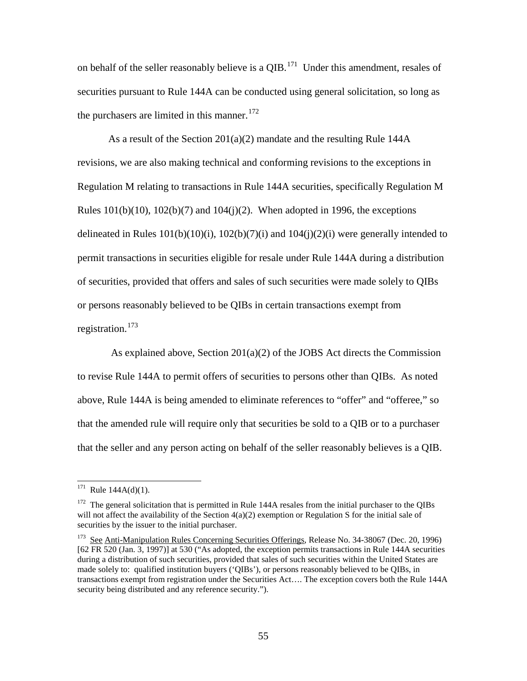on behalf of the seller reasonably believe is a  $QIB$ .<sup>171</sup> Under this amendment, resales of securities pursuant to Rule 144A can be conducted using general solicitation, so long as the purchasers are limited in this manner.<sup>[172](#page-54-1)</sup>

As a result of the Section 201(a)(2) mandate and the resulting Rule 144A revisions, we are also making technical and conforming revisions to the exceptions in Regulation M relating to transactions in Rule 144A securities, specifically Regulation M Rules  $101(b)(10)$ ,  $102(b)(7)$  and  $104(j)(2)$ . When adopted in 1996, the exceptions delineated in Rules  $101(b)(10)(i)$ ,  $102(b)(7)(i)$  and  $104(i)(2)(i)$  were generally intended to permit transactions in securities eligible for resale under Rule 144A during a distribution of securities, provided that offers and sales of such securities were made solely to QIBs or persons reasonably believed to be QIBs in certain transactions exempt from registration.<sup>[173](#page-54-2)</sup>

 As explained above, Section 201(a)(2) of the JOBS Act directs the Commission to revise Rule 144A to permit offers of securities to persons other than QIBs. As noted above, Rule 144A is being amended to eliminate references to "offer" and "offeree," so that the amended rule will require only that securities be sold to a QIB or to a purchaser that the seller and any person acting on behalf of the seller reasonably believes is a QIB.

<span id="page-54-0"></span><sup>&</sup>lt;sup>171</sup> Rule 144A(d)(1).

<span id="page-54-1"></span><sup>&</sup>lt;sup>172</sup> The general solicitation that is permitted in Rule 144A resales from the initial purchaser to the QIBs will not affect the availability of the Section  $4(a)(2)$  exemption or Regulation S for the initial sale of securities by the issuer to the initial purchaser.

<span id="page-54-2"></span><sup>173</sup> See Anti-Manipulation Rules Concerning Securities Offerings, Release No. 34-38067 (Dec. 20, 1996) [62 FR 520 (Jan. 3, 1997)] at 530 ("As adopted, the exception permits transactions in Rule 144A securities during a distribution of such securities, provided that sales of such securities within the United States are made solely to: qualified institution buyers ('QIBs'), or persons reasonably believed to be QIBs, in transactions exempt from registration under the Securities Act…. The exception covers both the Rule 144A security being distributed and any reference security.").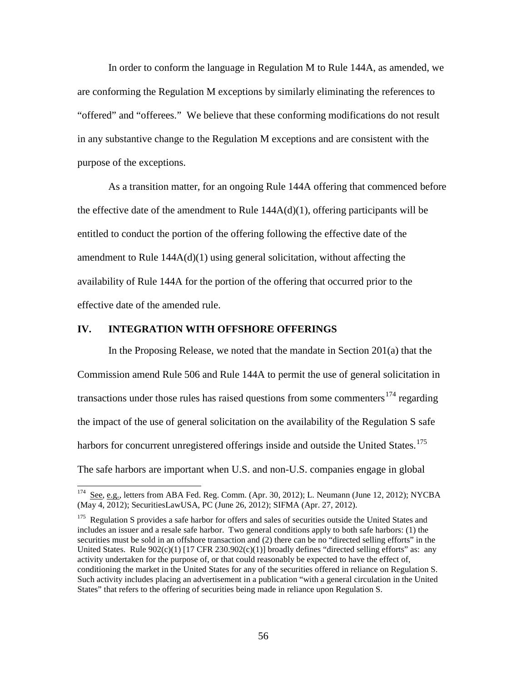In order to conform the language in Regulation M to Rule 144A, as amended, we are conforming the Regulation M exceptions by similarly eliminating the references to "offered" and "offerees." We believe that these conforming modifications do not result in any substantive change to the Regulation M exceptions and are consistent with the purpose of the exceptions.

As a transition matter, for an ongoing Rule 144A offering that commenced before the effective date of the amendment to Rule  $144A(d)(1)$ , offering participants will be entitled to conduct the portion of the offering following the effective date of the amendment to Rule  $144A(d)(1)$  using general solicitation, without affecting the availability of Rule 144A for the portion of the offering that occurred prior to the effective date of the amended rule.

## **IV. INTEGRATION WITH OFFSHORE OFFERINGS**

 $\overline{a}$ 

In the Proposing Release, we noted that the mandate in Section 201(a) that the Commission amend Rule 506 and Rule 144A to permit the use of general solicitation in transactions under those rules has raised questions from some commenters<sup>[174](#page-55-0)</sup> regarding the impact of the use of general solicitation on the availability of the Regulation S safe harbors for concurrent unregistered offerings inside and outside the United States.<sup>[175](#page-55-1)</sup> The safe harbors are important when U.S. and non-U.S. companies engage in global

<span id="page-55-0"></span><sup>&</sup>lt;sup>174</sup> See, e.g., letters from ABA Fed. Reg. Comm. (Apr. 30, 2012); L. Neumann (June 12, 2012); NYCBA (May 4, 2012); SecuritiesLawUSA, PC (June 26, 2012); SIFMA (Apr. 27, 2012).

<span id="page-55-1"></span><sup>&</sup>lt;sup>175</sup> Regulation S provides a safe harbor for offers and sales of securities outside the United States and includes an issuer and a resale safe harbor. Two general conditions apply to both safe harbors: (1) the securities must be sold in an offshore transaction and (2) there can be no "directed selling efforts" in the United States. Rule  $902(c)(1)$  [17 CFR 230.902(c)(1)] broadly defines "directed selling efforts" as: any activity undertaken for the purpose of, or that could reasonably be expected to have the effect of, conditioning the market in the United States for any of the securities offered in reliance on Regulation S. Such activity includes placing an advertisement in a publication "with a general circulation in the United States" that refers to the offering of securities being made in reliance upon Regulation S.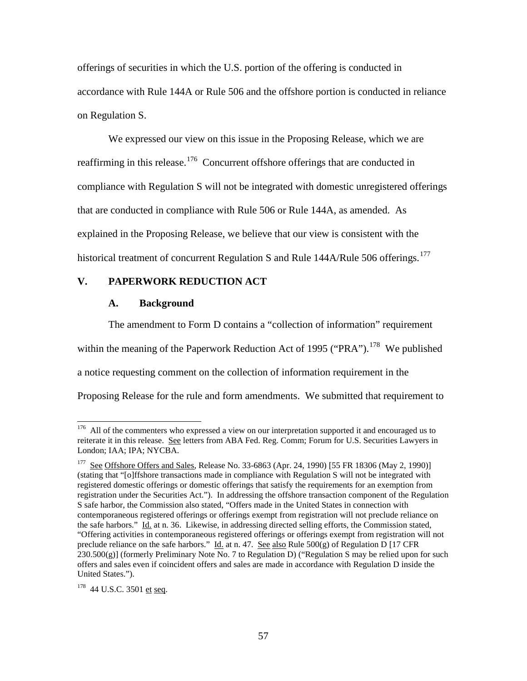offerings of securities in which the U.S. portion of the offering is conducted in accordance with Rule 144A or Rule 506 and the offshore portion is conducted in reliance on Regulation S.

We expressed our view on this issue in the Proposing Release, which we are reaffirming in this release.<sup>[176](#page-56-0)</sup> Concurrent offshore offerings that are conducted in compliance with Regulation S will not be integrated with domestic unregistered offerings that are conducted in compliance with Rule 506 or Rule 144A, as amended. As explained in the Proposing Release, we believe that our view is consistent with the historical treatment of concurrent Regulation S and Rule 144A/Rule 506 offerings.<sup>[177](#page-56-1)</sup>

# **V. PAPERWORK REDUCTION ACT**

## **A. Background**

The amendment to Form D contains a "collection of information" requirement

within the meaning of the Paperwork Reduction Act of 1995 ("PRA").<sup>178</sup> We published

a notice requesting comment on the collection of information requirement in the

Proposing Release for the rule and form amendments. We submitted that requirement to

<span id="page-56-0"></span><sup>&</sup>lt;sup>176</sup> All of the commenters who expressed a view on our interpretation supported it and encouraged us to reiterate it in this release. See letters from ABA Fed. Reg. Comm; Forum for U.S. Securities Lawyers in London; IAA; IPA; NYCBA.

<span id="page-56-1"></span><sup>&</sup>lt;sup>177</sup> See Offshore Offers and Sales, Release No. 33-6863 (Apr. 24, 1990) [55 FR 18306 (May 2, 1990)] (stating that "[o]ffshore transactions made in compliance with Regulation S will not be integrated with registered domestic offerings or domestic offerings that satisfy the requirements for an exemption from registration under the Securities Act."). In addressing the offshore transaction component of the Regulation S safe harbor, the Commission also stated, "Offers made in the United States in connection with contemporaneous registered offerings or offerings exempt from registration will not preclude reliance on the safe harbors." Id. at n. 36. Likewise, in addressing directed selling efforts, the Commission stated, "Offering activities in contemporaneous registered offerings or offerings exempt from registration will not preclude reliance on the safe harbors." Id. at n. 47. See also Rule 500(g) of Regulation D [17 CFR  $230.500(g)$ ] (formerly Preliminary Note No. 7 to Regulation D) ("Regulation S may be relied upon for such offers and sales even if coincident offers and sales are made in accordance with Regulation D inside the United States.").

<span id="page-56-2"></span><sup>&</sup>lt;sup>178</sup> 44 U.S.C. 3501 et seq.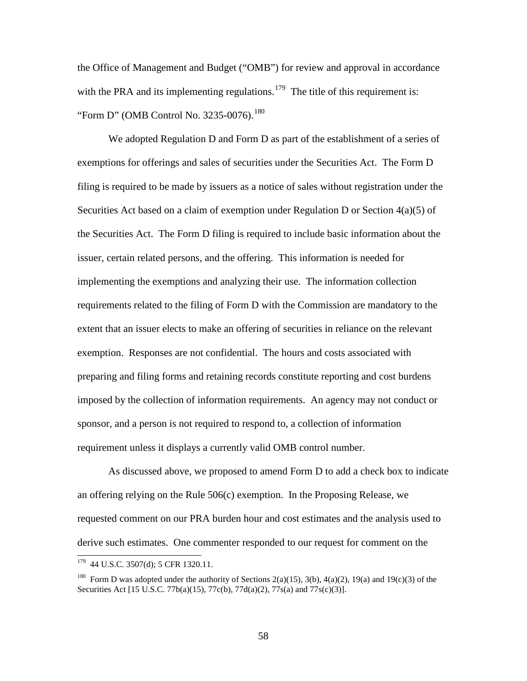the Office of Management and Budget ("OMB") for review and approval in accordance with the PRA and its implementing regulations.<sup>179</sup> The title of this requirement is: "Form D" (OMB Control No. 3235-0076).<sup>180</sup>

We adopted Regulation D and Form D as part of the establishment of a series of exemptions for offerings and sales of securities under the Securities Act. The Form D filing is required to be made by issuers as a notice of sales without registration under the Securities Act based on a claim of exemption under Regulation D or Section 4(a)(5) of the Securities Act. The Form D filing is required to include basic information about the issuer, certain related persons, and the offering. This information is needed for implementing the exemptions and analyzing their use. The information collection requirements related to the filing of Form D with the Commission are mandatory to the extent that an issuer elects to make an offering of securities in reliance on the relevant exemption. Responses are not confidential. The hours and costs associated with preparing and filing forms and retaining records constitute reporting and cost burdens imposed by the collection of information requirements. An agency may not conduct or sponsor, and a person is not required to respond to, a collection of information requirement unless it displays a currently valid OMB control number.

As discussed above, we proposed to amend Form D to add a check box to indicate an offering relying on the Rule 506(c) exemption. In the Proposing Release, we requested comment on our PRA burden hour and cost estimates and the analysis used to derive such estimates. One commenter responded to our request for comment on the

<span id="page-57-0"></span><sup>&</sup>lt;sup>179</sup> 44 U.S.C. 3507(d); 5 CFR 1320.11.

<span id="page-57-1"></span><sup>&</sup>lt;sup>180</sup> Form D was adopted under the authority of Sections 2(a)(15), 3(b), 4(a)(2), 19(a) and 19(c)(3) of the Securities Act [15 U.S.C. 77b(a)(15), 77c(b), 77d(a)(2), 77s(a) and 77s(c)(3)].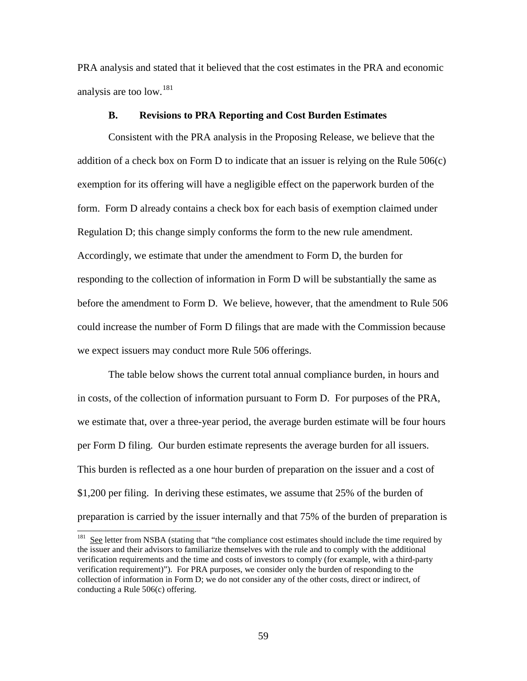PRA analysis and stated that it believed that the cost estimates in the PRA and economic analysis are too low.<sup>[181](#page-58-0)</sup>

## **B. Revisions to PRA Reporting and Cost Burden Estimates**

Consistent with the PRA analysis in the Proposing Release, we believe that the addition of a check box on Form D to indicate that an issuer is relying on the Rule 506(c) exemption for its offering will have a negligible effect on the paperwork burden of the form. Form D already contains a check box for each basis of exemption claimed under Regulation D; this change simply conforms the form to the new rule amendment. Accordingly, we estimate that under the amendment to Form D, the burden for responding to the collection of information in Form D will be substantially the same as before the amendment to Form D. We believe, however, that the amendment to Rule 506 could increase the number of Form D filings that are made with the Commission because we expect issuers may conduct more Rule 506 offerings.

The table below shows the current total annual compliance burden, in hours and in costs, of the collection of information pursuant to Form D. For purposes of the PRA, we estimate that, over a three-year period, the average burden estimate will be four hours per Form D filing. Our burden estimate represents the average burden for all issuers. This burden is reflected as a one hour burden of preparation on the issuer and a cost of \$1,200 per filing. In deriving these estimates, we assume that 25% of the burden of preparation is carried by the issuer internally and that 75% of the burden of preparation is

<span id="page-58-0"></span> $181$  See letter from NSBA (stating that "the compliance cost estimates should include the time required by the issuer and their advisors to familiarize themselves with the rule and to comply with the additional verification requirements and the time and costs of investors to comply (for example, with a third-party verification requirement)"). For PRA purposes, we consider only the burden of responding to the collection of information in Form D; we do not consider any of the other costs, direct or indirect, of conducting a Rule 506(c) offering.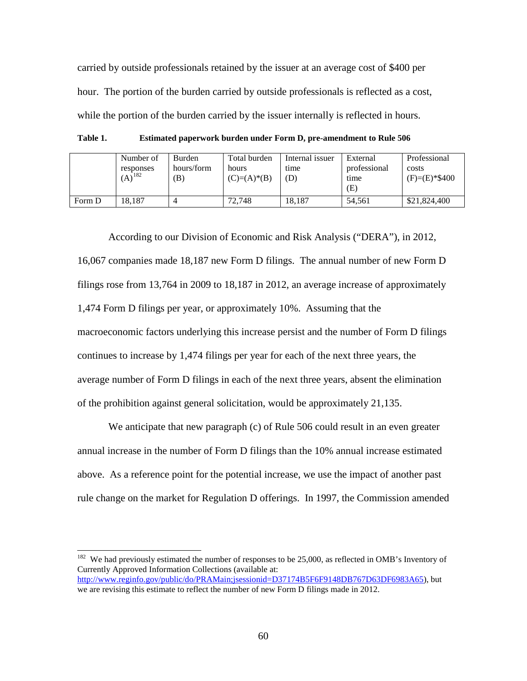carried by outside professionals retained by the issuer at an average cost of \$400 per hour. The portion of the burden carried by outside professionals is reflected as a cost, while the portion of the burden carried by the issuer internally is reflected in hours.

**Table 1. Estimated paperwork burden under Form D, pre-amendment to Rule 506**

|        | Number of<br>responses<br>$(A)^{182}$ | Burden<br>hours/form<br>B) | Total burden<br>hours<br>$(C)= (A) * (B)$ | Internal issuer<br>time<br>(D) | External<br>professional<br>time<br>(E) | Professional<br>costs<br>$(F)=(E)*\$400$ |
|--------|---------------------------------------|----------------------------|-------------------------------------------|--------------------------------|-----------------------------------------|------------------------------------------|
| Form D | 18.187                                |                            | 72.748                                    | 18.187                         | 54.561                                  | \$21,824,400                             |

According to our Division of Economic and Risk Analysis ("DERA"), in 2012, 16,067 companies made 18,187 new Form D filings. The annual number of new Form D filings rose from 13,764 in 2009 to 18,187 in 2012, an average increase of approximately 1,474 Form D filings per year, or approximately 10%. Assuming that the macroeconomic factors underlying this increase persist and the number of Form D filings continues to increase by 1,474 filings per year for each of the next three years, the average number of Form D filings in each of the next three years, absent the elimination of the prohibition against general solicitation, would be approximately 21,135.

We anticipate that new paragraph (c) of Rule 506 could result in an even greater annual increase in the number of Form D filings than the 10% annual increase estimated above. As a reference point for the potential increase, we use the impact of another past rule change on the market for Regulation D offerings. In 1997, the Commission amended

<span id="page-59-0"></span> $182$  We had previously estimated the number of responses to be 25,000, as reflected in OMB's Inventory of Currently Approved Information Collections (available at:

[http://www.reginfo.gov/public/do/PRAMain;jsessionid=D37174B5F6F9148DB767D63DF6983A65\)](http://www.reginfo.gov/public/do/PRAMain;jsessionid=D37174B5F6F9148DB767D63DF6983A65), but we are revising this estimate to reflect the number of new Form D filings made in 2012.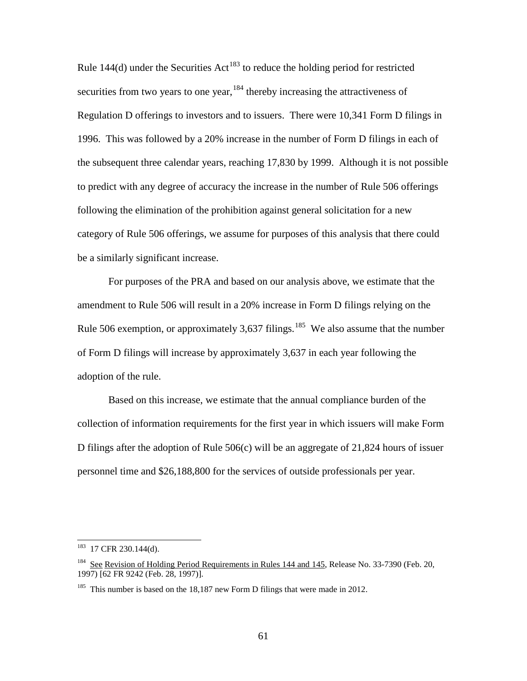Rule 144(d) under the Securities Act<sup>[183](#page-60-0)</sup> to reduce the holding period for restricted securities from two years to one year, <sup>[184](#page-60-1)</sup> thereby increasing the attractiveness of Regulation D offerings to investors and to issuers. There were 10,341 Form D filings in 1996. This was followed by a 20% increase in the number of Form D filings in each of the subsequent three calendar years, reaching 17,830 by 1999. Although it is not possible to predict with any degree of accuracy the increase in the number of Rule 506 offerings following the elimination of the prohibition against general solicitation for a new category of Rule 506 offerings, we assume for purposes of this analysis that there could be a similarly significant increase.

For purposes of the PRA and based on our analysis above, we estimate that the amendment to Rule 506 will result in a 20% increase in Form D filings relying on the Rule 506 exemption, or approximately 3,637 filings.<sup>[185](#page-60-2)</sup> We also assume that the number of Form D filings will increase by approximately 3,637 in each year following the adoption of the rule.

Based on this increase, we estimate that the annual compliance burden of the collection of information requirements for the first year in which issuers will make Form D filings after the adoption of Rule 506(c) will be an aggregate of 21,824 hours of issuer personnel time and \$26,188,800 for the services of outside professionals per year.

<span id="page-60-0"></span> $183$  17 CFR 230.144(d).

<span id="page-60-1"></span><sup>&</sup>lt;sup>184</sup> See Revision of Holding Period Requirements in Rules 144 and 145, Release No. 33-7390 (Feb. 20, 1997) [62 FR 9242 (Feb. 28, 1997)].

<span id="page-60-2"></span><sup>&</sup>lt;sup>185</sup> This number is based on the 18,187 new Form D filings that were made in 2012.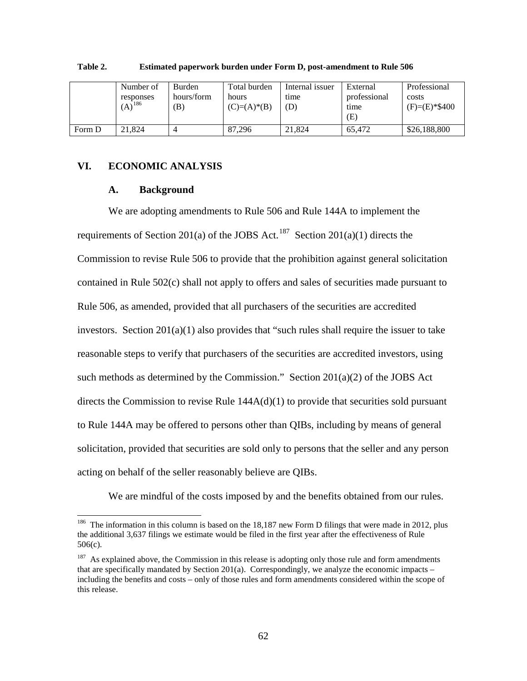|        | Number of<br>responses<br>$(A)^{186}$ | <b>Burden</b><br>hours/form<br>$\left( \mathrm{B}\right)$ | Total burden<br>hours<br>$(C)= (A)* (B)$ | Internal issuer<br>time<br>(D) | External<br>professional<br>time<br>Έ) | Professional<br>costs<br>$(F)=(E)*\$400$ |
|--------|---------------------------------------|-----------------------------------------------------------|------------------------------------------|--------------------------------|----------------------------------------|------------------------------------------|
| Form D | 21,824                                |                                                           | 87.296                                   | 21,824                         | 65.472                                 | \$26,188,800                             |

#### **Table 2. Estimated paperwork burden under Form D, post-amendment to Rule 506**

## **VI. ECONOMIC ANALYSIS**

#### **A. Background**

 $\overline{a}$ 

We are adopting amendments to Rule 506 and Rule 144A to implement the requirements of Section 201(a) of the JOBS Act.<sup>187</sup> Section 201(a)(1) directs the Commission to revise Rule 506 to provide that the prohibition against general solicitation contained in Rule 502(c) shall not apply to offers and sales of securities made pursuant to Rule 506, as amended, provided that all purchasers of the securities are accredited investors. Section  $201(a)(1)$  also provides that "such rules shall require the issuer to take reasonable steps to verify that purchasers of the securities are accredited investors, using such methods as determined by the Commission." Section 201(a)(2) of the JOBS Act directs the Commission to revise Rule  $144A(d)(1)$  to provide that securities sold pursuant to Rule 144A may be offered to persons other than QIBs, including by means of general solicitation, provided that securities are sold only to persons that the seller and any person acting on behalf of the seller reasonably believe are QIBs.

We are mindful of the costs imposed by and the benefits obtained from our rules.

<span id="page-61-0"></span><sup>&</sup>lt;sup>186</sup> The information in this column is based on the 18,187 new Form D filings that were made in 2012, plus the additional 3,637 filings we estimate would be filed in the first year after the effectiveness of Rule 506(c).

<span id="page-61-1"></span> $187$  As explained above, the Commission in this release is adopting only those rule and form amendments that are specifically mandated by Section 201(a). Correspondingly, we analyze the economic impacts – including the benefits and costs – only of those rules and form amendments considered within the scope of this release.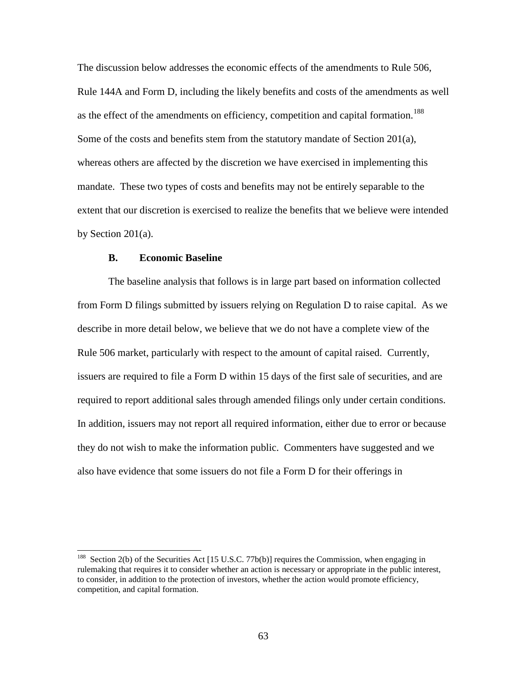The discussion below addresses the economic effects of the amendments to Rule 506, Rule 144A and Form D, including the likely benefits and costs of the amendments as well as the effect of the amendments on efficiency, competition and capital formation.<sup>188</sup> Some of the costs and benefits stem from the statutory mandate of Section 201(a), whereas others are affected by the discretion we have exercised in implementing this mandate. These two types of costs and benefits may not be entirely separable to the extent that our discretion is exercised to realize the benefits that we believe were intended by Section 201(a).

## **B. Economic Baseline**

 $\overline{a}$ 

The baseline analysis that follows is in large part based on information collected from Form D filings submitted by issuers relying on Regulation D to raise capital. As we describe in more detail below, we believe that we do not have a complete view of the Rule 506 market, particularly with respect to the amount of capital raised. Currently, issuers are required to file a Form D within 15 days of the first sale of securities, and are required to report additional sales through amended filings only under certain conditions. In addition, issuers may not report all required information, either due to error or because they do not wish to make the information public. Commenters have suggested and we also have evidence that some issuers do not file a Form D for their offerings in

<span id="page-62-0"></span><sup>&</sup>lt;sup>188</sup> Section 2(b) of the Securities Act [15 U.S.C. 77b(b)] requires the Commission, when engaging in rulemaking that requires it to consider whether an action is necessary or appropriate in the public interest, to consider, in addition to the protection of investors, whether the action would promote efficiency, competition, and capital formation.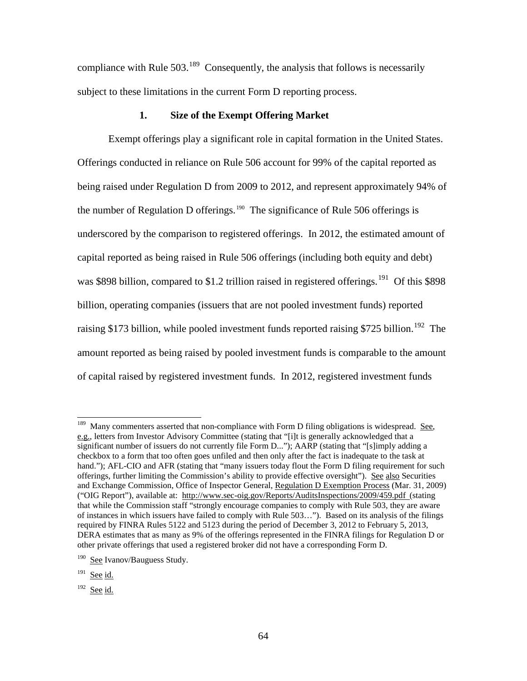compliance with Rule  $503<sup>189</sup>$  $503<sup>189</sup>$  $503<sup>189</sup>$  Consequently, the analysis that follows is necessarily subject to these limitations in the current Form D reporting process.

# **1. Size of the Exempt Offering Market**

Exempt offerings play a significant role in capital formation in the United States. Offerings conducted in reliance on Rule 506 account for 99% of the capital reported as being raised under Regulation D from 2009 to 2012, and represent approximately 94% of the number of Regulation D offerings.<sup>[190](#page-63-1)</sup> The significance of Rule 506 offerings is underscored by the comparison to registered offerings. In 2012, the estimated amount of capital reported as being raised in Rule 506 offerings (including both equity and debt) was \$898 billion, compared to \$1.2 trillion raised in registered offerings.<sup>191</sup> Of this \$898 billion, operating companies (issuers that are not pooled investment funds) reported raising \$173 billion, while pooled investment funds reported raising \$725 billion.<sup>[192](#page-63-3)</sup> The amount reported as being raised by pooled investment funds is comparable to the amount of capital raised by registered investment funds. In 2012, registered investment funds

<span id="page-63-0"></span><sup>&</sup>lt;sup>189</sup> Many commenters asserted that non-compliance with Form D filing obligations is widespread. See, e.g., letters from Investor Advisory Committee (stating that "[i]t is generally acknowledged that a significant number of issuers do not currently file Form D..."); AARP (stating that "[s]imply adding a checkbox to a form that too often goes unfiled and then only after the fact is inadequate to the task at hand."); AFL-CIO and AFR (stating that "many issuers today flout the Form D filing requirement for such offerings, further limiting the Commission's ability to provide effective oversight"). See also Securities and Exchange Commission, Office of Inspector General, Regulation D Exemption Process (Mar. 31, 2009) ("OIG Report"), available at:<http://www.sec-oig.gov/Reports/AuditsInspections/2009/459.pdf> (stating that while the Commission staff "strongly encourage companies to comply with Rule 503, they are aware of instances in which issuers have failed to comply with Rule 503…"). Based on its analysis of the filings required by FINRA Rules 5122 and 5123 during the period of December 3, 2012 to February 5, 2013, DERA estimates that as many as 9% of the offerings represented in the FINRA filings for Regulation D or other private offerings that used a registered broker did not have a corresponding Form D.

<span id="page-63-1"></span><sup>&</sup>lt;sup>190</sup> See Ivanov/Bauguess Study.

<span id="page-63-2"></span> $191$  See id.

<span id="page-63-3"></span> $192$  See id.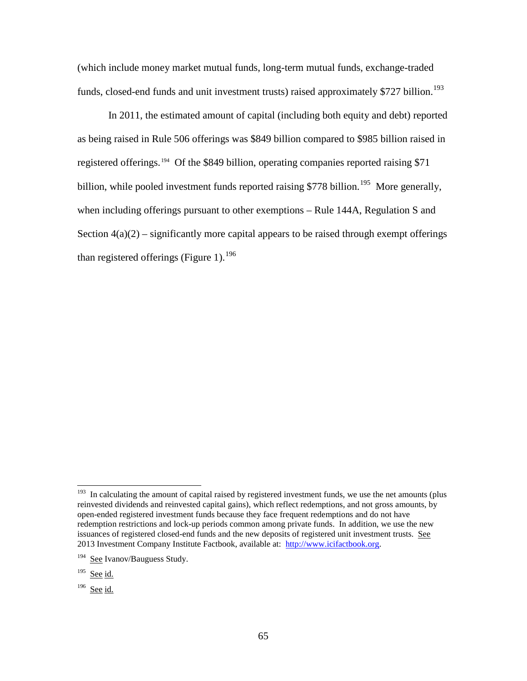(which include money market mutual funds, long-term mutual funds, exchange-traded funds, closed-end funds and unit investment trusts) raised approximately \$727 billion.<sup>193</sup>

In 2011, the estimated amount of capital (including both equity and debt) reported as being raised in Rule 506 offerings was \$849 billion compared to \$985 billion raised in registered offerings.<sup>194</sup> Of the \$849 billion, operating companies reported raising \$71 billion, while pooled investment funds reported raising \$778 billion.<sup>195</sup> More generally, when including offerings pursuant to other exemptions – Rule 144A, Regulation S and Section  $4(a)(2)$  – significantly more capital appears to be raised through exempt offerings than registered offerings (Figure 1).<sup>[196](#page-64-3)</sup>

<span id="page-64-0"></span><sup>&</sup>lt;sup>193</sup> In calculating the amount of capital raised by registered investment funds, we use the net amounts (plus reinvested dividends and reinvested capital gains), which reflect redemptions, and not gross amounts, by open-ended registered investment funds because they face frequent redemptions and do not have redemption restrictions and lock-up periods common among private funds. In addition, we use the new issuances of registered closed-end funds and the new deposits of registered unit investment trusts. See 2013 Investment Company Institute Factbook, available at: [http://www.icifactbook.org.](http://www.icifactbook.org/)

<span id="page-64-1"></span><sup>194</sup> See Ivanov/Bauguess Study.

<span id="page-64-2"></span> $195$  See id.

<span id="page-64-3"></span> $196$  See id.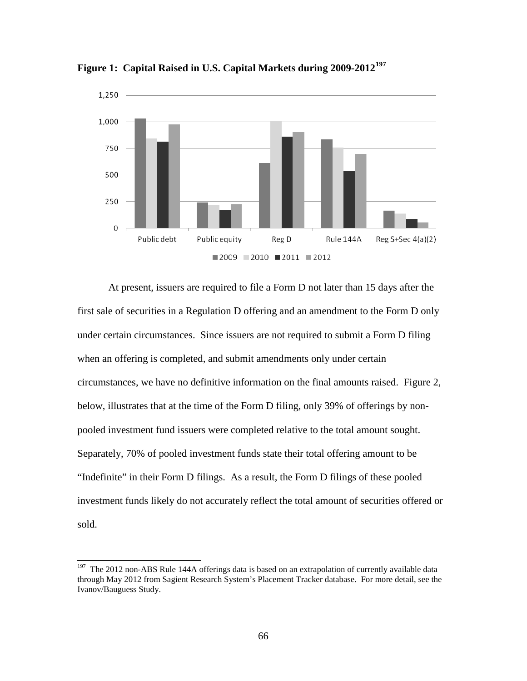

**Figure 1: Capital Raised in U.S. Capital Markets during 2009-2012[197](#page-65-0)** 

At present, issuers are required to file a Form D not later than 15 days after the first sale of securities in a Regulation D offering and an amendment to the Form D only under certain circumstances. Since issuers are not required to submit a Form D filing when an offering is completed, and submit amendments only under certain circumstances, we have no definitive information on the final amounts raised. Figure 2, below, illustrates that at the time of the Form D filing, only 39% of offerings by nonpooled investment fund issuers were completed relative to the total amount sought. Separately, 70% of pooled investment funds state their total offering amount to be "Indefinite" in their Form D filings. As a result, the Form D filings of these pooled investment funds likely do not accurately reflect the total amount of securities offered or sold.

<span id="page-65-0"></span> $197$  The 2012 non-ABS Rule 144A offerings data is based on an extrapolation of currently available data through May 2012 from Sagient Research System's Placement Tracker database. For more detail, see the Ivanov/Bauguess Study.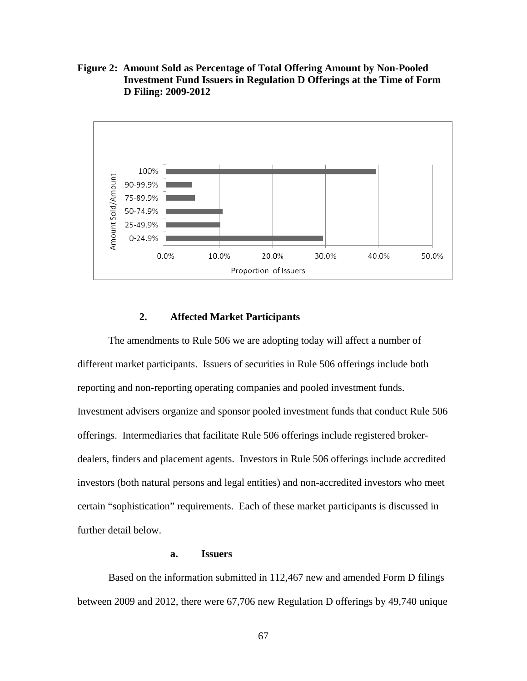**Figure 2: Amount Sold as Percentage of Total Offering Amount by Non-Pooled Investment Fund Issuers in Regulation D Offerings at the Time of Form D Filing: 2009-2012**



## **2. Affected Market Participants**

The amendments to Rule 506 we are adopting today will affect a number of different market participants. Issuers of securities in Rule 506 offerings include both reporting and non-reporting operating companies and pooled investment funds. Investment advisers organize and sponsor pooled investment funds that conduct Rule 506 offerings. Intermediaries that facilitate Rule 506 offerings include registered brokerdealers, finders and placement agents. Investors in Rule 506 offerings include accredited investors (both natural persons and legal entities) and non-accredited investors who meet certain "sophistication" requirements. Each of these market participants is discussed in further detail below.

## **a. Issuers**

Based on the information submitted in 112,467 new and amended Form D filings between 2009 and 2012, there were 67,706 new Regulation D offerings by 49,740 unique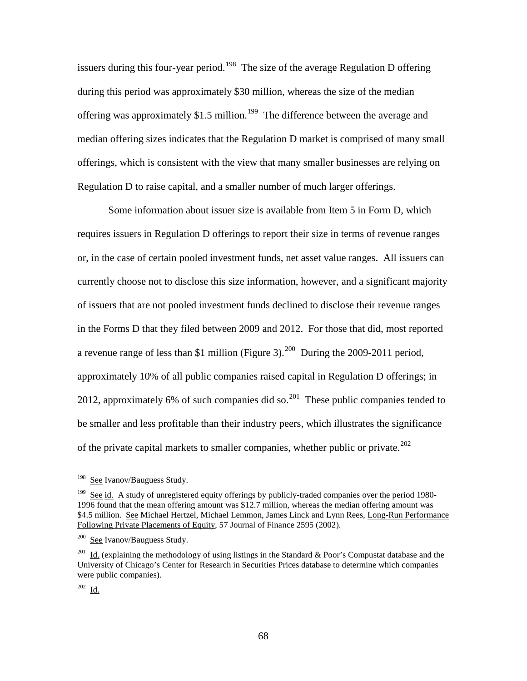issuers during this four-year period.<sup>[198](#page-67-0)</sup> The size of the average Regulation D offering during this period was approximately \$30 million, whereas the size of the median offering was approximately \$1.5 million.<sup>[199](#page-67-1)</sup> The difference between the average and median offering sizes indicates that the Regulation D market is comprised of many small offerings, which is consistent with the view that many smaller businesses are relying on Regulation D to raise capital, and a smaller number of much larger offerings.

Some information about issuer size is available from Item 5 in Form D, which requires issuers in Regulation D offerings to report their size in terms of revenue ranges or, in the case of certain pooled investment funds, net asset value ranges. All issuers can currently choose not to disclose this size information, however, and a significant majority of issuers that are not pooled investment funds declined to disclose their revenue ranges in the Forms D that they filed between 2009 and 2012. For those that did, most reported a revenue range of less than \$1 million (Figure 3).<sup>[200](#page-67-2)</sup> During the 2009-2011 period, approximately 10% of all public companies raised capital in Regulation D offerings; in [201](#page-67-3)2, approximately 6% of such companies did so.<sup>201</sup> These public companies tended to be smaller and less profitable than their industry peers, which illustrates the significance of the private capital markets to smaller companies, whether public or private.<sup>202</sup>

<span id="page-67-0"></span> $198\,$ See Ivanov/Bauguess Study.

<span id="page-67-1"></span><sup>&</sup>lt;sup>199</sup> See id. A study of unregistered equity offerings by publicly-traded companies over the period 1980-1996 found that the mean offering amount was \$12.7 million, whereas the median offering amount was \$4.5 million. See Michael Hertzel, Michael Lemmon, James Linck and Lynn Rees, Long-Run Performance Following Private Placements of Equity*,* 57 Journal of Finance 2595 (2002).

<span id="page-67-2"></span><sup>200</sup> See Ivanov/Bauguess Study.

<span id="page-67-3"></span><sup>&</sup>lt;sup>201</sup> Id. (explaining the methodology of using listings in the Standard & Poor's Compustat database and the University of Chicago's Center for Research in Securities Prices database to determine which companies were public companies).

<span id="page-67-4"></span> $202 \frac{Id.}{.}$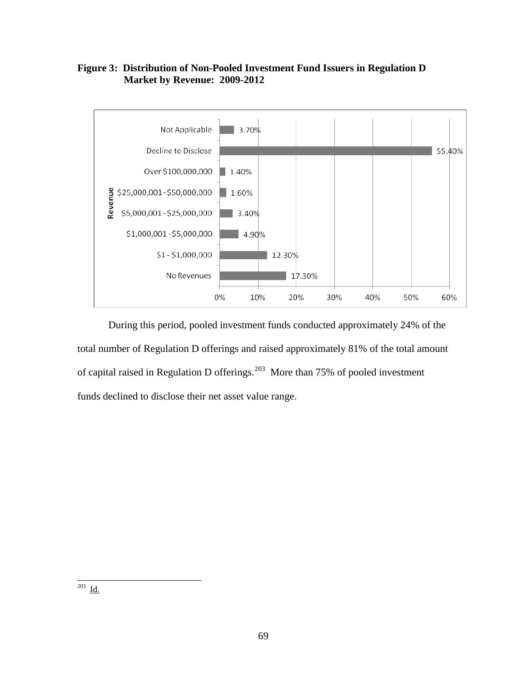



During this period, pooled investment funds conducted approximately 24% of the total number of Regulation D offerings and raised approximately 81% of the total amount of capital raised in Regulation D offerings.[203](#page-68-0) More than 75% of pooled investment funds declined to disclose their net asset value range.

<span id="page-68-0"></span>203 <u>Id.</u>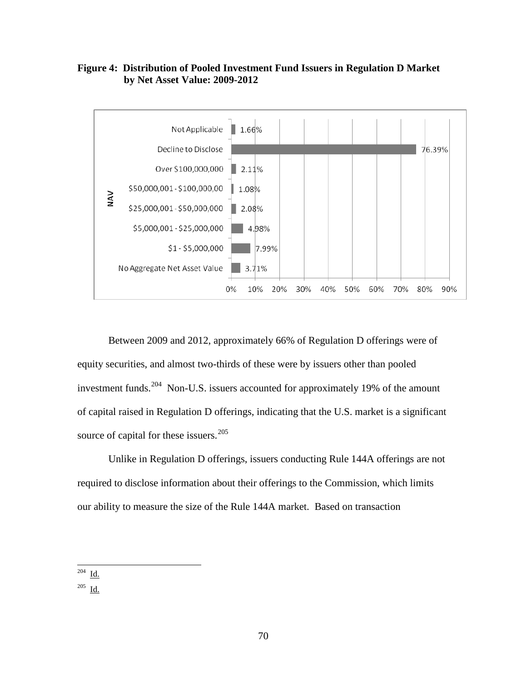# **Figure 4: Distribution of Pooled Investment Fund Issuers in Regulation D Market by Net Asset Value: 2009-2012**



Between 2009 and 2012, approximately 66% of Regulation D offerings were of equity securities, and almost two-thirds of these were by issuers other than pooled investment funds.<sup>[204](#page-69-0)</sup> Non-U.S. issuers accounted for approximately 19% of the amount of capital raised in Regulation D offerings, indicating that the U.S. market is a significant source of capital for these issuers.<sup>[205](#page-69-1)</sup>

Unlike in Regulation D offerings, issuers conducting Rule 144A offerings are not required to disclose information about their offerings to the Commission, which limits our ability to measure the size of the Rule 144A market. Based on transaction

 $\overline{a}$  $^{204}$  Id.

<span id="page-69-1"></span><span id="page-69-0"></span> $205$  <u>Id.</u>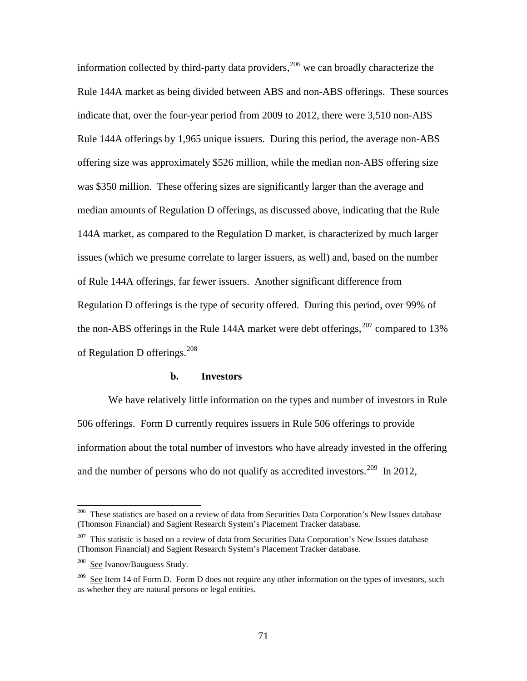information collected by third-party data providers, $206$  we can broadly characterize the Rule 144A market as being divided between ABS and non-ABS offerings. These sources indicate that, over the four-year period from 2009 to 2012, there were 3,510 non-ABS Rule 144A offerings by 1,965 unique issuers. During this period, the average non-ABS offering size was approximately \$526 million, while the median non-ABS offering size was \$350 million. These offering sizes are significantly larger than the average and median amounts of Regulation D offerings, as discussed above, indicating that the Rule 144A market, as compared to the Regulation D market, is characterized by much larger issues (which we presume correlate to larger issuers, as well) and, based on the number of Rule 144A offerings, far fewer issuers. Another significant difference from Regulation D offerings is the type of security offered. During this period, over 99% of the non-ABS offerings in the Rule 144A market were debt offerings,  $207$  compared to 13% of Regulation D offerings.<sup>[208](#page-70-2)</sup>

### **b. Investors**

We have relatively little information on the types and number of investors in Rule 506 offerings. Form D currently requires issuers in Rule 506 offerings to provide information about the total number of investors who have already invested in the offering and the number of persons who do not qualify as accredited investors.<sup>209</sup> In 2012,

<span id="page-70-0"></span><sup>206</sup> 206 These statistics are based on a review of data from Securities Data Corporation's New Issues database (Thomson Financial) and Sagient Research System's Placement Tracker database.

<span id="page-70-1"></span> $207$  This statistic is based on a review of data from Securities Data Corporation's New Issues database (Thomson Financial) and Sagient Research System's Placement Tracker database.

<span id="page-70-2"></span><sup>208</sup> See Ivanov/Bauguess Study.

<span id="page-70-3"></span><sup>&</sup>lt;sup>209</sup> See Item 14 of Form D. Form D does not require any other information on the types of investors, such as whether they are natural persons or legal entities.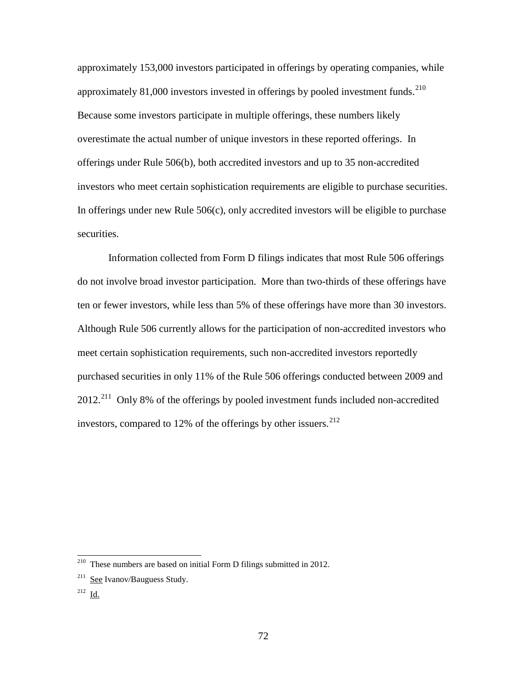approximately 153,000 investors participated in offerings by operating companies, while approximately 81,000 investors invested in offerings by pooled investment funds.<sup>210</sup> Because some investors participate in multiple offerings, these numbers likely overestimate the actual number of unique investors in these reported offerings. In offerings under Rule 506(b), both accredited investors and up to 35 non-accredited investors who meet certain sophistication requirements are eligible to purchase securities. In offerings under new Rule  $506(c)$ , only accredited investors will be eligible to purchase securities.

Information collected from Form D filings indicates that most Rule 506 offerings do not involve broad investor participation. More than two-thirds of these offerings have ten or fewer investors, while less than 5% of these offerings have more than 30 investors. Although Rule 506 currently allows for the participation of non-accredited investors who meet certain sophistication requirements, such non-accredited investors reportedly purchased securities in only 11% of the Rule 506 offerings conducted between 2009 and 2012.[211](#page-71-1) Only 8% of the offerings by pooled investment funds included non-accredited investors, compared to  $12\%$  of the offerings by other issuers.<sup>[212](#page-71-2)</sup>

<span id="page-71-0"></span><sup>&</sup>lt;sup>210</sup> These numbers are based on initial Form D filings submitted in 2012.

<span id="page-71-1"></span> $211$  See Ivanov/Bauguess Study.

<span id="page-71-2"></span><sup>212</sup> Id.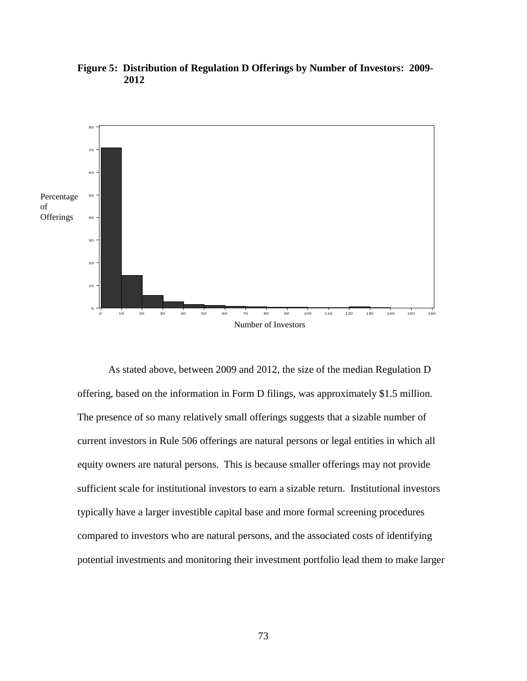

**Figure 5: Distribution of Regulation D Offerings by Number of Investors: 2009- 2012** 

As stated above, between 2009 and 2012, the size of the median Regulation D offering, based on the information in Form D filings, was approximately \$1.5 million. The presence of so many relatively small offerings suggests that a sizable number of current investors in Rule 506 offerings are natural persons or legal entities in which all equity owners are natural persons. This is because smaller offerings may not provide sufficient scale for institutional investors to earn a sizable return. Institutional investors typically have a larger investible capital base and more formal screening procedures compared to investors who are natural persons, and the associated costs of identifying potential investments and monitoring their investment portfolio lead them to make larger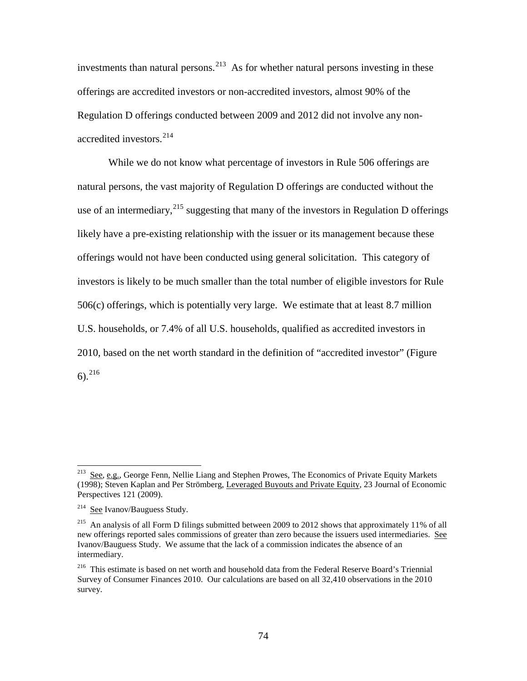investments than natural persons.<sup>213</sup> As for whether natural persons investing in these offerings are accredited investors or non-accredited investors, almost 90% of the Regulation D offerings conducted between 2009 and 2012 did not involve any non-accredited investors.<sup>[214](#page-73-1)</sup>

While we do not know what percentage of investors in Rule 506 offerings are natural persons, the vast majority of Regulation D offerings are conducted without the use of an intermediary,  $2^{15}$  suggesting that many of the investors in Regulation D offerings likely have a pre-existing relationship with the issuer or its management because these offerings would not have been conducted using general solicitation. This category of investors is likely to be much smaller than the total number of eligible investors for Rule 506(c) offerings, which is potentially very large. We estimate that at least 8.7 million U.S. households, or 7.4% of all U.S. households, qualified as accredited investors in 2010, based on the net worth standard in the definition of "accredited investor" (Figure  $6)$ <sup>216</sup>

<span id="page-73-0"></span><sup>&</sup>lt;sup>213</sup> See, e.g., George Fenn, Nellie Liang and Stephen Prowes, The Economics of Private Equity Markets (1998); Steven Kaplan and Per Strömberg, Leveraged Buyouts and Private Equity*,* 23 Journal of Economic Perspectives 121 (2009).

<span id="page-73-1"></span><sup>&</sup>lt;sup>214</sup> See Ivanov/Bauguess Study.

<span id="page-73-2"></span><sup>215</sup> An analysis of all Form D filings submitted between 2009 to 2012 shows that approximately 11% of all new offerings reported sales commissions of greater than zero because the issuers used intermediaries. See Ivanov/Bauguess Study. We assume that the lack of a commission indicates the absence of an intermediary.

<span id="page-73-3"></span><sup>216</sup> This estimate is based on net worth and household data from the Federal Reserve Board's Triennial Survey of Consumer Finances 2010. Our calculations are based on all 32,410 observations in the 2010 survey.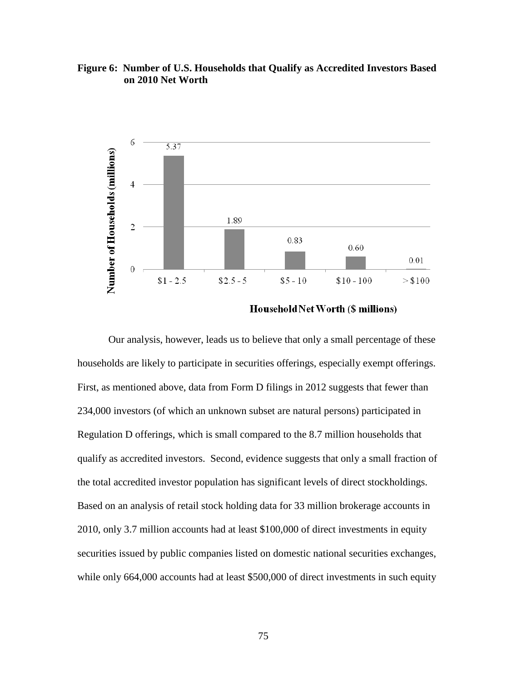# **Figure 6: Number of U.S. Households that Qualify as Accredited Investors Based on 2010 Net Worth**



Household Net Worth (\$ millions)

Our analysis, however, leads us to believe that only a small percentage of these households are likely to participate in securities offerings, especially exempt offerings. First, as mentioned above, data from Form D filings in 2012 suggests that fewer than 234,000 investors (of which an unknown subset are natural persons) participated in Regulation D offerings, which is small compared to the 8.7 million households that qualify as accredited investors. Second, evidence suggests that only a small fraction of the total accredited investor population has significant levels of direct stockholdings. Based on an analysis of retail stock holding data for 33 million brokerage accounts in 2010, only 3.7 million accounts had at least \$100,000 of direct investments in equity securities issued by public companies listed on domestic national securities exchanges, while only 664,000 accounts had at least \$500,000 of direct investments in such equity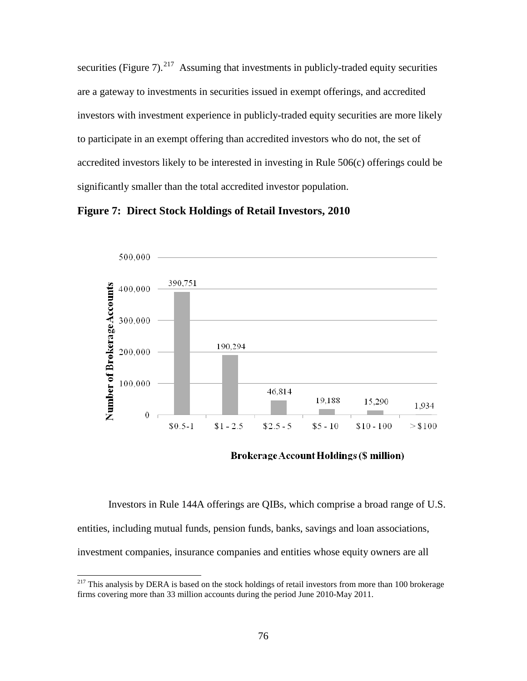securities (Figure  $7$ ).<sup>[217](#page-75-0)</sup> Assuming that investments in publicly-traded equity securities are a gateway to investments in securities issued in exempt offerings, and accredited investors with investment experience in publicly-traded equity securities are more likely to participate in an exempt offering than accredited investors who do not, the set of accredited investors likely to be interested in investing in Rule 506(c) offerings could be significantly smaller than the total accredited investor population.





**Brokerage Account Holdings (\$ million)** 

Investors in Rule 144A offerings are QIBs, which comprise a broad range of U.S. entities, including mutual funds, pension funds, banks, savings and loan associations, investment companies, insurance companies and entities whose equity owners are all

<span id="page-75-0"></span><sup>&</sup>lt;sup>217</sup> This analysis by DERA is based on the stock holdings of retail investors from more than 100 brokerage firms covering more than 33 million accounts during the period June 2010-May 2011.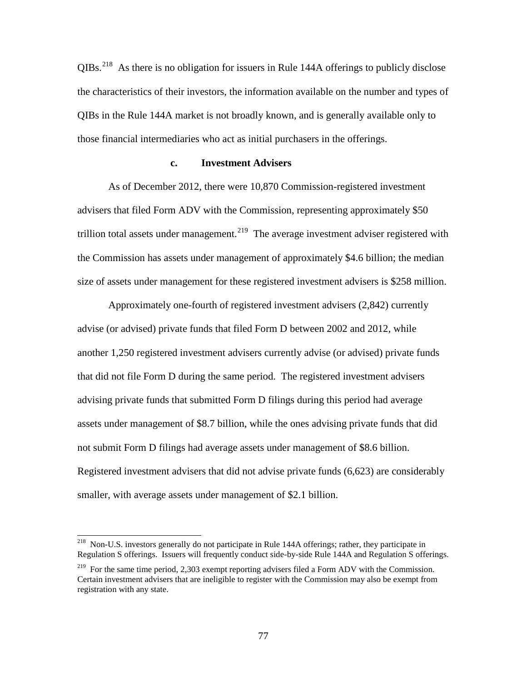$OIBs<sup>218</sup>$  $OIBs<sup>218</sup>$  $OIBs<sup>218</sup>$  As there is no obligation for issuers in Rule 144A offerings to publicly disclose the characteristics of their investors, the information available on the number and types of QIBs in the Rule 144A market is not broadly known, and is generally available only to those financial intermediaries who act as initial purchasers in the offerings.

#### **c. Investment Advisers**

As of December 2012, there were 10,870 Commission-registered investment advisers that filed Form ADV with the Commission, representing approximately \$50 trillion total assets under management.<sup>[219](#page-76-1)</sup> The average investment adviser registered with the Commission has assets under management of approximately \$4.6 billion; the median size of assets under management for these registered investment advisers is \$258 million.

Approximately one-fourth of registered investment advisers (2,842) currently advise (or advised) private funds that filed Form D between 2002 and 2012, while another 1,250 registered investment advisers currently advise (or advised) private funds that did not file Form D during the same period. The registered investment advisers advising private funds that submitted Form D filings during this period had average assets under management of \$8.7 billion, while the ones advising private funds that did not submit Form D filings had average assets under management of \$8.6 billion. Registered investment advisers that did not advise private funds (6,623) are considerably smaller, with average assets under management of \$2.1 billion.

<span id="page-76-0"></span><sup>&</sup>lt;sup>218</sup> Non-U.S. investors generally do not participate in Rule 144A offerings; rather, they participate in Regulation S offerings. Issuers will frequently conduct side-by-side Rule 144A and Regulation S offerings.

<span id="page-76-1"></span><sup>&</sup>lt;sup>219</sup> For the same time period, 2,303 exempt reporting advisers filed a Form ADV with the Commission. Certain investment advisers that are ineligible to register with the Commission may also be exempt from registration with any state.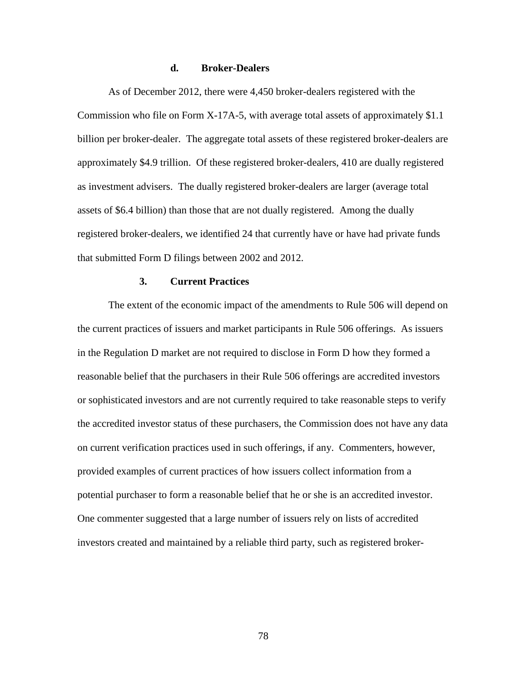## **d. Broker-Dealers**

As of December 2012, there were 4,450 broker-dealers registered with the Commission who file on Form X-17A-5, with average total assets of approximately \$1.1 billion per broker-dealer. The aggregate total assets of these registered broker-dealers are approximately \$4.9 trillion. Of these registered broker-dealers, 410 are dually registered as investment advisers. The dually registered broker-dealers are larger (average total assets of \$6.4 billion) than those that are not dually registered. Among the dually registered broker-dealers, we identified 24 that currently have or have had private funds that submitted Form D filings between 2002 and 2012.

### **3. Current Practices**

The extent of the economic impact of the amendments to Rule 506 will depend on the current practices of issuers and market participants in Rule 506 offerings. As issuers in the Regulation D market are not required to disclose in Form D how they formed a reasonable belief that the purchasers in their Rule 506 offerings are accredited investors or sophisticated investors and are not currently required to take reasonable steps to verify the accredited investor status of these purchasers, the Commission does not have any data on current verification practices used in such offerings, if any. Commenters, however, provided examples of current practices of how issuers collect information from a potential purchaser to form a reasonable belief that he or she is an accredited investor. One commenter suggested that a large number of issuers rely on lists of accredited investors created and maintained by a reliable third party, such as registered broker-

78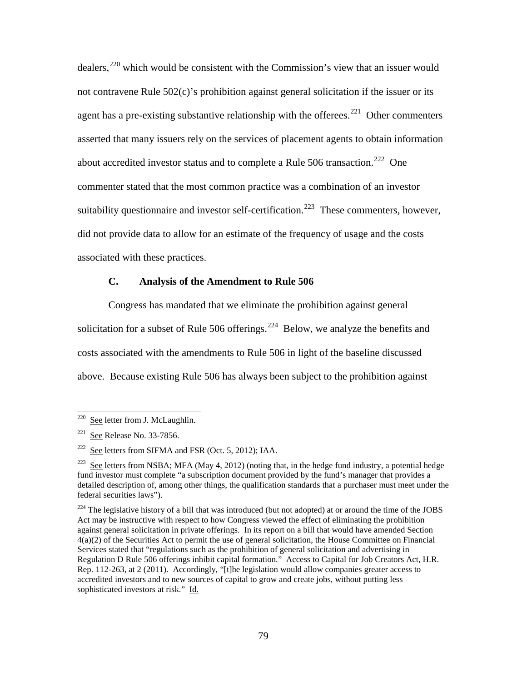dealers,[220](#page-78-0) which would be consistent with the Commission's view that an issuer would not contravene Rule 502(c)'s prohibition against general solicitation if the issuer or its agent has a pre-existing substantive relationship with the offerees.<sup>221</sup> Other commenters asserted that many issuers rely on the services of placement agents to obtain information about accredited investor status and to complete a Rule 506 transaction.<sup>[222](#page-78-2)</sup> One commenter stated that the most common practice was a combination of an investor suitability questionnaire and investor self-certification.<sup>223</sup> These commenters, however, did not provide data to allow for an estimate of the frequency of usage and the costs associated with these practices.

# **C. Analysis of the Amendment to Rule 506**

Congress has mandated that we eliminate the prohibition against general solicitation for a subset of Rule 506 offerings.<sup>[224](#page-78-4)</sup> Below, we analyze the benefits and costs associated with the amendments to Rule 506 in light of the baseline discussed above. Because existing Rule 506 has always been subject to the prohibition against

<span id="page-78-0"></span><sup>&</sup>lt;sup>220</sup> See letter from J. McLaughlin.

<span id="page-78-1"></span> $221$  See Release No. 33-7856.

<span id="page-78-2"></span> $222$  See letters from SIFMA and FSR (Oct. 5, 2012); IAA.

<span id="page-78-3"></span><sup>&</sup>lt;sup>223</sup> See letters from NSBA; MFA (May 4, 2012) (noting that, in the hedge fund industry, a potential hedge fund investor must complete "a subscription document provided by the fund's manager that provides a detailed description of, among other things, the qualification standards that a purchaser must meet under the federal securities laws").

<span id="page-78-4"></span><sup>&</sup>lt;sup>224</sup> The legislative history of a bill that was introduced (but not adopted) at or around the time of the JOBS Act may be instructive with respect to how Congress viewed the effect of eliminating the prohibition against general solicitation in private offerings. In its report on a bill that would have amended Section 4(a)(2) of the Securities Act to permit the use of general solicitation, the House Committee on Financial Services stated that "regulations such as the prohibition of general solicitation and advertising in Regulation D Rule 506 offerings inhibit capital formation." Access to Capital for Job Creators Act, H.R. Rep. 112-263, at 2 (2011). Accordingly, "[t]he legislation would allow companies greater access to accredited investors and to new sources of capital to grow and create jobs, without putting less sophisticated investors at risk." Id.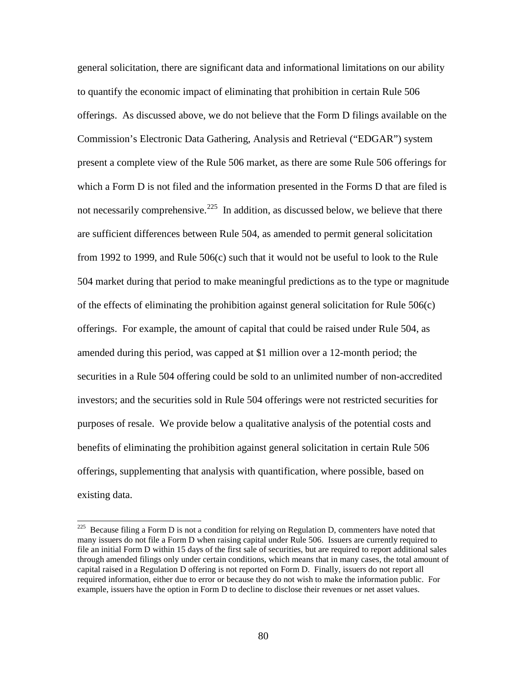general solicitation, there are significant data and informational limitations on our ability to quantify the economic impact of eliminating that prohibition in certain Rule 506 offerings. As discussed above, we do not believe that the Form D filings available on the Commission's Electronic Data Gathering, Analysis and Retrieval ("EDGAR") system present a complete view of the Rule 506 market, as there are some Rule 506 offerings for which a Form D is not filed and the information presented in the Forms D that are filed is not necessarily comprehensive.<sup>225</sup> In addition, as discussed below, we believe that there are sufficient differences between Rule 504, as amended to permit general solicitation from 1992 to 1999, and Rule 506(c) such that it would not be useful to look to the Rule 504 market during that period to make meaningful predictions as to the type or magnitude of the effects of eliminating the prohibition against general solicitation for Rule 506(c) offerings. For example, the amount of capital that could be raised under Rule 504, as amended during this period, was capped at \$1 million over a 12-month period; the securities in a Rule 504 offering could be sold to an unlimited number of non-accredited investors; and the securities sold in Rule 504 offerings were not restricted securities for purposes of resale. We provide below a qualitative analysis of the potential costs and benefits of eliminating the prohibition against general solicitation in certain Rule 506 offerings, supplementing that analysis with quantification, where possible, based on existing data.

<span id="page-79-0"></span> $225$  Because filing a Form D is not a condition for relying on Regulation D, commenters have noted that many issuers do not file a Form D when raising capital under Rule 506. Issuers are currently required to file an initial Form D within 15 days of the first sale of securities, but are required to report additional sales through amended filings only under certain conditions, which means that in many cases, the total amount of capital raised in a Regulation D offering is not reported on Form D. Finally, issuers do not report all required information, either due to error or because they do not wish to make the information public. For example, issuers have the option in Form D to decline to disclose their revenues or net asset values.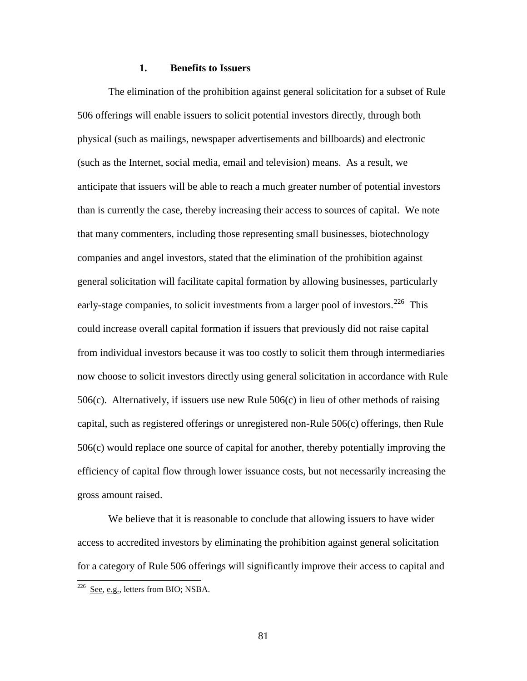#### **1. Benefits to Issuers**

The elimination of the prohibition against general solicitation for a subset of Rule 506 offerings will enable issuers to solicit potential investors directly, through both physical (such as mailings, newspaper advertisements and billboards) and electronic (such as the Internet, social media, email and television) means. As a result, we anticipate that issuers will be able to reach a much greater number of potential investors than is currently the case, thereby increasing their access to sources of capital. We note that many commenters, including those representing small businesses, biotechnology companies and angel investors, stated that the elimination of the prohibition against general solicitation will facilitate capital formation by allowing businesses, particularly early-stage companies, to solicit investments from a larger pool of investors.<sup>[226](#page-80-0)</sup> This could increase overall capital formation if issuers that previously did not raise capital from individual investors because it was too costly to solicit them through intermediaries now choose to solicit investors directly using general solicitation in accordance with Rule 506(c). Alternatively, if issuers use new Rule 506(c) in lieu of other methods of raising capital, such as registered offerings or unregistered non-Rule 506(c) offerings, then Rule 506(c) would replace one source of capital for another, thereby potentially improving the efficiency of capital flow through lower issuance costs, but not necessarily increasing the gross amount raised.

We believe that it is reasonable to conclude that allowing issuers to have wider access to accredited investors by eliminating the prohibition against general solicitation for a category of Rule 506 offerings will significantly improve their access to capital and  $\overline{a}$ 

81

<span id="page-80-0"></span> $226$  See, e.g., letters from BIO; NSBA.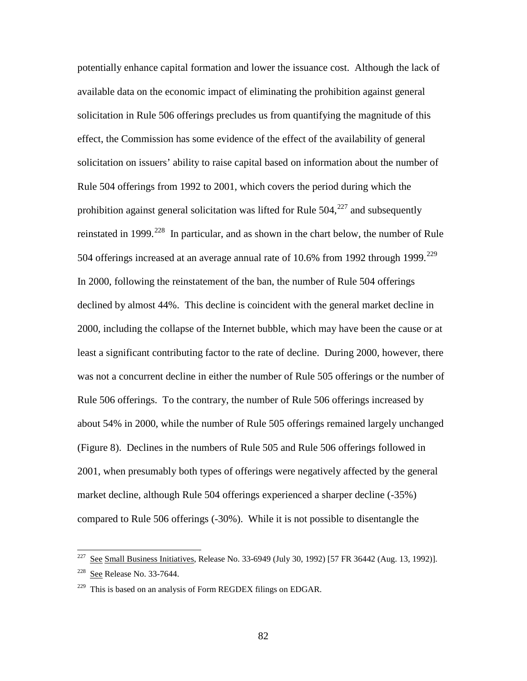potentially enhance capital formation and lower the issuance cost. Although the lack of available data on the economic impact of eliminating the prohibition against general solicitation in Rule 506 offerings precludes us from quantifying the magnitude of this effect, the Commission has some evidence of the effect of the availability of general solicitation on issuers' ability to raise capital based on information about the number of Rule 504 offerings from 1992 to 2001, which covers the period during which the prohibition against general solicitation was lifted for Rule  $504$ ,  $227$  and subsequently reinstated in 1999.<sup>228</sup> In particular, and as shown in the chart below, the number of Rule 504 offerings increased at an average annual rate of  $10.6\%$  from 1992 through 1999.<sup>[229](#page-81-2)</sup> In 2000, following the reinstatement of the ban, the number of Rule 504 offerings declined by almost 44%. This decline is coincident with the general market decline in 2000, including the collapse of the Internet bubble, which may have been the cause or at least a significant contributing factor to the rate of decline. During 2000, however, there was not a concurrent decline in either the number of Rule 505 offerings or the number of Rule 506 offerings. To the contrary, the number of Rule 506 offerings increased by about 54% in 2000, while the number of Rule 505 offerings remained largely unchanged (Figure 8). Declines in the numbers of Rule 505 and Rule 506 offerings followed in 2001, when presumably both types of offerings were negatively affected by the general market decline, although Rule 504 offerings experienced a sharper decline (-35%) compared to Rule 506 offerings (-30%). While it is not possible to disentangle the

<span id="page-81-0"></span> $227$  See Small Business Initiatives, Release No. 33-6949 (July 30, 1992) [57 FR 36442 (Aug. 13, 1992)]. 228 See Release No. 33-7644.

<span id="page-81-2"></span><span id="page-81-1"></span> $229$  This is based on an analysis of Form REGDEX filings on EDGAR.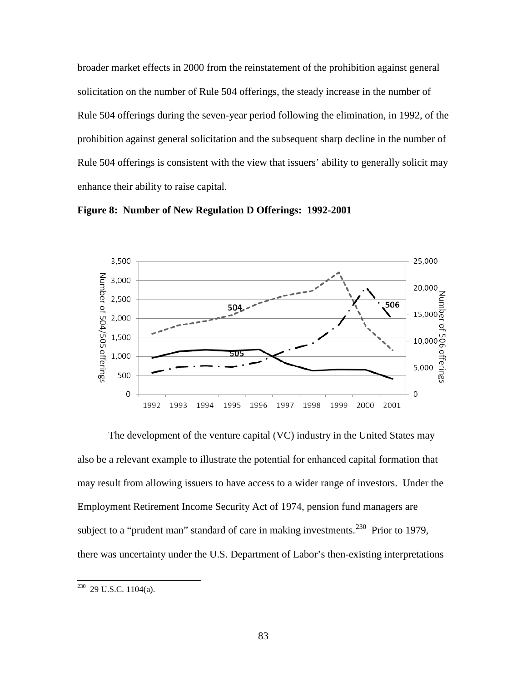broader market effects in 2000 from the reinstatement of the prohibition against general solicitation on the number of Rule 504 offerings, the steady increase in the number of Rule 504 offerings during the seven-year period following the elimination, in 1992, of the prohibition against general solicitation and the subsequent sharp decline in the number of Rule 504 offerings is consistent with the view that issuers' ability to generally solicit may enhance their ability to raise capital.



**Figure 8: Number of New Regulation D Offerings: 1992-2001** 

The development of the venture capital (VC) industry in the United States may also be a relevant example to illustrate the potential for enhanced capital formation that may result from allowing issuers to have access to a wider range of investors. Under the Employment Retirement Income Security Act of 1974, pension fund managers are subject to a "prudent man" standard of care in making investments.<sup>230</sup> Prior to 1979, there was uncertainty under the U.S. Department of Labor's then-existing interpretations

<span id="page-82-0"></span> $230$  29 U.S.C. 1104(a).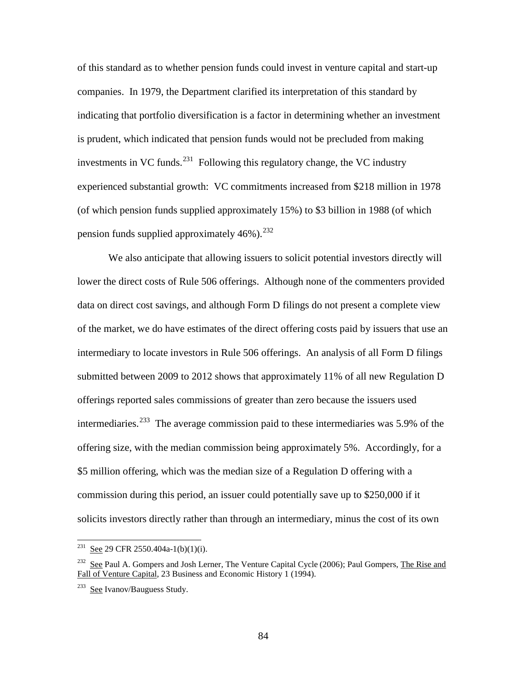of this standard as to whether pension funds could invest in venture capital and start-up companies. In 1979, the Department clarified its interpretation of this standard by indicating that portfolio diversification is a factor in determining whether an investment is prudent, which indicated that pension funds would not be precluded from making investments in VC funds.<sup>231</sup> Following this regulatory change, the VC industry experienced substantial growth: VC commitments increased from \$218 million in 1978 (of which pension funds supplied approximately 15%) to \$3 billion in 1988 (of which pension funds supplied approximately  $46\%$ ).<sup>232</sup>

We also anticipate that allowing issuers to solicit potential investors directly will lower the direct costs of Rule 506 offerings. Although none of the commenters provided data on direct cost savings, and although Form D filings do not present a complete view of the market, we do have estimates of the direct offering costs paid by issuers that use an intermediary to locate investors in Rule 506 offerings. An analysis of all Form D filings submitted between 2009 to 2012 shows that approximately 11% of all new Regulation D offerings reported sales commissions of greater than zero because the issuers used intermediaries.<sup>[233](#page-83-2)</sup> The average commission paid to these intermediaries was 5.9% of the offering size, with the median commission being approximately 5%. Accordingly, for a \$5 million offering, which was the median size of a Regulation D offering with a commission during this period, an issuer could potentially save up to \$250,000 if it solicits investors directly rather than through an intermediary, minus the cost of its own

<span id="page-83-0"></span><sup>&</sup>lt;sup>231</sup> See 29 CFR 2550.404a-1(b)(1)(i).

<span id="page-83-1"></span><sup>&</sup>lt;sup>232</sup> See Paul A. Gompers and Josh Lerner, The Venture Capital Cycle (2006); Paul Gompers, The Rise and Fall of Venture Capital*,* 23 Business and Economic History 1 (1994).

<span id="page-83-2"></span><sup>233</sup> See Ivanov/Bauguess Study.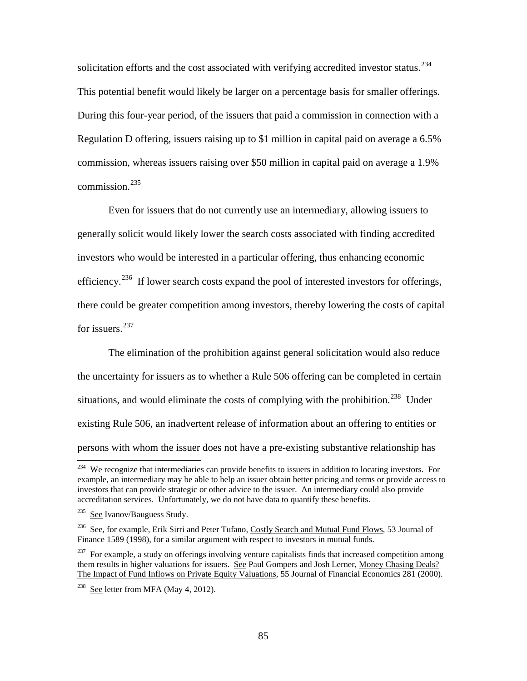solicitation efforts and the cost associated with verifying accredited investor status.<sup>234</sup> This potential benefit would likely be larger on a percentage basis for smaller offerings. During this four-year period, of the issuers that paid a commission in connection with a Regulation D offering, issuers raising up to \$1 million in capital paid on average a 6.5% commission, whereas issuers raising over \$50 million in capital paid on average a 1.9% commission $^{235}$ 

Even for issuers that do not currently use an intermediary, allowing issuers to generally solicit would likely lower the search costs associated with finding accredited investors who would be interested in a particular offering, thus enhancing economic efficiency.<sup>236</sup> If lower search costs expand the pool of interested investors for offerings, there could be greater competition among investors, thereby lowering the costs of capital for issuers.<sup>[237](#page-84-3)</sup>

The elimination of the prohibition against general solicitation would also reduce the uncertainty for issuers as to whether a Rule 506 offering can be completed in certain situations, and would eliminate the costs of complying with the prohibition.<sup>[238](#page-84-4)</sup> Under existing Rule 506, an inadvertent release of information about an offering to entities or persons with whom the issuer does not have a pre-existing substantive relationship has

<span id="page-84-0"></span><sup>&</sup>lt;sup>234</sup> We recognize that intermediaries can provide benefits to issuers in addition to locating investors. For example, an intermediary may be able to help an issuer obtain better pricing and terms or provide access to investors that can provide strategic or other advice to the issuer. An intermediary could also provide accreditation services. Unfortunately, we do not have data to quantify these benefits.

<span id="page-84-1"></span><sup>&</sup>lt;sup>235</sup> See Ivanov/Bauguess Study.

<span id="page-84-2"></span><sup>&</sup>lt;sup>236</sup> See, for example, Erik Sirri and Peter Tufano, Costly Search and Mutual Fund Flows, 53 Journal of Finance 1589 (1998), for a similar argument with respect to investors in mutual funds.

<span id="page-84-3"></span> $237$  For example, a study on offerings involving venture capitalists finds that increased competition among them results in higher valuations for issuers. See Paul Gompers and Josh Lerner, Money Chasing Deals? The Impact of Fund Inflows on Private Equity Valuations*,* 55 Journal of Financial Economics 281 (2000).

<span id="page-84-4"></span><sup>&</sup>lt;sup>238</sup> See letter from MFA (May 4, 2012).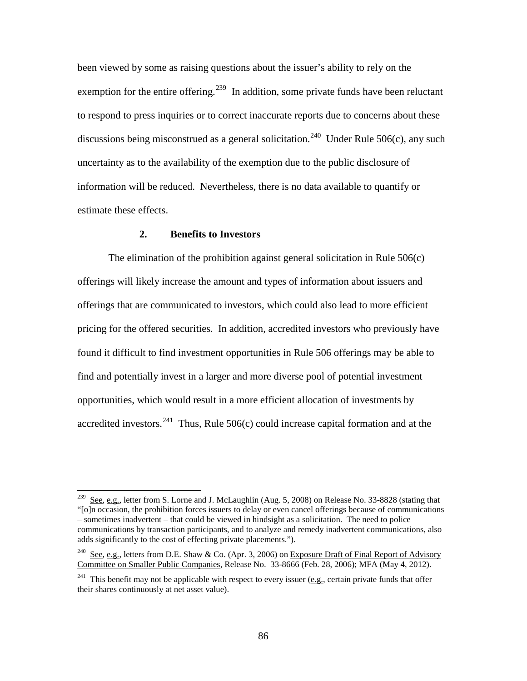been viewed by some as raising questions about the issuer's ability to rely on the exemption for the entire offering.<sup>[239](#page-85-0)</sup> In addition, some private funds have been reluctant to respond to press inquiries or to correct inaccurate reports due to concerns about these discussions being misconstrued as a general solicitation.<sup>[240](#page-85-1)</sup> Under Rule 506(c), any such uncertainty as to the availability of the exemption due to the public disclosure of information will be reduced. Nevertheless, there is no data available to quantify or estimate these effects.

#### **2. Benefits to Investors**

 $\overline{a}$ 

The elimination of the prohibition against general solicitation in Rule 506(c) offerings will likely increase the amount and types of information about issuers and offerings that are communicated to investors, which could also lead to more efficient pricing for the offered securities. In addition, accredited investors who previously have found it difficult to find investment opportunities in Rule 506 offerings may be able to find and potentially invest in a larger and more diverse pool of potential investment opportunities, which would result in a more efficient allocation of investments by accredited investors.<sup>[241](#page-85-2)</sup> Thus, Rule 506(c) could increase capital formation and at the

<span id="page-85-0"></span> $2^{239}$  See, e.g., letter from S. Lorne and J. McLaughlin (Aug. 5, 2008) on Release No. 33-8828 (stating that "[o]n occasion, the prohibition forces issuers to delay or even cancel offerings because of communications – sometimes inadvertent – that could be viewed in hindsight as a solicitation. The need to police communications by transaction participants, and to analyze and remedy inadvertent communications, also adds significantly to the cost of effecting private placements.").

<span id="page-85-1"></span><sup>&</sup>lt;sup>240</sup> See, e.g., letters from D.E. Shaw & Co. (Apr. 3, 2006) on Exposure Draft of Final Report of Advisory Committee on Smaller Public Companies, Release No. 33-8666 (Feb. 28, 2006); MFA (May 4, 2012).

<span id="page-85-2"></span><sup>&</sup>lt;sup>241</sup> This benefit may not be applicable with respect to every issuer (e.g., certain private funds that offer their shares continuously at net asset value).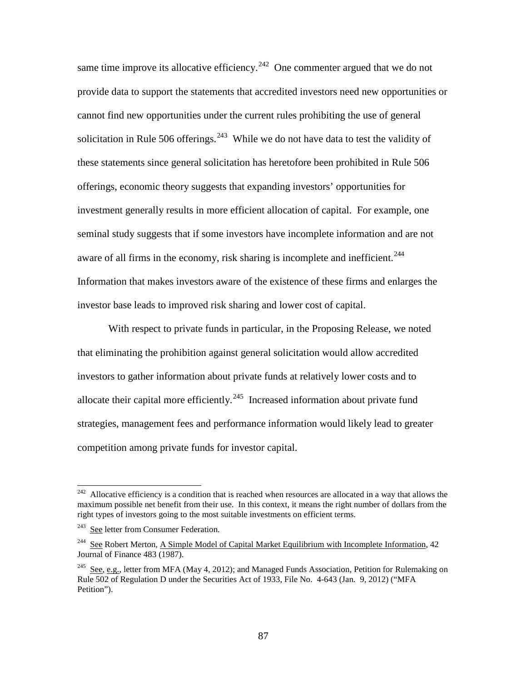same time improve its allocative efficiency.<sup>242</sup> One commenter argued that we do not provide data to support the statements that accredited investors need new opportunities or cannot find new opportunities under the current rules prohibiting the use of general solicitation in Rule 506 offerings. $243$  While we do not have data to test the validity of these statements since general solicitation has heretofore been prohibited in Rule 506 offerings, economic theory suggests that expanding investors' opportunities for investment generally results in more efficient allocation of capital. For example, one seminal study suggests that if some investors have incomplete information and are not aware of all firms in the economy, risk sharing is incomplete and inefficient.<sup>[244](#page-86-2)</sup> Information that makes investors aware of the existence of these firms and enlarges the investor base leads to improved risk sharing and lower cost of capital.

With respect to private funds in particular, in the Proposing Release, we noted that eliminating the prohibition against general solicitation would allow accredited investors to gather information about private funds at relatively lower costs and to allocate their capital more efficiently.<sup>[245](#page-86-3)</sup> Increased information about private fund strategies, management fees and performance information would likely lead to greater competition among private funds for investor capital.

<span id="page-86-0"></span> $242$  Allocative efficiency is a condition that is reached when resources are allocated in a way that allows the maximum possible net benefit from their use. In this context, it means the right number of dollars from the right types of investors going to the most suitable investments on efficient terms.

<span id="page-86-1"></span><sup>&</sup>lt;sup>243</sup> See letter from Consumer Federation.

<span id="page-86-2"></span><sup>244</sup> See Robert Merton, A Simple Model of Capital Market Equilibrium with Incomplete Information*,* 42 Journal of Finance 483 (1987).

<span id="page-86-3"></span><sup>&</sup>lt;sup>245</sup> See, e.g., letter from MFA (May 4, 2012); and Managed Funds Association, Petition for Rulemaking on Rule 502 of Regulation D under the Securities Act of 1933, File No. 4-643 (Jan. 9, 2012) ("MFA Petition").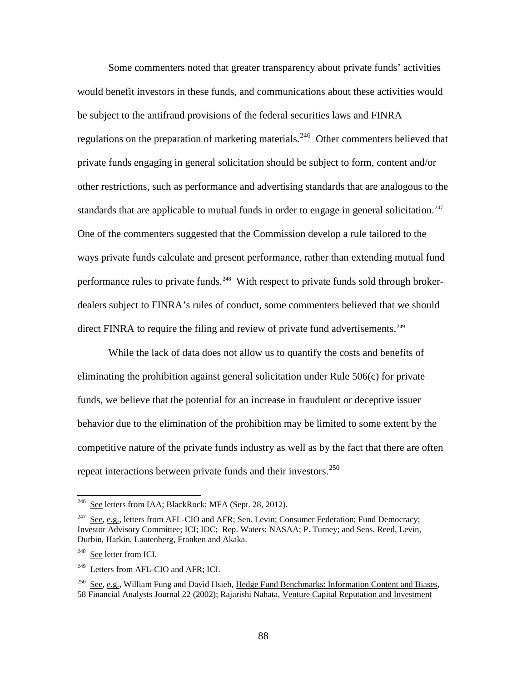Some commenters noted that greater transparency about private funds' activities would benefit investors in these funds, and communications about these activities would be subject to the antifraud provisions of the federal securities laws and FINRA regulations on the preparation of marketing materials.<sup>246</sup> Other commenters believed that private funds engaging in general solicitation should be subject to form, content and/or other restrictions, such as performance and advertising standards that are analogous to the standards that are applicable to mutual funds in order to engage in general solicitation.<sup>247</sup> One of the commenters suggested that the Commission develop a rule tailored to the ways private funds calculate and present performance, rather than extending mutual fund performance rules to private funds.<sup>248</sup> With respect to private funds sold through brokerdealers subject to FINRA's rules of conduct, some commenters believed that we should direct FINRA to require the filing and review of private fund advertisements.<sup>249</sup>

While the lack of data does not allow us to quantify the costs and benefits of eliminating the prohibition against general solicitation under Rule 506(c) for private funds, we believe that the potential for an increase in fraudulent or deceptive issuer behavior due to the elimination of the prohibition may be limited to some extent by the competitive nature of the private funds industry as well as by the fact that there are often repeat interactions between private funds and their investors.<sup>250</sup>

<span id="page-87-0"></span><sup>&</sup>lt;sup>246</sup> See letters from IAA; BlackRock; MFA (Sept. 28, 2012).

<span id="page-87-1"></span><sup>&</sup>lt;sup>247</sup> See, e.g., letters from AFL-CIO and AFR; Sen. Levin; Consumer Federation; Fund Democracy; Investor Advisory Committee; ICI; IDC; Rep. Waters; NASAA; P. Turney; and Sens. Reed, Levin, Durbin, Harkin, Lautenberg, Franken and Akaka.

<span id="page-87-2"></span><sup>&</sup>lt;sup>248</sup> See letter from ICI.

<span id="page-87-3"></span><sup>249</sup> Letters from AFL-CIO and AFR; ICI.

<span id="page-87-4"></span><sup>250</sup> See, e.g., William Fung and David Hsieh, Hedge Fund Benchmarks: Information Content and Biases*,* 58 Financial Analysts Journal 22 (2002); Rajarishi Nahata, Venture Capital Reputation and Investment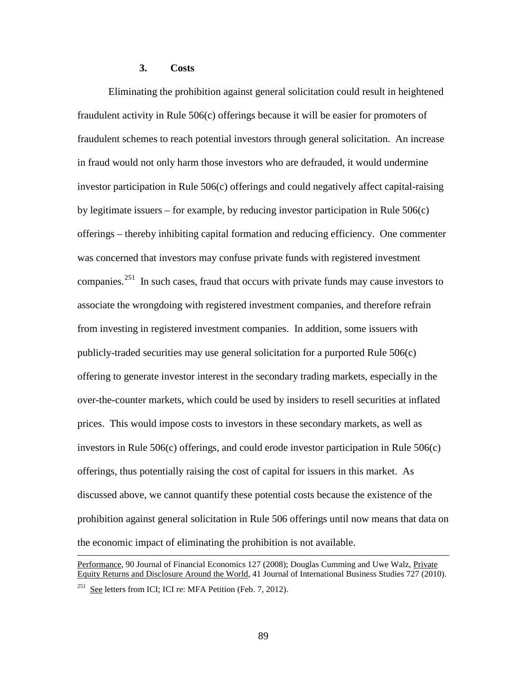# **3. Costs**

 $\overline{a}$ 

Eliminating the prohibition against general solicitation could result in heightened fraudulent activity in Rule 506(c) offerings because it will be easier for promoters of fraudulent schemes to reach potential investors through general solicitation. An increase in fraud would not only harm those investors who are defrauded, it would undermine investor participation in Rule 506(c) offerings and could negatively affect capital-raising by legitimate issuers – for example, by reducing investor participation in Rule 506(c) offerings – thereby inhibiting capital formation and reducing efficiency. One commenter was concerned that investors may confuse private funds with registered investment companies.<sup>[251](#page-88-0)</sup> In such cases, fraud that occurs with private funds may cause investors to associate the wrongdoing with registered investment companies, and therefore refrain from investing in registered investment companies. In addition, some issuers with publicly-traded securities may use general solicitation for a purported Rule 506(c) offering to generate investor interest in the secondary trading markets, especially in the over-the-counter markets, which could be used by insiders to resell securities at inflated prices. This would impose costs to investors in these secondary markets, as well as investors in Rule 506(c) offerings, and could erode investor participation in Rule 506(c) offerings, thus potentially raising the cost of capital for issuers in this market. As discussed above, we cannot quantify these potential costs because the existence of the prohibition against general solicitation in Rule 506 offerings until now means that data on the economic impact of eliminating the prohibition is not available.

<span id="page-88-0"></span>Performance*,* 90 Journal of Financial Economics 127 (2008); Douglas Cumming and Uwe Walz, Private Equity Returns and Disclosure Around the World*,* 41 Journal of International Business Studies 727 (2010). <sup>251</sup> See letters from ICI; ICI re: MFA Petition (Feb. 7, 2012).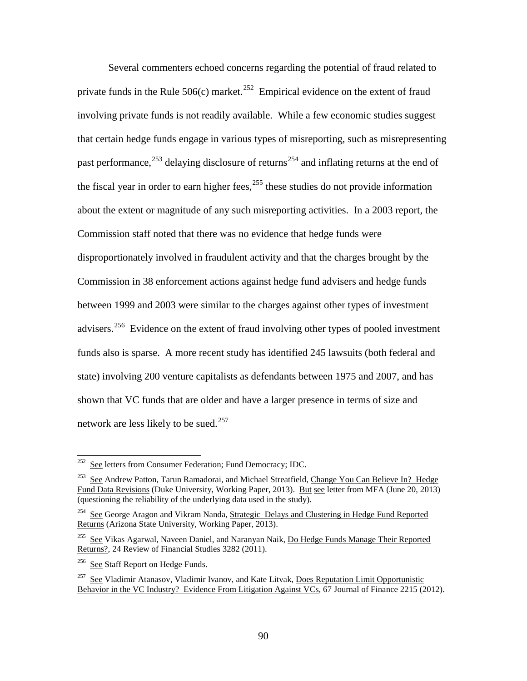Several commenters echoed concerns regarding the potential of fraud related to private funds in the Rule  $506(c)$  market.<sup>[252](#page-89-0)</sup> Empirical evidence on the extent of fraud involving private funds is not readily available. While a few economic studies suggest that certain hedge funds engage in various types of misreporting, such as misrepresenting past performance,<sup>253</sup> delaying disclosure of returns<sup>[254](#page-89-2)</sup> and inflating returns at the end of the fiscal year in order to earn higher fees,  $^{255}$  these studies do not provide information about the extent or magnitude of any such misreporting activities. In a 2003 report, the Commission staff noted that there was no evidence that hedge funds were disproportionately involved in fraudulent activity and that the charges brought by the Commission in 38 enforcement actions against hedge fund advisers and hedge funds between 1999 and 2003 were similar to the charges against other types of investment advisers.<sup>[256](#page-89-4)</sup> Evidence on the extent of fraud involving other types of pooled investment funds also is sparse. A more recent study has identified 245 lawsuits (both federal and state) involving 200 venture capitalists as defendants between 1975 and 2007, and has shown that VC funds that are older and have a larger presence in terms of size and network are less likely to be sued.<sup>[257](#page-89-5)</sup>

<span id="page-89-0"></span><sup>&</sup>lt;sup>252</sup> See letters from Consumer Federation; Fund Democracy; IDC.

<span id="page-89-1"></span><sup>&</sup>lt;sup>253</sup> See Andrew Patton, Tarun Ramadorai, and Michael Streatfield, Change You Can Believe In? Hedge Fund Data Revisions (Duke University, Working Paper, 2013). But see letter from MFA (June 20, 2013) (questioning the reliability of the underlying data used in the study).

<span id="page-89-2"></span><sup>&</sup>lt;sup>254</sup> See George Aragon and Vikram Nanda, Strategic Delays and Clustering in Hedge Fund Reported Returns (Arizona State University, Working Paper, 2013).

<span id="page-89-3"></span><sup>&</sup>lt;sup>255</sup> See Vikas Agarwal, Naveen Daniel, and Naranyan Naik, Do Hedge Funds Manage Their Reported Returns?*,* 24 Review of Financial Studies 3282 (2011).

<span id="page-89-4"></span><sup>&</sup>lt;sup>256</sup> See Staff Report on Hedge Funds.

<span id="page-89-5"></span> $257$  See Vladimir Atanasov, Vladimir Ivanov, and Kate Litvak, Does Reputation Limit Opportunistic Behavior in the VC Industry? Evidence From Litigation Against VCs*,* 67 Journal of Finance 2215 (2012).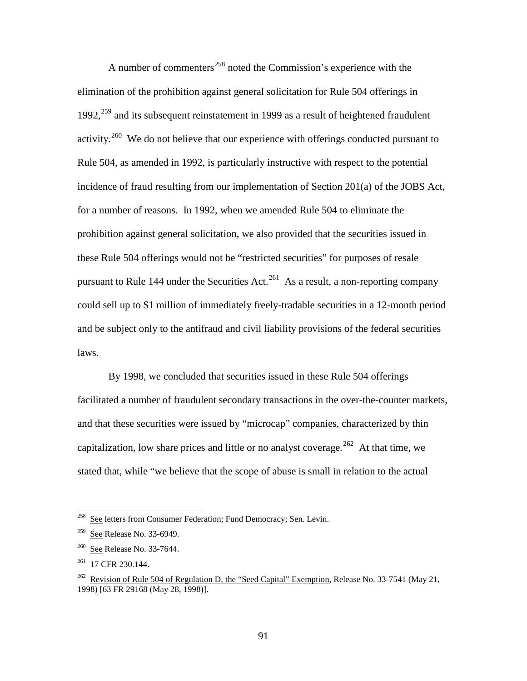A number of commenters<sup>258</sup> noted the Commission's experience with the elimination of the prohibition against general solicitation for Rule 504 offerings in 1992, $^{259}$  and its subsequent reinstatement in 1999 as a result of heightened fraudulent activity.<sup>260</sup> We do not believe that our experience with offerings conducted pursuant to Rule 504, as amended in 1992, is particularly instructive with respect to the potential incidence of fraud resulting from our implementation of Section 201(a) of the JOBS Act, for a number of reasons. In 1992, when we amended Rule 504 to eliminate the prohibition against general solicitation, we also provided that the securities issued in these Rule 504 offerings would not be "restricted securities" for purposes of resale pursuant to Rule 144 under the Securities Act.<sup>261</sup> As a result, a non-reporting company could sell up to \$1 million of immediately freely-tradable securities in a 12-month period and be subject only to the antifraud and civil liability provisions of the federal securities laws.

By 1998, we concluded that securities issued in these Rule 504 offerings facilitated a number of fraudulent secondary transactions in the over-the-counter markets, and that these securities were issued by "microcap" companies, characterized by thin capitalization, low share prices and little or no analyst coverage.<sup>[262](#page-90-4)</sup> At that time, we stated that, while "we believe that the scope of abuse is small in relation to the actual

<span id="page-90-0"></span><sup>258</sup> See letters from Consumer Federation; Fund Democracy; Sen. Levin.

<span id="page-90-1"></span><sup>&</sup>lt;sup>259</sup> See Release No. 33-6949.

<span id="page-90-2"></span><sup>260</sup> See Release No. 33-7644.

<span id="page-90-3"></span> $261$  17 CFR 230.144.

<span id="page-90-4"></span><sup>&</sup>lt;sup>262</sup> Revision of Rule 504 of Regulation D, the "Seed Capital" Exemption, Release No. 33-7541 (May 21, 1998) [63 FR 29168 (May 28, 1998)].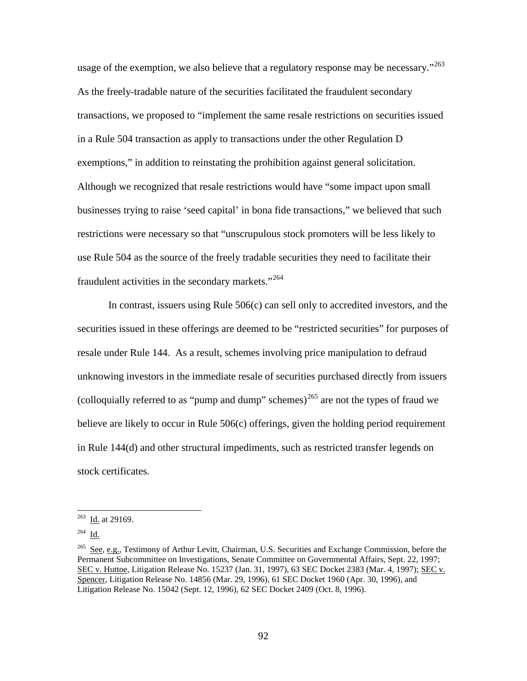usage of the exemption, we also believe that a regulatory response may be necessary.<sup> $263$ </sup> As the freely-tradable nature of the securities facilitated the fraudulent secondary transactions, we proposed to "implement the same resale restrictions on securities issued in a Rule 504 transaction as apply to transactions under the other Regulation D exemptions," in addition to reinstating the prohibition against general solicitation. Although we recognized that resale restrictions would have "some impact upon small businesses trying to raise 'seed capital' in bona fide transactions," we believed that such restrictions were necessary so that "unscrupulous stock promoters will be less likely to use Rule 504 as the source of the freely tradable securities they need to facilitate their fraudulent activities in the secondary markets."<sup>[264](#page-91-1)</sup>

In contrast, issuers using Rule  $506(c)$  can sell only to accredited investors, and the securities issued in these offerings are deemed to be "restricted securities" for purposes of resale under Rule 144. As a result, schemes involving price manipulation to defraud unknowing investors in the immediate resale of securities purchased directly from issuers (colloquially referred to as "pump and dump" schemes) $^{265}$  $^{265}$  $^{265}$  are not the types of fraud we believe are likely to occur in Rule 506(c) offerings, given the holding period requirement in Rule 144(d) and other structural impediments, such as restricted transfer legends on stock certificates.

<span id="page-91-0"></span> $\frac{263}{\underline{10}}$ . at 29169.

<span id="page-91-1"></span> $264$  Id.

<span id="page-91-2"></span><sup>&</sup>lt;sup>265</sup> See, e.g., Testimony of Arthur Levitt, Chairman, U.S. Securities and Exchange Commission, before the Permanent Subcommittee on Investigations, Senate Committee on Governmental Affairs, Sept. 22, 1997; SEC v. Huttoe, Litigation Release No. 15237 (Jan. 31, 1997), 63 SEC Docket 2383 (Mar. 4, 1997); SEC v. Spencer, Litigation Release No. 14856 (Mar. 29, 1996), 61 SEC Docket 1960 (Apr. 30, 1996), and Litigation Release No. 15042 (Sept. 12, 1996), 62 SEC Docket 2409 (Oct. 8, 1996).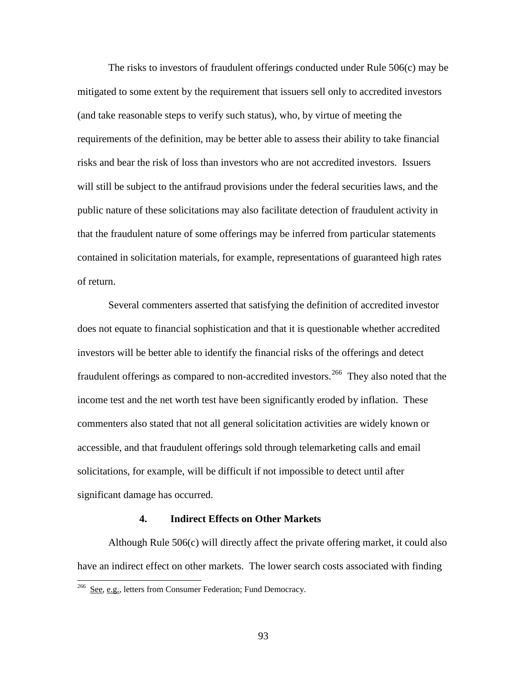The risks to investors of fraudulent offerings conducted under Rule 506(c) may be mitigated to some extent by the requirement that issuers sell only to accredited investors (and take reasonable steps to verify such status), who, by virtue of meeting the requirements of the definition, may be better able to assess their ability to take financial risks and bear the risk of loss than investors who are not accredited investors. Issuers will still be subject to the antifraud provisions under the federal securities laws, and the public nature of these solicitations may also facilitate detection of fraudulent activity in that the fraudulent nature of some offerings may be inferred from particular statements contained in solicitation materials, for example, representations of guaranteed high rates of return.

Several commenters asserted that satisfying the definition of accredited investor does not equate to financial sophistication and that it is questionable whether accredited investors will be better able to identify the financial risks of the offerings and detect fraudulent offerings as compared to non-accredited investors.<sup>266</sup> They also noted that the income test and the net worth test have been significantly eroded by inflation. These commenters also stated that not all general solicitation activities are widely known or accessible, and that fraudulent offerings sold through telemarketing calls and email solicitations, for example, will be difficult if not impossible to detect until after significant damage has occurred.

#### **4. Indirect Effects on Other Markets**

Although Rule 506(c) will directly affect the private offering market, it could also have an indirect effect on other markets. The lower search costs associated with finding

<span id="page-92-0"></span><sup>&</sup>lt;sup>266</sup> See, e.g., letters from Consumer Federation; Fund Democracy.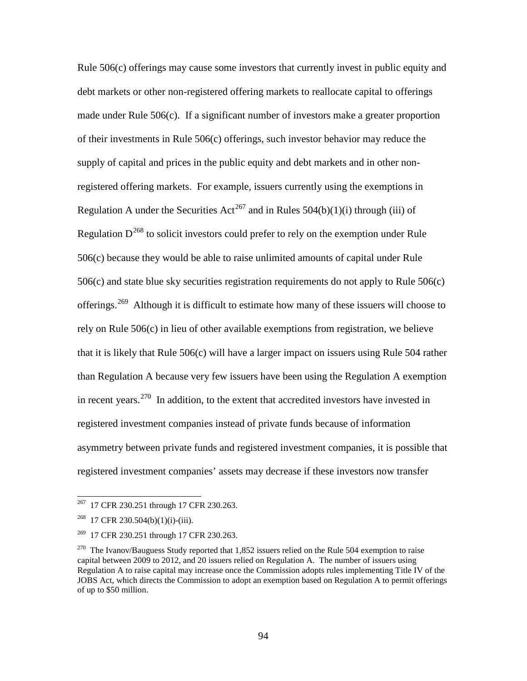Rule 506(c) offerings may cause some investors that currently invest in public equity and debt markets or other non-registered offering markets to reallocate capital to offerings made under Rule  $506(c)$ . If a significant number of investors make a greater proportion of their investments in Rule 506(c) offerings, such investor behavior may reduce the supply of capital and prices in the public equity and debt markets and in other nonregistered offering markets. For example, issuers currently using the exemptions in Regulation A under the Securities Act<sup>267</sup> and in Rules  $504(b)(1)(i)$  through (iii) of Regulation  $D^{268}$  $D^{268}$  $D^{268}$  to solicit investors could prefer to rely on the exemption under Rule 506(c) because they would be able to raise unlimited amounts of capital under Rule 506(c) and state blue sky securities registration requirements do not apply to Rule 506(c) offerings.<sup>[269](#page-93-2)</sup> Although it is difficult to estimate how many of these issuers will choose to rely on Rule 506(c) in lieu of other available exemptions from registration, we believe that it is likely that Rule 506(c) will have a larger impact on issuers using Rule 504 rather than Regulation A because very few issuers have been using the Regulation A exemption in recent years.<sup>270</sup> In addition, to the extent that accredited investors have invested in registered investment companies instead of private funds because of information asymmetry between private funds and registered investment companies, it is possible that registered investment companies' assets may decrease if these investors now transfer

<span id="page-93-0"></span><sup>&</sup>lt;sup>267</sup> 17 CFR 230.251 through 17 CFR 230.263.

<span id="page-93-1"></span> $^{268}$  17 CFR 230.504(b)(1)(i)-(iii).

<span id="page-93-2"></span><sup>&</sup>lt;sup>269</sup> 17 CFR 230.251 through 17 CFR 230.263.

<span id="page-93-3"></span><sup>&</sup>lt;sup>270</sup> The Ivanov/Bauguess Study reported that 1,852 issuers relied on the Rule 504 exemption to raise capital between 2009 to 2012, and 20 issuers relied on Regulation A. The number of issuers using Regulation A to raise capital may increase once the Commission adopts rules implementing Title IV of the JOBS Act, which directs the Commission to adopt an exemption based on Regulation A to permit offerings of up to \$50 million.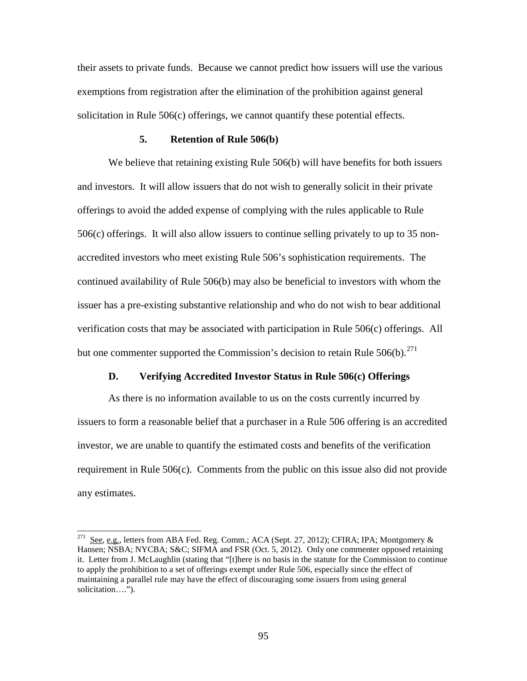their assets to private funds. Because we cannot predict how issuers will use the various exemptions from registration after the elimination of the prohibition against general solicitation in Rule 506(c) offerings, we cannot quantify these potential effects.

#### **5. Retention of Rule 506(b)**

We believe that retaining existing Rule 506(b) will have benefits for both issuers and investors. It will allow issuers that do not wish to generally solicit in their private offerings to avoid the added expense of complying with the rules applicable to Rule 506(c) offerings. It will also allow issuers to continue selling privately to up to 35 nonaccredited investors who meet existing Rule 506's sophistication requirements. The continued availability of Rule 506(b) may also be beneficial to investors with whom the issuer has a pre-existing substantive relationship and who do not wish to bear additional verification costs that may be associated with participation in Rule 506(c) offerings. All but one commenter supported the Commission's decision to retain Rule  $506(b)$ <sup>[271](#page-94-0)</sup>

#### **D. Verifying Accredited Investor Status in Rule 506(c) Offerings**

As there is no information available to us on the costs currently incurred by issuers to form a reasonable belief that a purchaser in a Rule 506 offering is an accredited investor, we are unable to quantify the estimated costs and benefits of the verification requirement in Rule 506(c). Comments from the public on this issue also did not provide any estimates.

<span id="page-94-0"></span><sup>271</sup> See, e.g., letters from ABA Fed. Reg. Comm.; ACA (Sept. 27, 2012); CFIRA; IPA; Montgomery & Hansen; NSBA; NYCBA; S&C; SIFMA and FSR (Oct. 5, 2012). Only one commenter opposed retaining it. Letter from J. McLaughlin (stating that "[t]here is no basis in the statute for the Commission to continue to apply the prohibition to a set of offerings exempt under Rule 506, especially since the effect of maintaining a parallel rule may have the effect of discouraging some issuers from using general solicitation….").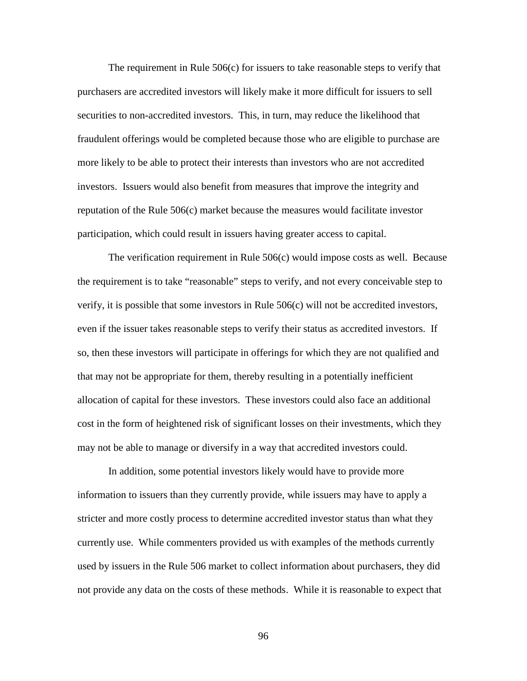The requirement in Rule 506(c) for issuers to take reasonable steps to verify that purchasers are accredited investors will likely make it more difficult for issuers to sell securities to non-accredited investors. This, in turn, may reduce the likelihood that fraudulent offerings would be completed because those who are eligible to purchase are more likely to be able to protect their interests than investors who are not accredited investors. Issuers would also benefit from measures that improve the integrity and reputation of the Rule 506(c) market because the measures would facilitate investor participation, which could result in issuers having greater access to capital.

The verification requirement in Rule 506(c) would impose costs as well. Because the requirement is to take "reasonable" steps to verify, and not every conceivable step to verify, it is possible that some investors in Rule 506(c) will not be accredited investors, even if the issuer takes reasonable steps to verify their status as accredited investors. If so, then these investors will participate in offerings for which they are not qualified and that may not be appropriate for them, thereby resulting in a potentially inefficient allocation of capital for these investors. These investors could also face an additional cost in the form of heightened risk of significant losses on their investments, which they may not be able to manage or diversify in a way that accredited investors could.

In addition, some potential investors likely would have to provide more information to issuers than they currently provide, while issuers may have to apply a stricter and more costly process to determine accredited investor status than what they currently use. While commenters provided us with examples of the methods currently used by issuers in the Rule 506 market to collect information about purchasers, they did not provide any data on the costs of these methods. While it is reasonable to expect that

96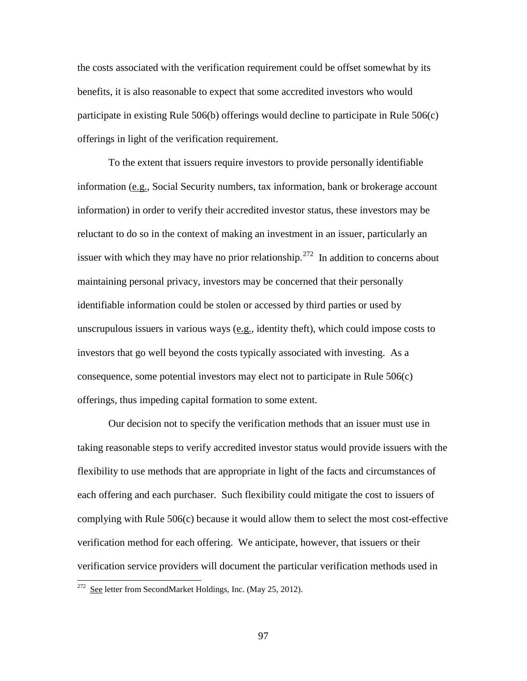the costs associated with the verification requirement could be offset somewhat by its benefits, it is also reasonable to expect that some accredited investors who would participate in existing Rule 506(b) offerings would decline to participate in Rule 506(c) offerings in light of the verification requirement.

To the extent that issuers require investors to provide personally identifiable information (e.g., Social Security numbers, tax information, bank or brokerage account information) in order to verify their accredited investor status, these investors may be reluctant to do so in the context of making an investment in an issuer, particularly an issuer with which they may have no prior relationship.<sup>[272](#page-96-0)</sup> In addition to concerns about maintaining personal privacy, investors may be concerned that their personally identifiable information could be stolen or accessed by third parties or used by unscrupulous issuers in various ways (e.g., identity theft), which could impose costs to investors that go well beyond the costs typically associated with investing. As a consequence, some potential investors may elect not to participate in Rule 506(c) offerings, thus impeding capital formation to some extent.

Our decision not to specify the verification methods that an issuer must use in taking reasonable steps to verify accredited investor status would provide issuers with the flexibility to use methods that are appropriate in light of the facts and circumstances of each offering and each purchaser. Such flexibility could mitigate the cost to issuers of complying with Rule 506(c) because it would allow them to select the most cost-effective verification method for each offering. We anticipate, however, that issuers or their verification service providers will document the particular verification methods used in

<span id="page-96-0"></span><sup>&</sup>lt;sup>272</sup> See letter from SecondMarket Holdings, Inc. (May 25, 2012).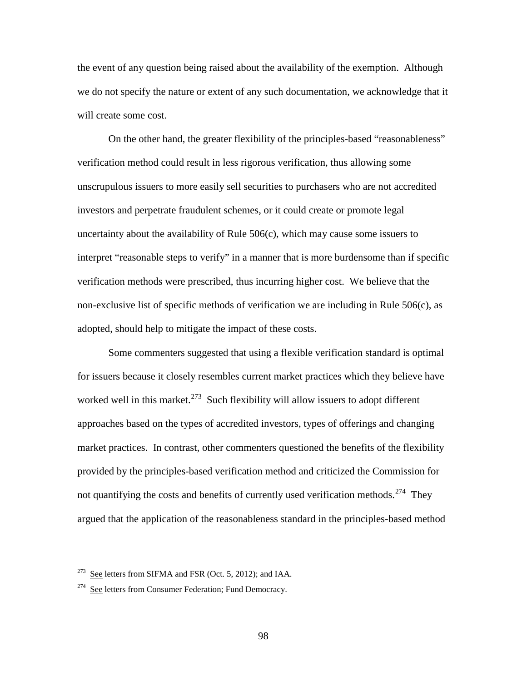the event of any question being raised about the availability of the exemption. Although we do not specify the nature or extent of any such documentation, we acknowledge that it will create some cost.

On the other hand, the greater flexibility of the principles-based "reasonableness" verification method could result in less rigorous verification, thus allowing some unscrupulous issuers to more easily sell securities to purchasers who are not accredited investors and perpetrate fraudulent schemes, or it could create or promote legal uncertainty about the availability of Rule 506(c), which may cause some issuers to interpret "reasonable steps to verify" in a manner that is more burdensome than if specific verification methods were prescribed, thus incurring higher cost. We believe that the non-exclusive list of specific methods of verification we are including in Rule 506(c), as adopted, should help to mitigate the impact of these costs.

Some commenters suggested that using a flexible verification standard is optimal for issuers because it closely resembles current market practices which they believe have worked well in this market.<sup>[273](#page-97-0)</sup> Such flexibility will allow issuers to adopt different approaches based on the types of accredited investors, types of offerings and changing market practices. In contrast, other commenters questioned the benefits of the flexibility provided by the principles-based verification method and criticized the Commission for not quantifying the costs and benefits of currently used verification methods.<sup>274</sup> They argued that the application of the reasonableness standard in the principles-based method

<span id="page-97-0"></span> $2^{273}$  See letters from SIFMA and FSR (Oct. 5, 2012); and IAA.

<span id="page-97-1"></span><sup>&</sup>lt;sup>274</sup> See letters from Consumer Federation; Fund Democracy.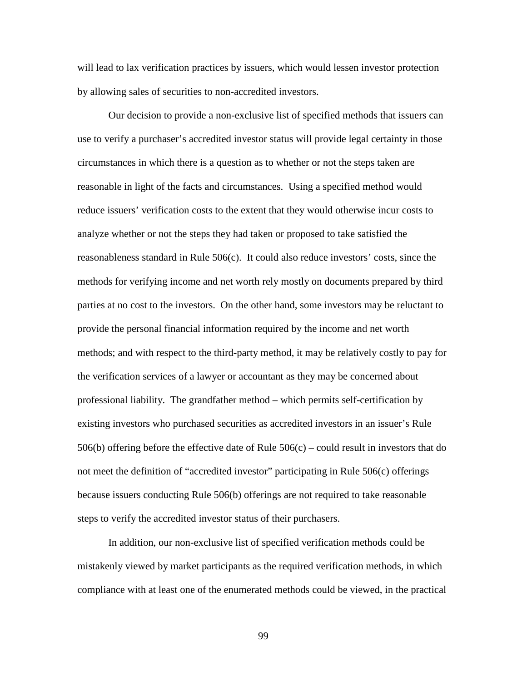will lead to lax verification practices by issuers, which would lessen investor protection by allowing sales of securities to non-accredited investors.

Our decision to provide a non-exclusive list of specified methods that issuers can use to verify a purchaser's accredited investor status will provide legal certainty in those circumstances in which there is a question as to whether or not the steps taken are reasonable in light of the facts and circumstances. Using a specified method would reduce issuers' verification costs to the extent that they would otherwise incur costs to analyze whether or not the steps they had taken or proposed to take satisfied the reasonableness standard in Rule 506(c). It could also reduce investors' costs, since the methods for verifying income and net worth rely mostly on documents prepared by third parties at no cost to the investors. On the other hand, some investors may be reluctant to provide the personal financial information required by the income and net worth methods; and with respect to the third-party method, it may be relatively costly to pay for the verification services of a lawyer or accountant as they may be concerned about professional liability. The grandfather method – which permits self-certification by existing investors who purchased securities as accredited investors in an issuer's Rule 506(b) offering before the effective date of Rule  $506(c)$  – could result in investors that do not meet the definition of "accredited investor" participating in Rule 506(c) offerings because issuers conducting Rule 506(b) offerings are not required to take reasonable steps to verify the accredited investor status of their purchasers.

In addition, our non-exclusive list of specified verification methods could be mistakenly viewed by market participants as the required verification methods, in which compliance with at least one of the enumerated methods could be viewed, in the practical

99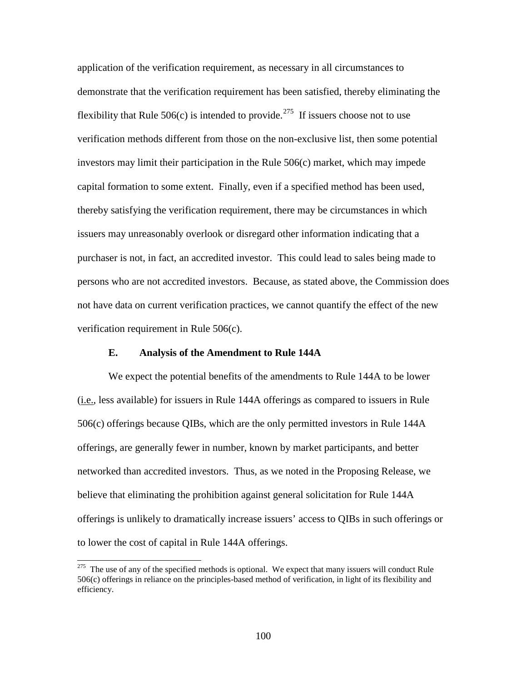application of the verification requirement, as necessary in all circumstances to demonstrate that the verification requirement has been satisfied, thereby eliminating the flexibility that Rule 506(c) is intended to provide.<sup>[275](#page-99-0)</sup> If issuers choose not to use verification methods different from those on the non-exclusive list, then some potential investors may limit their participation in the Rule 506(c) market, which may impede capital formation to some extent. Finally, even if a specified method has been used, thereby satisfying the verification requirement, there may be circumstances in which issuers may unreasonably overlook or disregard other information indicating that a purchaser is not, in fact, an accredited investor. This could lead to sales being made to persons who are not accredited investors. Because, as stated above, the Commission does not have data on current verification practices, we cannot quantify the effect of the new verification requirement in Rule 506(c).

#### **E. Analysis of the Amendment to Rule 144A**

 $\overline{a}$ 

We expect the potential benefits of the amendments to Rule 144A to be lower (i.e., less available) for issuers in Rule 144A offerings as compared to issuers in Rule 506(c) offerings because QIBs, which are the only permitted investors in Rule 144A offerings, are generally fewer in number, known by market participants, and better networked than accredited investors. Thus, as we noted in the Proposing Release, we believe that eliminating the prohibition against general solicitation for Rule 144A offerings is unlikely to dramatically increase issuers' access to QIBs in such offerings or to lower the cost of capital in Rule 144A offerings.

<span id="page-99-0"></span><sup>&</sup>lt;sup>275</sup> The use of any of the specified methods is optional. We expect that many issuers will conduct Rule 506(c) offerings in reliance on the principles-based method of verification, in light of its flexibility and efficiency.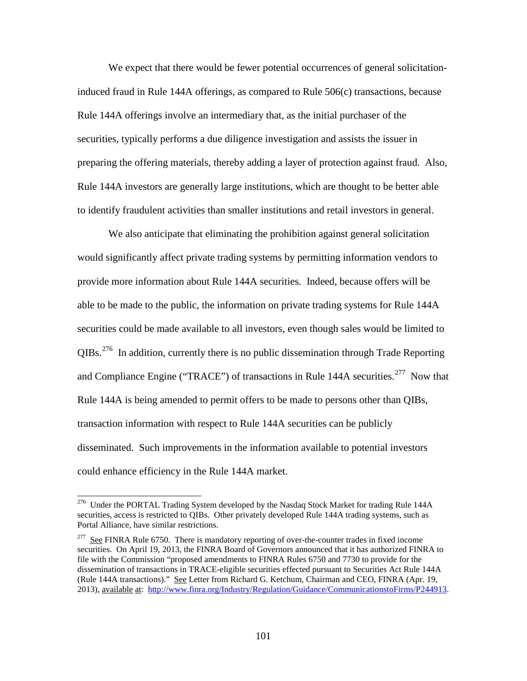We expect that there would be fewer potential occurrences of general solicitationinduced fraud in Rule 144A offerings, as compared to Rule 506(c) transactions, because Rule 144A offerings involve an intermediary that, as the initial purchaser of the securities, typically performs a due diligence investigation and assists the issuer in preparing the offering materials, thereby adding a layer of protection against fraud. Also, Rule 144A investors are generally large institutions, which are thought to be better able to identify fraudulent activities than smaller institutions and retail investors in general.

We also anticipate that eliminating the prohibition against general solicitation would significantly affect private trading systems by permitting information vendors to provide more information about Rule 144A securities. Indeed, because offers will be able to be made to the public, the information on private trading systems for Rule 144A securities could be made available to all investors, even though sales would be limited to  $QIBs$ <sup>[276](#page-100-0)</sup> In addition, currently there is no public dissemination through Trade Reporting and Compliance Engine ("TRACE") of transactions in Rule 144A securities.<sup>[277](#page-100-1)</sup> Now that Rule 144A is being amended to permit offers to be made to persons other than QIBs, transaction information with respect to Rule 144A securities can be publicly disseminated. Such improvements in the information available to potential investors could enhance efficiency in the Rule 144A market.

<span id="page-100-0"></span><sup>&</sup>lt;sup>276</sup> Under the PORTAL Trading System developed by the Nasdaq Stock Market for trading Rule 144A securities, access is restricted to QIBs. Other privately developed Rule 144A trading systems, such as Portal Alliance, have similar restrictions.

<span id="page-100-1"></span> $277$  See FINRA Rule 6750. There is mandatory reporting of over-the-counter trades in fixed income securities. On April 19, 2013, the FINRA Board of Governors announced that it has authorized FINRA to file with the Commission "proposed amendments to FINRA Rules 6750 and 7730 to provide for the dissemination of transactions in TRACE-eligible securities effected pursuant to Securities Act Rule 144A (Rule 144A transactions)." See Letter from Richard G. Ketchum, Chairman and CEO, FINRA (Apr. 19, 2013), available at: [http://www.finra.org/Industry/Regulation/Guidance/CommunicationstoFirms/P244913.](http://www.finra.org/Industry/Regulation/Guidance/CommunicationstoFirms/P244913)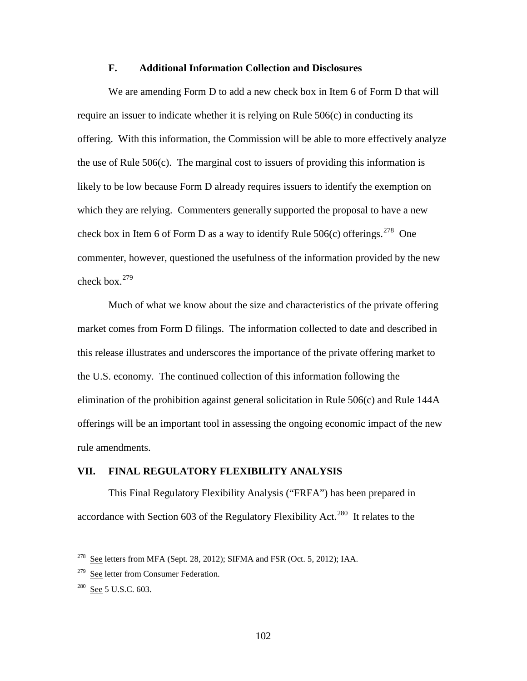### **F. Additional Information Collection and Disclosures**

We are amending Form D to add a new check box in Item 6 of Form D that will require an issuer to indicate whether it is relying on Rule 506(c) in conducting its offering. With this information, the Commission will be able to more effectively analyze the use of Rule 506(c). The marginal cost to issuers of providing this information is likely to be low because Form D already requires issuers to identify the exemption on which they are relying. Commenters generally supported the proposal to have a new check box in Item 6 of Form D as a way to identify Rule  $506(c)$  offerings.<sup>278</sup> One commenter, however, questioned the usefulness of the information provided by the new check box. $279$ 

Much of what we know about the size and characteristics of the private offering market comes from Form D filings. The information collected to date and described in this release illustrates and underscores the importance of the private offering market to the U.S. economy. The continued collection of this information following the elimination of the prohibition against general solicitation in Rule 506(c) and Rule 144A offerings will be an important tool in assessing the ongoing economic impact of the new rule amendments.

# **VII. FINAL REGULATORY FLEXIBILITY ANALYSIS**

This Final Regulatory Flexibility Analysis ("FRFA") has been prepared in accordance with Section 603 of the Regulatory Flexibility Act.<sup>[280](#page-101-2)</sup> It relates to the

<span id="page-101-0"></span> $278$  See letters from MFA (Sept. 28, 2012); SIFMA and FSR (Oct. 5, 2012); IAA.

<span id="page-101-1"></span><sup>&</sup>lt;sup>279</sup> See letter from Consumer Federation.

<span id="page-101-2"></span><sup>280</sup> See 5 U.S.C. 603.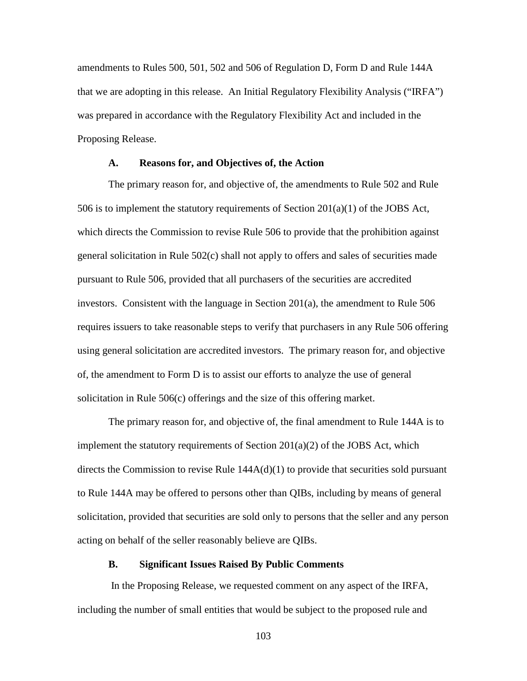amendments to Rules 500, 501, 502 and 506 of Regulation D, Form D and Rule 144A that we are adopting in this release. An Initial Regulatory Flexibility Analysis ("IRFA") was prepared in accordance with the Regulatory Flexibility Act and included in the Proposing Release.

### **A. Reasons for, and Objectives of, the Action**

 The primary reason for, and objective of, the amendments to Rule 502 and Rule 506 is to implement the statutory requirements of Section 201(a)(1) of the JOBS Act, which directs the Commission to revise Rule 506 to provide that the prohibition against general solicitation in Rule 502(c) shall not apply to offers and sales of securities made pursuant to Rule 506, provided that all purchasers of the securities are accredited investors. Consistent with the language in Section 201(a), the amendment to Rule 506 requires issuers to take reasonable steps to verify that purchasers in any Rule 506 offering using general solicitation are accredited investors. The primary reason for, and objective of, the amendment to Form D is to assist our efforts to analyze the use of general solicitation in Rule 506(c) offerings and the size of this offering market.

The primary reason for, and objective of, the final amendment to Rule 144A is to implement the statutory requirements of Section 201(a)(2) of the JOBS Act, which directs the Commission to revise Rule  $144A(d)(1)$  to provide that securities sold pursuant to Rule 144A may be offered to persons other than QIBs, including by means of general solicitation, provided that securities are sold only to persons that the seller and any person acting on behalf of the seller reasonably believe are QIBs.

## **B. Significant Issues Raised By Public Comments**

 In the Proposing Release, we requested comment on any aspect of the IRFA, including the number of small entities that would be subject to the proposed rule and

103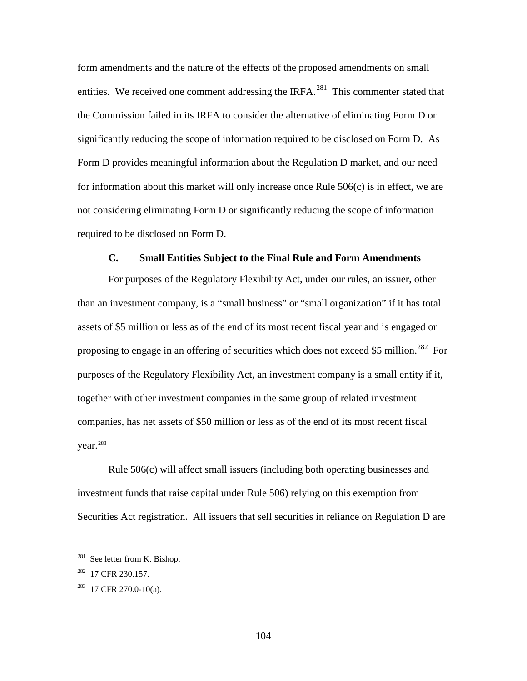form amendments and the nature of the effects of the proposed amendments on small entities. We received one comment addressing the IRFA.<sup>[281](#page-103-0)</sup> This commenter stated that the Commission failed in its IRFA to consider the alternative of eliminating Form D or significantly reducing the scope of information required to be disclosed on Form D. As Form D provides meaningful information about the Regulation D market, and our need for information about this market will only increase once Rule 506(c) is in effect, we are not considering eliminating Form D or significantly reducing the scope of information required to be disclosed on Form D.

### **C. Small Entities Subject to the Final Rule and Form Amendments**

For purposes of the Regulatory Flexibility Act, under our rules, an issuer, other than an investment company, is a "small business" or "small organization" if it has total assets of \$5 million or less as of the end of its most recent fiscal year and is engaged or proposing to engage in an offering of securities which does not exceed \$5 million.<sup>[282](#page-103-1)</sup> For purposes of the Regulatory Flexibility Act, an investment company is a small entity if it, together with other investment companies in the same group of related investment companies, has net assets of \$50 million or less as of the end of its most recent fiscal vear. $283$ 

Rule 506(c) will affect small issuers (including both operating businesses and investment funds that raise capital under Rule 506) relying on this exemption from Securities Act registration. All issuers that sell securities in reliance on Regulation D are

<span id="page-103-0"></span> $281$  See letter from K. Bishop.

<span id="page-103-1"></span><sup>282 17</sup> CFR 230.157.

<span id="page-103-2"></span> $283$  17 CFR 270.0-10(a).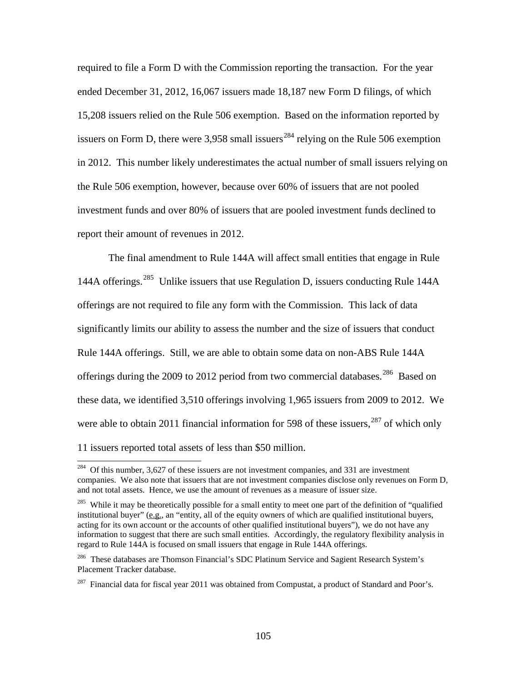required to file a Form D with the Commission reporting the transaction. For the year ended December 31, 2012, 16,067 issuers made 18,187 new Form D filings, of which 15,208 issuers relied on the Rule 506 exemption. Based on the information reported by issuers on Form D, there were  $3,958$  small issuers<sup>[284](#page-104-0)</sup> relying on the Rule 506 exemption in 2012. This number likely underestimates the actual number of small issuers relying on the Rule 506 exemption, however, because over 60% of issuers that are not pooled investment funds and over 80% of issuers that are pooled investment funds declined to report their amount of revenues in 2012.

The final amendment to Rule 144A will affect small entities that engage in Rule 144A offerings.<sup>285</sup> Unlike issuers that use Regulation D, issuers conducting Rule 144A offerings are not required to file any form with the Commission. This lack of data significantly limits our ability to assess the number and the size of issuers that conduct Rule 144A offerings. Still, we are able to obtain some data on non-ABS Rule 144A offerings during the 2009 to 2012 period from two commercial databases.<sup>286</sup> Based on these data, we identified 3,510 offerings involving 1,965 issuers from 2009 to 2012. We were able to obtain 2011 financial information for 598 of these issuers,  $287$  of which only 11 issuers reported total assets of less than \$50 million.

<span id="page-104-0"></span> $284$  Of this number, 3,627 of these issuers are not investment companies, and 331 are investment companies. We also note that issuers that are not investment companies disclose only revenues on Form D, and not total assets. Hence, we use the amount of revenues as a measure of issuer size.

<span id="page-104-1"></span><sup>&</sup>lt;sup>285</sup> While it may be theoretically possible for a small entity to meet one part of the definition of "qualified" institutional buyer" (e.g., an "entity, all of the equity owners of which are qualified institutional buyers, acting for its own account or the accounts of other qualified institutional buyers"), we do not have any information to suggest that there are such small entities. Accordingly, the regulatory flexibility analysis in regard to Rule 144A is focused on small issuers that engage in Rule 144A offerings.

<span id="page-104-2"></span><sup>286</sup> These databases are Thomson Financial's SDC Platinum Service and Sagient Research System's Placement Tracker database.

<span id="page-104-3"></span> $^{287}$  Financial data for fiscal year 2011 was obtained from Compustat, a product of Standard and Poor's.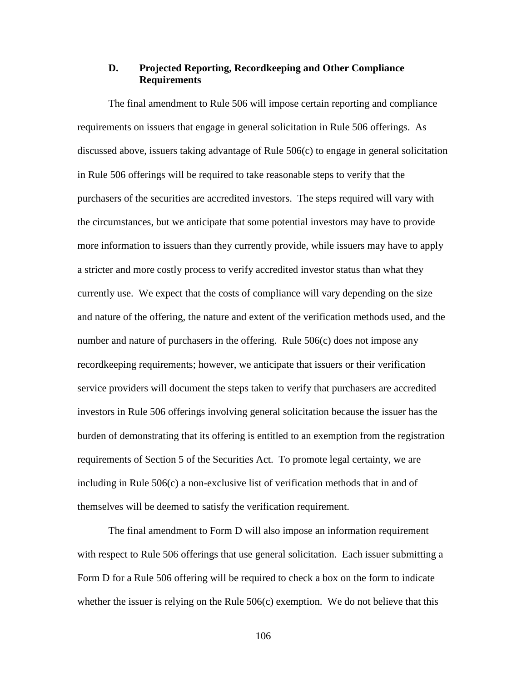# **D. Projected Reporting, Recordkeeping and Other Compliance Requirements**

The final amendment to Rule 506 will impose certain reporting and compliance requirements on issuers that engage in general solicitation in Rule 506 offerings. As discussed above, issuers taking advantage of Rule 506(c) to engage in general solicitation in Rule 506 offerings will be required to take reasonable steps to verify that the purchasers of the securities are accredited investors. The steps required will vary with the circumstances, but we anticipate that some potential investors may have to provide more information to issuers than they currently provide, while issuers may have to apply a stricter and more costly process to verify accredited investor status than what they currently use. We expect that the costs of compliance will vary depending on the size and nature of the offering, the nature and extent of the verification methods used, and the number and nature of purchasers in the offering. Rule 506(c) does not impose any recordkeeping requirements; however, we anticipate that issuers or their verification service providers will document the steps taken to verify that purchasers are accredited investors in Rule 506 offerings involving general solicitation because the issuer has the burden of demonstrating that its offering is entitled to an exemption from the registration requirements of Section 5 of the Securities Act. To promote legal certainty, we are including in Rule 506(c) a non-exclusive list of verification methods that in and of themselves will be deemed to satisfy the verification requirement.

The final amendment to Form D will also impose an information requirement with respect to Rule 506 offerings that use general solicitation. Each issuer submitting a Form D for a Rule 506 offering will be required to check a box on the form to indicate whether the issuer is relying on the Rule  $506(c)$  exemption. We do not believe that this

106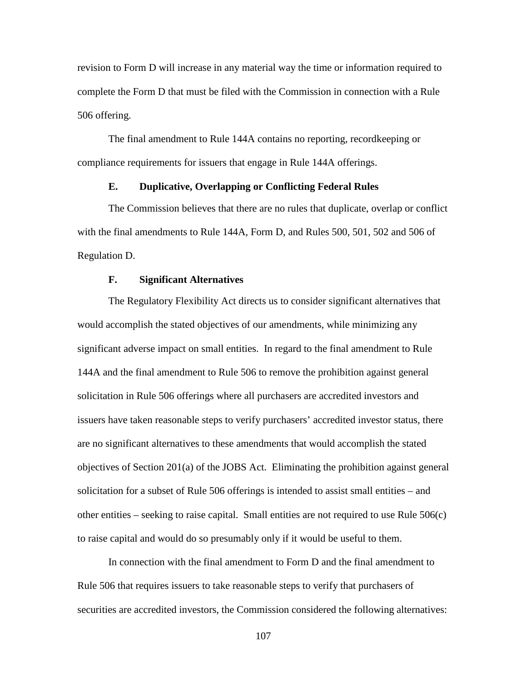revision to Form D will increase in any material way the time or information required to complete the Form D that must be filed with the Commission in connection with a Rule 506 offering.

The final amendment to Rule 144A contains no reporting, recordkeeping or compliance requirements for issuers that engage in Rule 144A offerings.

# **E. Duplicative, Overlapping or Conflicting Federal Rules**

The Commission believes that there are no rules that duplicate, overlap or conflict with the final amendments to Rule 144A, Form D, and Rules 500, 501, 502 and 506 of Regulation D.

## **F. Significant Alternatives**

The Regulatory Flexibility Act directs us to consider significant alternatives that would accomplish the stated objectives of our amendments, while minimizing any significant adverse impact on small entities. In regard to the final amendment to Rule 144A and the final amendment to Rule 506 to remove the prohibition against general solicitation in Rule 506 offerings where all purchasers are accredited investors and issuers have taken reasonable steps to verify purchasers' accredited investor status, there are no significant alternatives to these amendments that would accomplish the stated objectives of Section 201(a) of the JOBS Act. Eliminating the prohibition against general solicitation for a subset of Rule 506 offerings is intended to assist small entities – and other entities – seeking to raise capital. Small entities are not required to use Rule 506(c) to raise capital and would do so presumably only if it would be useful to them.

In connection with the final amendment to Form D and the final amendment to Rule 506 that requires issuers to take reasonable steps to verify that purchasers of securities are accredited investors, the Commission considered the following alternatives:

107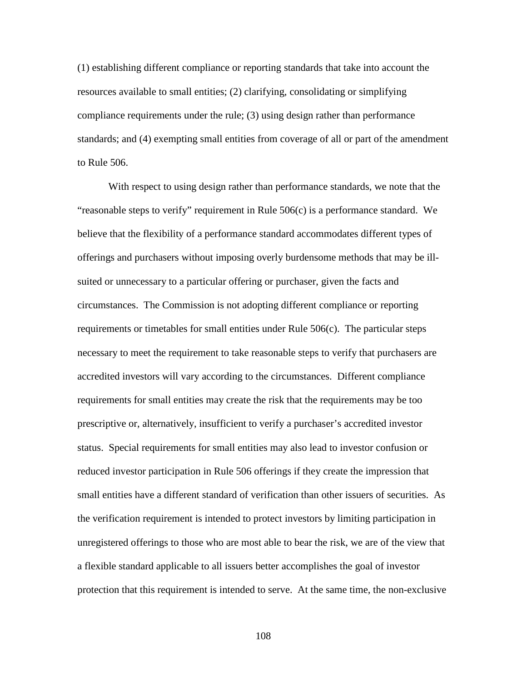(1) establishing different compliance or reporting standards that take into account the resources available to small entities; (2) clarifying, consolidating or simplifying compliance requirements under the rule; (3) using design rather than performance standards; and (4) exempting small entities from coverage of all or part of the amendment to Rule 506.

With respect to using design rather than performance standards, we note that the "reasonable steps to verify" requirement in Rule 506(c) is a performance standard. We believe that the flexibility of a performance standard accommodates different types of offerings and purchasers without imposing overly burdensome methods that may be illsuited or unnecessary to a particular offering or purchaser, given the facts and circumstances. The Commission is not adopting different compliance or reporting requirements or timetables for small entities under Rule 506(c). The particular steps necessary to meet the requirement to take reasonable steps to verify that purchasers are accredited investors will vary according to the circumstances. Different compliance requirements for small entities may create the risk that the requirements may be too prescriptive or, alternatively, insufficient to verify a purchaser's accredited investor status. Special requirements for small entities may also lead to investor confusion or reduced investor participation in Rule 506 offerings if they create the impression that small entities have a different standard of verification than other issuers of securities. As the verification requirement is intended to protect investors by limiting participation in unregistered offerings to those who are most able to bear the risk, we are of the view that a flexible standard applicable to all issuers better accomplishes the goal of investor protection that this requirement is intended to serve. At the same time, the non-exclusive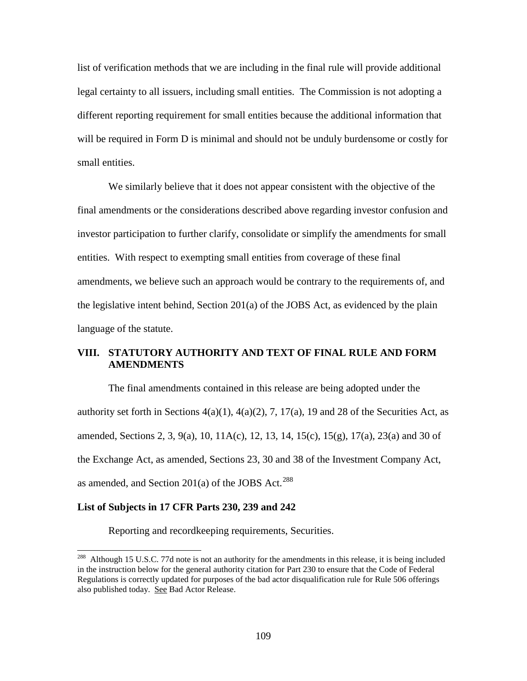list of verification methods that we are including in the final rule will provide additional legal certainty to all issuers, including small entities. The Commission is not adopting a different reporting requirement for small entities because the additional information that will be required in Form D is minimal and should not be unduly burdensome or costly for small entities.

We similarly believe that it does not appear consistent with the objective of the final amendments or the considerations described above regarding investor confusion and investor participation to further clarify, consolidate or simplify the amendments for small entities. With respect to exempting small entities from coverage of these final amendments, we believe such an approach would be contrary to the requirements of, and the legislative intent behind, Section 201(a) of the JOBS Act, as evidenced by the plain language of the statute.

### **VIII. STATUTORY AUTHORITY AND TEXT OF FINAL RULE AND FORM AMENDMENTS**

The final amendments contained in this release are being adopted under the authority set forth in Sections  $4(a)(1)$ ,  $4(a)(2)$ , 7, 17(a), 19 and 28 of the Securities Act, as amended, Sections 2, 3, 9(a), 10, 11A(c), 12, 13, 14, 15(c), 15(g), 17(a), 23(a) and 30 of the Exchange Act, as amended, Sections 23, 30 and 38 of the Investment Company Act, as amended, and Section 201(a) of the JOBS Act.<sup>[288](#page-108-0)</sup>

#### **List of Subjects in 17 CFR Parts 230, 239 and 242**

 $\overline{a}$ 

Reporting and recordkeeping requirements, Securities.

<span id="page-108-0"></span><sup>&</sup>lt;sup>288</sup> Although 15 U.S.C. 77d note is not an authority for the amendments in this release, it is being included in the instruction below for the general authority citation for Part 230 to ensure that the Code of Federal Regulations is correctly updated for purposes of the bad actor disqualification rule for Rule 506 offerings also published today. See Bad Actor Release.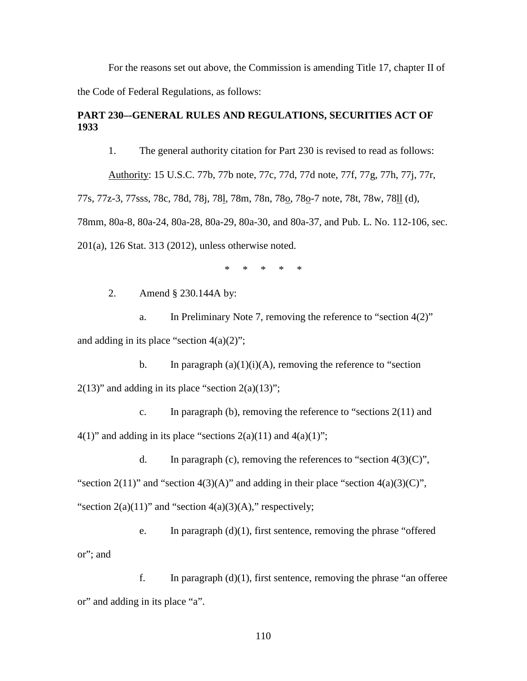For the reasons set out above, the Commission is amending Title 17, chapter II of the Code of Federal Regulations, as follows:

# **PART 230–-GENERAL RULES AND REGULATIONS, SECURITIES ACT OF 1933**

1. The general authority citation for Part 230 is revised to read as follows:

Authority: 15 U.S.C. 77b, 77b note, 77c, 77d, 77d note, 77f, 77g, 77h, 77j, 77r, 77s, 77z-3, 77sss, 78c, 78d, 78j, 78l, 78m, 78n, 78o, 78o-7 note, 78t, 78w, 78ll (d), 78mm, 80a-8, 80a-24, 80a-28, 80a-29, 80a-30, and 80a-37, and Pub. L. No. 112-106, sec. 201(a), 126 Stat. 313 (2012), unless otherwise noted.

\* \* \* \* \*

2. Amend § 230.144A by:

a. In Preliminary Note 7, removing the reference to "section 4(2)" and adding in its place "section  $4(a)(2)$ ";

b. In paragraph  $(a)(1)(i)(A)$ , removing the reference to "section"  $2(13)$ " and adding in its place "section  $2(a)(13)$ ";

c. In paragraph (b), removing the reference to "sections  $2(11)$  and  $4(1)$ " and adding in its place "sections  $2(a)(11)$  and  $4(a)(1)$ ";

d. In paragraph (c), removing the references to "section  $4(3)(C)$ ", "section 2(11)" and "section 4(3)(A)" and adding in their place "section  $4(a)(3)(C)$ ", "section  $2(a)(11)$ " and "section  $4(a)(3)(A)$ ," respectively;

e. In paragraph  $(d)(1)$ , first sentence, removing the phrase "offered" or"; and

f. In paragraph  $(d)(1)$ , first sentence, removing the phrase "an offeree" or" and adding in its place "a".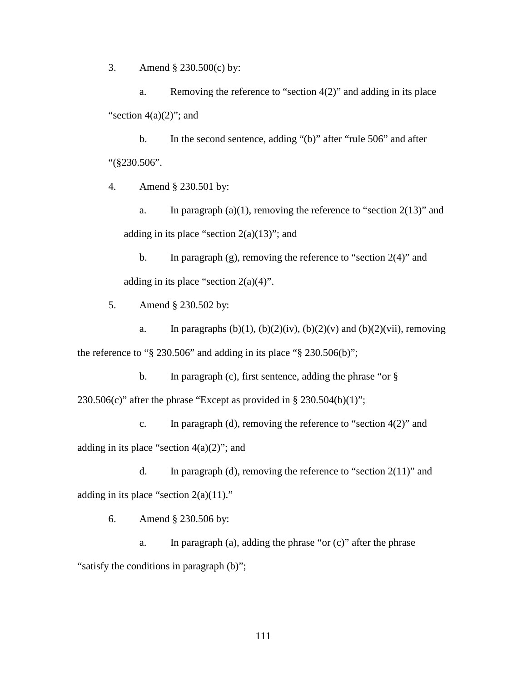3. Amend § 230.500(c) by:

a. Removing the reference to "section 4(2)" and adding in its place "section  $4(a)(2)$ "; and

b. In the second sentence, adding "(b)" after "rule 506" and after "(§230.506".

4. Amend § 230.501 by:

a. In paragraph  $(a)(1)$ , removing the reference to "section  $2(13)$ " and adding in its place "section  $2(a)(13)$ "; and

b. In paragraph (g), removing the reference to "section  $2(4)$ " and adding in its place "section  $2(a)(4)$ ".

5. Amend § 230.502 by:

a. In paragraphs  $(b)(1)$ ,  $(b)(2)(iv)$ ,  $(b)(2)(v)$  and  $(b)(2)(vii)$ , removing the reference to " $\S$  230.506" and adding in its place " $\S$  230.506(b)";

b. In paragraph (c), first sentence, adding the phrase "or  $\S$ 230.506(c)" after the phrase "Except as provided in § 230.504(b)(1)";

c. In paragraph (d), removing the reference to "section  $4(2)$ " and adding in its place "section  $4(a)(2)$ "; and

d. In paragraph (d), removing the reference to "section 2(11)" and adding in its place "section  $2(a)(11)$ ."

6. Amend § 230.506 by:

a. In paragraph (a), adding the phrase "or  $(c)$ " after the phrase "satisfy the conditions in paragraph (b)";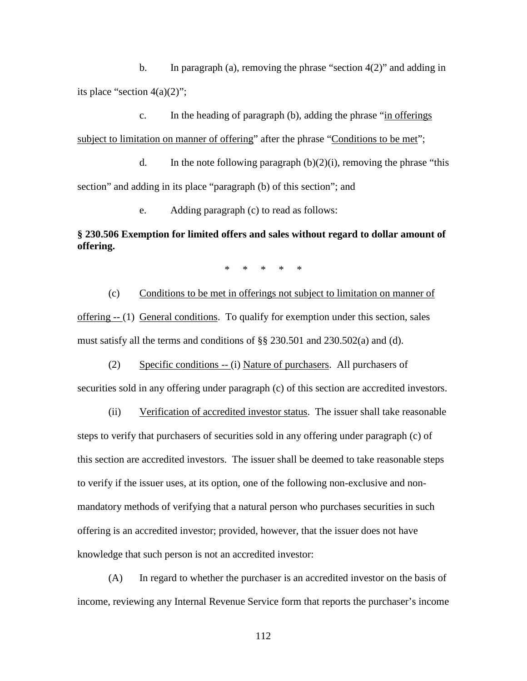b. In paragraph (a), removing the phrase "section  $4(2)$ " and adding in its place "section  $4(a)(2)$ ";

c. In the heading of paragraph (b), adding the phrase "in offerings subject to limitation on manner of offering" after the phrase "Conditions to be met";

d. In the note following paragraph  $(b)(2)(i)$ , removing the phrase "this section" and adding in its place "paragraph (b) of this section"; and

e. Adding paragraph (c) to read as follows:

## **§ 230.506 Exemption for limited offers and sales without regard to dollar amount of offering.**

\* \* \* \* \*

(c) Conditions to be met in offerings not subject to limitation on manner of offering -- (1) General conditions. To qualify for exemption under this section, sales must satisfy all the terms and conditions of §§ 230.501 and 230.502(a) and (d).

(2) Specific conditions -- (i) Nature of purchasers. All purchasers of

securities sold in any offering under paragraph (c) of this section are accredited investors.

(ii) Verification of accredited investor status. The issuer shall take reasonable steps to verify that purchasers of securities sold in any offering under paragraph (c) of this section are accredited investors. The issuer shall be deemed to take reasonable steps to verify if the issuer uses, at its option, one of the following non-exclusive and nonmandatory methods of verifying that a natural person who purchases securities in such offering is an accredited investor; provided, however, that the issuer does not have knowledge that such person is not an accredited investor:

(A) In regard to whether the purchaser is an accredited investor on the basis of income, reviewing any Internal Revenue Service form that reports the purchaser's income

112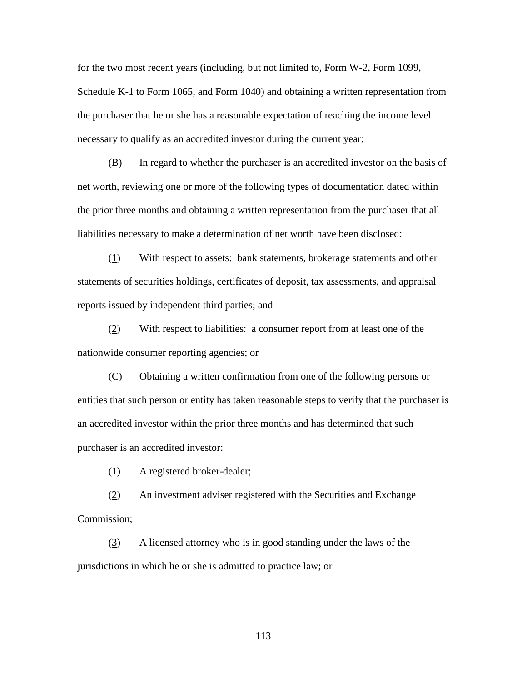for the two most recent years (including, but not limited to, Form W-2, Form 1099, Schedule K-1 to Form 1065, and Form 1040) and obtaining a written representation from the purchaser that he or she has a reasonable expectation of reaching the income level necessary to qualify as an accredited investor during the current year;

(B) In regard to whether the purchaser is an accredited investor on the basis of net worth, reviewing one or more of the following types of documentation dated within the prior three months and obtaining a written representation from the purchaser that all liabilities necessary to make a determination of net worth have been disclosed:

(1) With respect to assets: bank statements, brokerage statements and other statements of securities holdings, certificates of deposit, tax assessments, and appraisal reports issued by independent third parties; and

(2) With respect to liabilities: a consumer report from at least one of the nationwide consumer reporting agencies; or

(C) Obtaining a written confirmation from one of the following persons or entities that such person or entity has taken reasonable steps to verify that the purchaser is an accredited investor within the prior three months and has determined that such purchaser is an accredited investor:

(1) A registered broker-dealer;

(2) An investment adviser registered with the Securities and Exchange Commission;

(3) A licensed attorney who is in good standing under the laws of the jurisdictions in which he or she is admitted to practice law; or

113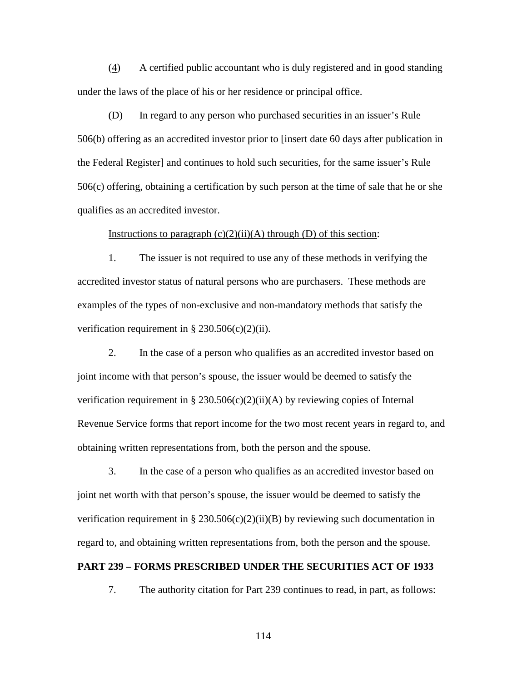(4) A certified public accountant who is duly registered and in good standing under the laws of the place of his or her residence or principal office.

(D) In regard to any person who purchased securities in an issuer's Rule 506(b) offering as an accredited investor prior to September 23, 2013. and continues to hold such securities, for the same issuer's Rule 506(c) offering, obtaining a certification by such person at the time of sale that he or she qualifies as an accredited investor.

#### Instructions to paragraph  $(c)(2)(ii)(A)$  through  $(D)$  of this section:

1. The issuer is not required to use any of these methods in verifying the accredited investor status of natural persons who are purchasers. These methods are examples of the types of non-exclusive and non-mandatory methods that satisfy the verification requirement in  $\S 230.506(c)(2)(ii)$ .

2. In the case of a person who qualifies as an accredited investor based on joint income with that person's spouse, the issuer would be deemed to satisfy the verification requirement in § 230.506(c)(2)(ii)(A) by reviewing copies of Internal Revenue Service forms that report income for the two most recent years in regard to, and obtaining written representations from, both the person and the spouse.

3. In the case of a person who qualifies as an accredited investor based on joint net worth with that person's spouse, the issuer would be deemed to satisfy the verification requirement in § 230.506(c)(2)(ii)(B) by reviewing such documentation in regard to, and obtaining written representations from, both the person and the spouse.

#### **PART 239 – FORMS PRESCRIBED UNDER THE SECURITIES ACT OF 1933**

7. The authority citation for Part 239 continues to read, in part, as follows:

114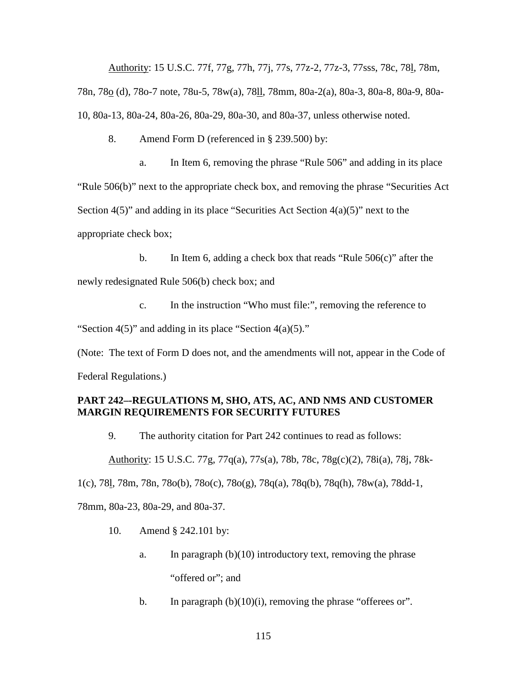Authority: 15 U.S.C. 77f, 77g, 77h, 77j, 77s, 77z-2, 77z-3, 77sss, 78c, 78l, 78m, 78n, 78o (d), 78o-7 note, 78u-5, 78w(a), 78ll, 78mm, 80a-2(a), 80a-3, 80a-8, 80a-9, 80a-10, 80a-13, 80a-24, 80a-26, 80a-29, 80a-30, and 80a-37, unless otherwise noted.

8. Amend Form D (referenced in § 239.500) by:

a. In Item 6, removing the phrase "Rule 506" and adding in its place "Rule 506(b)" next to the appropriate check box, and removing the phrase "Securities Act Section  $4(5)$ " and adding in its place "Securities Act Section  $4(a)(5)$ " next to the appropriate check box;

b. In Item 6, adding a check box that reads "Rule 506(c)" after the newly redesignated Rule 506(b) check box; and

c. In the instruction "Who must file:", removing the reference to "Section  $4(5)$ " and adding in its place "Section  $4(a)(5)$ ."

(Note: The text of Form D does not, and the amendments will not, appear in the Code of Federal Regulations.)

# **PART 242–-REGULATIONS M, SHO, ATS, AC, AND NMS AND CUSTOMER MARGIN REQUIREMENTS FOR SECURITY FUTURES**

9. The authority citation for Part 242 continues to read as follows:

Authority: 15 U.S.C. 77g, 77q(a), 77s(a), 78b, 78c, 78g(c)(2), 78i(a), 78j, 78k-

1(c), 78l, 78m, 78n, 78o(b), 78o(c), 78o(g), 78q(a), 78q(b), 78q(h), 78w(a), 78dd-1,

78mm, 80a-23, 80a-29, and 80a-37.

- 10. Amend § 242.101 by:
	- a. In paragraph  $(b)(10)$  introductory text, removing the phrase "offered or"; and
	- b. In paragraph  $(b)(10)(i)$ , removing the phrase "offerees or".